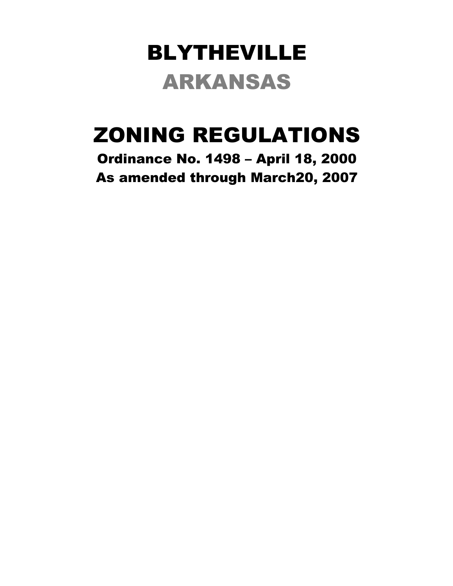# BLYTHEVILLE ARKANSAS

# ZONING REGULATIONS

Ordinance No. 1498 – April 18, 2000 As amended through March20, 2007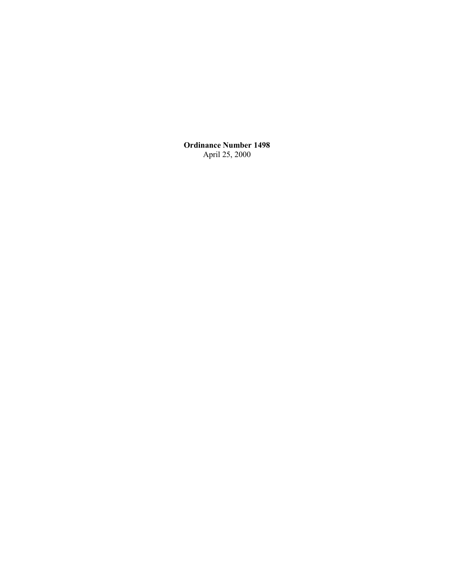**Ordinance Number 1498** April 25, 2000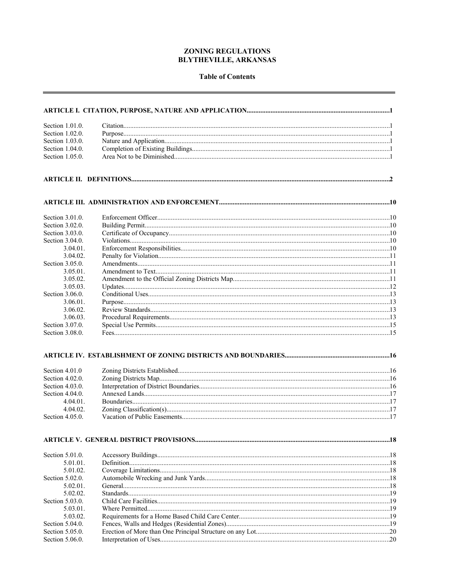#### **ZONING REGULATIONS BLYTHEVILLE, ARKANSAS**

#### **Table of Contents**

| Section 1.01.0. |  |
|-----------------|--|
| Section 1.02.0. |  |
| Section 1.03.0. |  |
| Section 1.04.0. |  |
| Section 1.05.0. |  |
|                 |  |
|                 |  |
|                 |  |
|                 |  |
| Section 3.01.0. |  |
| Section 3.02.0. |  |
| Section 3.03.0. |  |
| Section 3.04.0. |  |
| 3.04.01         |  |
| 3.04.02.        |  |
| Section 3.05.0. |  |
| $3.05.01$ .     |  |
| 3.05.02.        |  |
| 3.05.03.        |  |
| Section 3.06.0. |  |
| 3.06.01.        |  |
| 3.06.02.        |  |
| 3.06.03.        |  |
| Section 3.07.0. |  |
| Section 3.08.0. |  |
|                 |  |
|                 |  |
| Section 4.01.0  |  |
| Section 4.02.0. |  |
| Section 4.03.0. |  |
| Section 4.04.0. |  |
| 4 04 01         |  |
| 4.04.02.        |  |
| Section 4.05.0. |  |
|                 |  |
|                 |  |
| Section 5.01.0. |  |
| 5.01.01.        |  |
| 5.01.02.        |  |
| Section 5.02.0. |  |
| 5.02.01.        |  |
| 5.02.02         |  |
| Section 5.03.0. |  |
| 5.03.01.        |  |
| 5.03.02.        |  |
| Section 5.04.0. |  |
| Section 5.05.0. |  |
| Section 5.06.0. |  |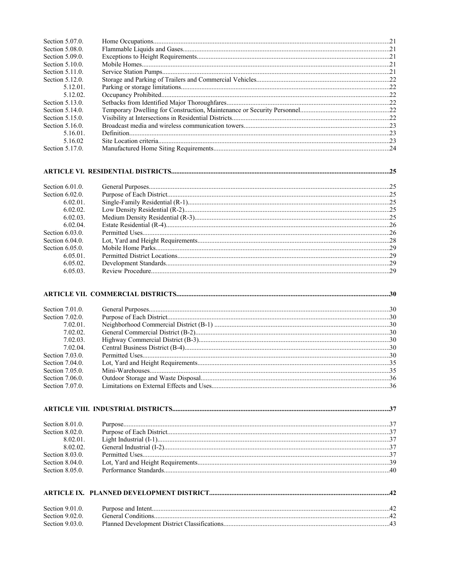| <b>Section 5.07.0.</b> |  |
|------------------------|--|
| Section 5.08.0.        |  |
| Section 5.09.0.        |  |
| <b>Section 5.10.0.</b> |  |
| Section 5.11.0.        |  |
| Section 5.12.0.        |  |
| $5.12.01$ .            |  |
| 5.12.02.               |  |
| Section 5.13.0.        |  |
| Section 5.14.0.        |  |
| Section 5.15.0.        |  |
| Section 5.16.0.        |  |
| 5.16.01.               |  |
| 5 16 02                |  |
| Section 5.17.0.        |  |

## 

| Section $6.01.0$ . |  |
|--------------------|--|
| Section $6.02.0$ . |  |
| 6.02.01            |  |
| 6.02.02            |  |
| 6.02.03            |  |
| 6.02.04            |  |
| Section $6.03.0$ . |  |
| Section $6.04.0$ . |  |
| Section $6.05.0$   |  |
| 6.05.01            |  |
| 6.05.02            |  |
| 6.05.03.           |  |

### 

| Section $7.01.0$ . |  |
|--------------------|--|
| Section 7.02.0.    |  |
| $7.02.01$ .        |  |
| 7.02.02            |  |
| 7.02.03            |  |
| 7 02 04            |  |
| Section $7.03.0$ . |  |
| Section $7.04.0$ . |  |
| Section $7.05.0$ . |  |
| Section $7.06.0$ . |  |
| Section 7.07.0.    |  |

| Section $8.01.0$ . |  |  |
|--------------------|--|--|
|                    |  |  |
| 8 02 01            |  |  |
| 8.02.02            |  |  |
| Section $8.03.0$   |  |  |
|                    |  |  |
|                    |  |  |

| Section $9.01.0$ . |  |
|--------------------|--|
| Section $9.02.0$   |  |
| Section $9.03.0$ . |  |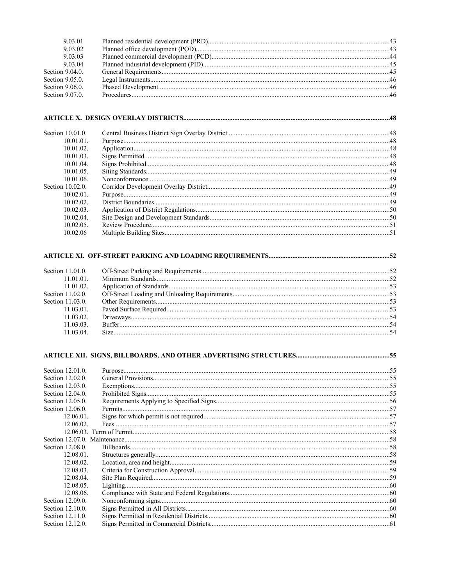| 9 03 01            |  |
|--------------------|--|
| 9 03 02            |  |
| 9.03.03            |  |
| 9 03 04            |  |
| Section $9.04.0$ . |  |
| Section $9.05.0$ . |  |
| Section $9.06.0$ . |  |
| Section 9.07.0.    |  |

#### 

| . 49 |
|------|
|      |
|      |
|      |
|      |
|      |

### 

| Section $11010$   |  |
|-------------------|--|
| 11 01 01          |  |
| 11 01 02          |  |
| Section $11,02,0$ |  |
| Section $11.03.0$ |  |
| 11 03 01          |  |
| 11.03.02          |  |
| 11 03 03          |  |
| 11 03 04          |  |
|                   |  |

| Section 12.01.0. |  |
|------------------|--|
| Section 12.02.0. |  |
| Section 12.03.0. |  |
| Section 12.04.0. |  |
| Section 12.05.0. |  |
| Section 12.06.0. |  |
| 12.06.01.        |  |
| 12.06.02.        |  |
|                  |  |
|                  |  |
| Section 12.08.0. |  |
| $12.08.01$ .     |  |
| 12.08.02.        |  |
| 12.08.03.        |  |
| 12.08.04.        |  |
| 12.08.05.        |  |
| 12.08.06.        |  |
| Section 12.09.0. |  |
| Section 12.10.0. |  |
| Section 12.11.0. |  |
| Section 12.12.0. |  |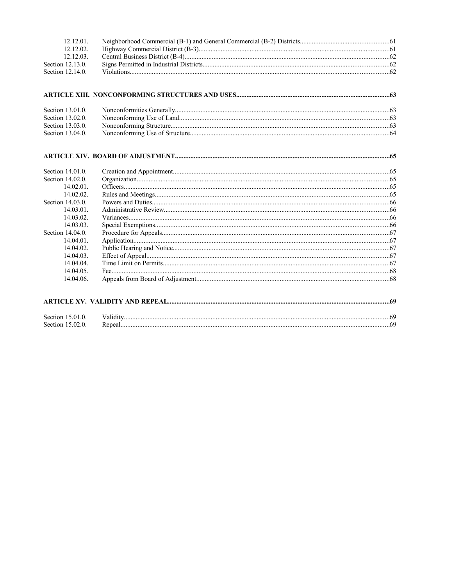| 12.12.01.              |  |
|------------------------|--|
| 12.12.02.<br>12.12.03. |  |
| Section 12.13.0.       |  |
| Section 12.14.0.       |  |
|                        |  |
|                        |  |
| Section 13.01.0.       |  |
| Section 13.02.0.       |  |
| Section 13.03.0.       |  |
| Section 13.04.0.       |  |
|                        |  |
| Section 14.01.0.       |  |
| Section 14.02.0.       |  |
| 14.02.01.              |  |
| 14.02.02.              |  |
| Section 14.03.0.       |  |
| 14.03.01.              |  |
| 14.03.02.              |  |
| 14.03.03.              |  |
| Section 14.04.0.       |  |
| $14.04.01$ .           |  |
| 14.04.02.              |  |
| 14.04.03.              |  |
| 14.04.04.              |  |
| $14.04.05$ .           |  |
| 14.04.06.              |  |
|                        |  |
| Section 15.01.0.       |  |

Section 15.02.0.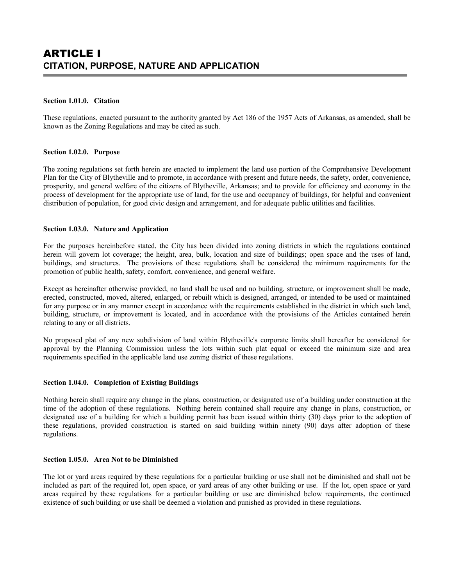#### **Section 1.01.0. Citation**

These regulations, enacted pursuant to the authority granted by Act 186 of the 1957 Acts of Arkansas, as amended, shall be known as the Zoning Regulations and may be cited as such.

#### **Section 1.02.0. Purpose**

The zoning regulations set forth herein are enacted to implement the land use portion of the Comprehensive Development Plan for the City of Blytheville and to promote, in accordance with present and future needs, the safety, order, convenience, prosperity, and general welfare of the citizens of Blytheville, Arkansas; and to provide for efficiency and economy in the process of development for the appropriate use of land, for the use and occupancy of buildings, for helpful and convenient distribution of population, for good civic design and arrangement, and for adequate public utilities and facilities.

#### **Section 1.03.0. Nature and Application**

For the purposes hereinbefore stated, the City has been divided into zoning districts in which the regulations contained herein will govern lot coverage; the height, area, bulk, location and size of buildings; open space and the uses of land, buildings, and structures. The provisions of these regulations shall be considered the minimum requirements for the promotion of public health, safety, comfort, convenience, and general welfare.

Except as hereinafter otherwise provided, no land shall be used and no building, structure, or improvement shall be made, erected, constructed, moved, altered, enlarged, or rebuilt which is designed, arranged, or intended to be used or maintained for any purpose or in any manner except in accordance with the requirements established in the district in which such land, building, structure, or improvement is located, and in accordance with the provisions of the Articles contained herein relating to any or all districts.

No proposed plat of any new subdivision of land within Blytheville's corporate limits shall hereafter be considered for approval by the Planning Commission unless the lots within such plat equal or exceed the minimum size and area requirements specified in the applicable land use zoning district of these regulations.

#### **Section 1.04.0. Completion of Existing Buildings**

Nothing herein shall require any change in the plans, construction, or designated use of a building under construction at the time of the adoption of these regulations. Nothing herein contained shall require any change in plans, construction, or designated use of a building for which a building permit has been issued within thirty (30) days prior to the adoption of these regulations, provided construction is started on said building within ninety (90) days after adoption of these regulations.

#### **Section 1.05.0. Area Not to be Diminished**

The lot or yard areas required by these regulations for a particular building or use shall not be diminished and shall not be included as part of the required lot, open space, or yard areas of any other building or use. If the lot, open space or yard areas required by these regulations for a particular building or use are diminished below requirements, the continued existence of such building or use shall be deemed a violation and punished as provided in these regulations.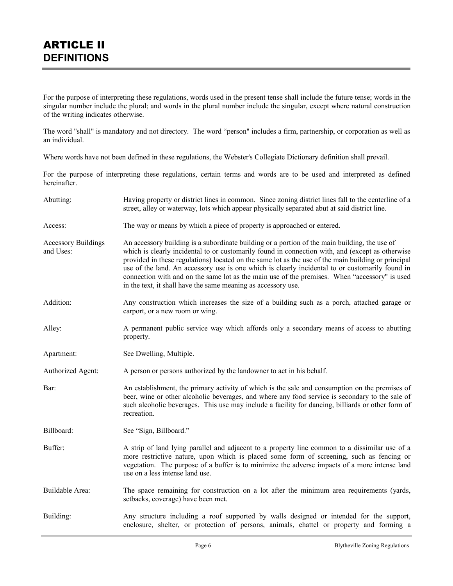For the purpose of interpreting these regulations, words used in the present tense shall include the future tense; words in the singular number include the plural; and words in the plural number include the singular, except where natural construction of the writing indicates otherwise.

The word "shall" is mandatory and not directory. The word "person" includes a firm, partnership, or corporation as well as an individual.

Where words have not been defined in these regulations, the Webster's Collegiate Dictionary definition shall prevail.

For the purpose of interpreting these regulations, certain terms and words are to be used and interpreted as defined hereinafter.

| Abutting:                               | Having property or district lines in common. Since zoning district lines fall to the centerline of a<br>street, alley or waterway, lots which appear physically separated abut at said district line.                                                                                                                                                                                                                                                                                                                                                                         |
|-----------------------------------------|-------------------------------------------------------------------------------------------------------------------------------------------------------------------------------------------------------------------------------------------------------------------------------------------------------------------------------------------------------------------------------------------------------------------------------------------------------------------------------------------------------------------------------------------------------------------------------|
| Access:                                 | The way or means by which a piece of property is approached or entered.                                                                                                                                                                                                                                                                                                                                                                                                                                                                                                       |
| <b>Accessory Buildings</b><br>and Uses: | An accessory building is a subordinate building or a portion of the main building, the use of<br>which is clearly incidental to or customarily found in connection with, and (except as otherwise<br>provided in these regulations) located on the same lot as the use of the main building or principal<br>use of the land. An accessory use is one which is clearly incidental to or customarily found in<br>connection with and on the same lot as the main use of the premises. When "accessory" is used<br>in the text, it shall have the same meaning as accessory use. |
| Addition:                               | Any construction which increases the size of a building such as a porch, attached garage or<br>carport, or a new room or wing.                                                                                                                                                                                                                                                                                                                                                                                                                                                |
| Alley:                                  | A permanent public service way which affords only a secondary means of access to abutting<br>property.                                                                                                                                                                                                                                                                                                                                                                                                                                                                        |
| Apartment:                              | See Dwelling, Multiple.                                                                                                                                                                                                                                                                                                                                                                                                                                                                                                                                                       |
| Authorized Agent:                       | A person or persons authorized by the landowner to act in his behalf.                                                                                                                                                                                                                                                                                                                                                                                                                                                                                                         |
| Bar:                                    | An establishment, the primary activity of which is the sale and consumption on the premises of<br>beer, wine or other alcoholic beverages, and where any food service is secondary to the sale of<br>such alcoholic beverages. This use may include a facility for dancing, billiards or other form of<br>recreation.                                                                                                                                                                                                                                                         |
| Billboard:                              | See "Sign, Billboard."                                                                                                                                                                                                                                                                                                                                                                                                                                                                                                                                                        |
| Buffer:                                 | A strip of land lying parallel and adjacent to a property line common to a dissimilar use of a<br>more restrictive nature, upon which is placed some form of screening, such as fencing or<br>vegetation. The purpose of a buffer is to minimize the adverse impacts of a more intense land<br>use on a less intense land use.                                                                                                                                                                                                                                                |
| Buildable Area:                         | The space remaining for construction on a lot after the minimum area requirements (yards,<br>setbacks, coverage) have been met.                                                                                                                                                                                                                                                                                                                                                                                                                                               |
| Building:                               | Any structure including a roof supported by walls designed or intended for the support,<br>enclosure, shelter, or protection of persons, animals, chattel or property and forming a                                                                                                                                                                                                                                                                                                                                                                                           |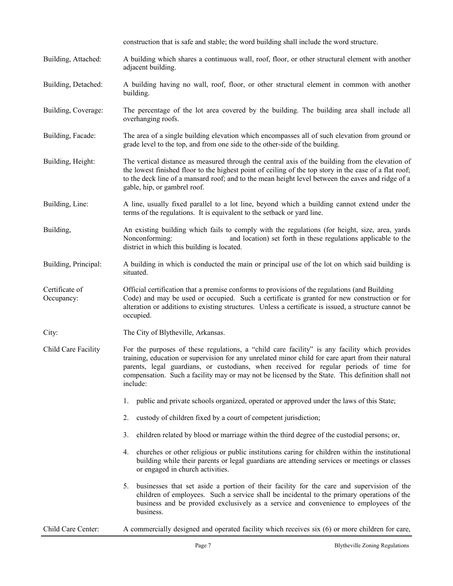|                              | construction that is safe and stable; the word building shall include the word structure.                                                                                                                                                                                                                                                                                                                     |  |  |  |  |  |  |  |  |
|------------------------------|---------------------------------------------------------------------------------------------------------------------------------------------------------------------------------------------------------------------------------------------------------------------------------------------------------------------------------------------------------------------------------------------------------------|--|--|--|--|--|--|--|--|
| Building, Attached:          | A building which shares a continuous wall, roof, floor, or other structural element with another<br>adjacent building.                                                                                                                                                                                                                                                                                        |  |  |  |  |  |  |  |  |
| Building, Detached:          | A building having no wall, roof, floor, or other structural element in common with another<br>building.                                                                                                                                                                                                                                                                                                       |  |  |  |  |  |  |  |  |
| Building, Coverage:          | The percentage of the lot area covered by the building. The building area shall include all<br>overhanging roofs.                                                                                                                                                                                                                                                                                             |  |  |  |  |  |  |  |  |
| Building, Facade:            | The area of a single building elevation which encompasses all of such elevation from ground or<br>grade level to the top, and from one side to the other-side of the building.                                                                                                                                                                                                                                |  |  |  |  |  |  |  |  |
| Building, Height:            | The vertical distance as measured through the central axis of the building from the elevation of<br>the lowest finished floor to the highest point of ceiling of the top story in the case of a flat roof;<br>to the deck line of a mansard roof; and to the mean height level between the eaves and ridge of a<br>gable, hip, or gambrel roof.                                                               |  |  |  |  |  |  |  |  |
| Building, Line:              | A line, usually fixed parallel to a lot line, beyond which a building cannot extend under the<br>terms of the regulations. It is equivalent to the setback or yard line.                                                                                                                                                                                                                                      |  |  |  |  |  |  |  |  |
| Building,                    | An existing building which fails to comply with the regulations (for height, size, area, yards<br>Nonconforming:<br>and location) set forth in these regulations applicable to the<br>district in which this building is located.                                                                                                                                                                             |  |  |  |  |  |  |  |  |
| Building, Principal:         | A building in which is conducted the main or principal use of the lot on which said building is<br>situated.                                                                                                                                                                                                                                                                                                  |  |  |  |  |  |  |  |  |
| Certificate of<br>Occupancy: | Official certification that a premise conforms to provisions of the regulations (and Building<br>Code) and may be used or occupied. Such a certificate is granted for new construction or for<br>alteration or additions to existing structures. Unless a certificate is issued, a structure cannot be<br>occupied.                                                                                           |  |  |  |  |  |  |  |  |
| City:                        | The City of Blytheville, Arkansas.                                                                                                                                                                                                                                                                                                                                                                            |  |  |  |  |  |  |  |  |
| Child Care Facility          | For the purposes of these regulations, a "child care facility" is any facility which provides<br>training, education or supervision for any unrelated minor child for care apart from their natural<br>parents, legal guardians, or custodians, when received for regular periods of time for<br>compensation. Such a facility may or may not be licensed by the State. This definition shall not<br>include: |  |  |  |  |  |  |  |  |
|                              | public and private schools organized, operated or approved under the laws of this State;<br>1.                                                                                                                                                                                                                                                                                                                |  |  |  |  |  |  |  |  |
|                              | custody of children fixed by a court of competent jurisdiction;<br>2.                                                                                                                                                                                                                                                                                                                                         |  |  |  |  |  |  |  |  |
|                              | children related by blood or marriage within the third degree of the custodial persons; or,<br>3.                                                                                                                                                                                                                                                                                                             |  |  |  |  |  |  |  |  |
|                              | churches or other religious or public institutions caring for children within the institutional<br>4.<br>building while their parents or legal guardians are attending services or meetings or classes<br>or engaged in church activities.                                                                                                                                                                    |  |  |  |  |  |  |  |  |
|                              | businesses that set aside a portion of their facility for the care and supervision of the<br>5.<br>children of employees. Such a service shall be incidental to the primary operations of the<br>business and be provided exclusively as a service and convenience to employees of the<br>business.                                                                                                           |  |  |  |  |  |  |  |  |

Child Care Center: A commercially designed and operated facility which receives six (6) or more children for care,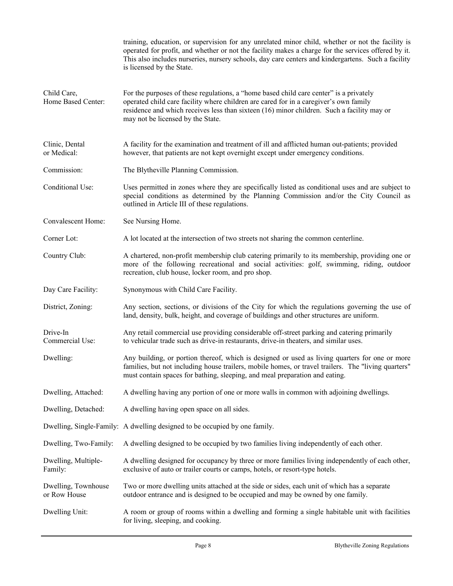|                                                                                                                                                                                                                                                                                                                                                         | training, education, or supervision for any unrelated minor child, whether or not the facility is<br>operated for profit, and whether or not the facility makes a charge for the services offered by it.<br>This also includes nurseries, nursery schools, day care centers and kindergartens. Such a facility<br>is licensed by the State. |  |  |  |  |  |  |
|---------------------------------------------------------------------------------------------------------------------------------------------------------------------------------------------------------------------------------------------------------------------------------------------------------------------------------------------------------|---------------------------------------------------------------------------------------------------------------------------------------------------------------------------------------------------------------------------------------------------------------------------------------------------------------------------------------------|--|--|--|--|--|--|
| Child Care,<br>For the purposes of these regulations, a "home based child care center" is a privately<br>Home Based Center:<br>operated child care facility where children are cared for in a caregiver's own family<br>residence and which receives less than sixteen (16) minor children. Such a facility may or<br>may not be licensed by the State. |                                                                                                                                                                                                                                                                                                                                             |  |  |  |  |  |  |
| Clinic, Dental<br>or Medical:                                                                                                                                                                                                                                                                                                                           | A facility for the examination and treatment of ill and afflicted human out-patients; provided<br>however, that patients are not kept overnight except under emergency conditions.                                                                                                                                                          |  |  |  |  |  |  |
| Commission:                                                                                                                                                                                                                                                                                                                                             | The Blytheville Planning Commission.                                                                                                                                                                                                                                                                                                        |  |  |  |  |  |  |
| Conditional Use:                                                                                                                                                                                                                                                                                                                                        | Uses permitted in zones where they are specifically listed as conditional uses and are subject to<br>special conditions as determined by the Planning Commission and/or the City Council as<br>outlined in Article III of these regulations.                                                                                                |  |  |  |  |  |  |
| Convalescent Home:                                                                                                                                                                                                                                                                                                                                      | See Nursing Home.                                                                                                                                                                                                                                                                                                                           |  |  |  |  |  |  |
| Corner Lot:                                                                                                                                                                                                                                                                                                                                             | A lot located at the intersection of two streets not sharing the common centerline.                                                                                                                                                                                                                                                         |  |  |  |  |  |  |
| Country Club:                                                                                                                                                                                                                                                                                                                                           | A chartered, non-profit membership club catering primarily to its membership, providing one or<br>more of the following recreational and social activities: golf, swimming, riding, outdoor<br>recreation, club house, locker room, and pro shop.                                                                                           |  |  |  |  |  |  |
| Day Care Facility:                                                                                                                                                                                                                                                                                                                                      | Synonymous with Child Care Facility.                                                                                                                                                                                                                                                                                                        |  |  |  |  |  |  |
| District, Zoning:                                                                                                                                                                                                                                                                                                                                       | Any section, sections, or divisions of the City for which the regulations governing the use of<br>land, density, bulk, height, and coverage of buildings and other structures are uniform.                                                                                                                                                  |  |  |  |  |  |  |
| Drive-In<br>Commercial Use:                                                                                                                                                                                                                                                                                                                             | Any retail commercial use providing considerable off-street parking and catering primarily<br>to vehicular trade such as drive-in restaurants, drive-in theaters, and similar uses.                                                                                                                                                         |  |  |  |  |  |  |
| Dwelling:                                                                                                                                                                                                                                                                                                                                               | Any building, or portion thereof, which is designed or used as living quarters for one or more<br>families, but not including house trailers, mobile homes, or travel trailers. The "living quarters"<br>must contain spaces for bathing, sleeping, and meal preparation and eating.                                                        |  |  |  |  |  |  |
| Dwelling, Attached:                                                                                                                                                                                                                                                                                                                                     | A dwelling having any portion of one or more walls in common with adjoining dwellings.                                                                                                                                                                                                                                                      |  |  |  |  |  |  |
| Dwelling, Detached:                                                                                                                                                                                                                                                                                                                                     | A dwelling having open space on all sides.                                                                                                                                                                                                                                                                                                  |  |  |  |  |  |  |
|                                                                                                                                                                                                                                                                                                                                                         | Dwelling, Single-Family: A dwelling designed to be occupied by one family.                                                                                                                                                                                                                                                                  |  |  |  |  |  |  |
| Dwelling, Two-Family:                                                                                                                                                                                                                                                                                                                                   | A dwelling designed to be occupied by two families living independently of each other.                                                                                                                                                                                                                                                      |  |  |  |  |  |  |
| Dwelling, Multiple-<br>Family:                                                                                                                                                                                                                                                                                                                          | A dwelling designed for occupancy by three or more families living independently of each other,<br>exclusive of auto or trailer courts or camps, hotels, or resort-type hotels.                                                                                                                                                             |  |  |  |  |  |  |
| Dwelling, Townhouse<br>or Row House                                                                                                                                                                                                                                                                                                                     | Two or more dwelling units attached at the side or sides, each unit of which has a separate<br>outdoor entrance and is designed to be occupied and may be owned by one family.                                                                                                                                                              |  |  |  |  |  |  |
| Dwelling Unit:                                                                                                                                                                                                                                                                                                                                          | A room or group of rooms within a dwelling and forming a single habitable unit with facilities<br>for living, sleeping, and cooking.                                                                                                                                                                                                        |  |  |  |  |  |  |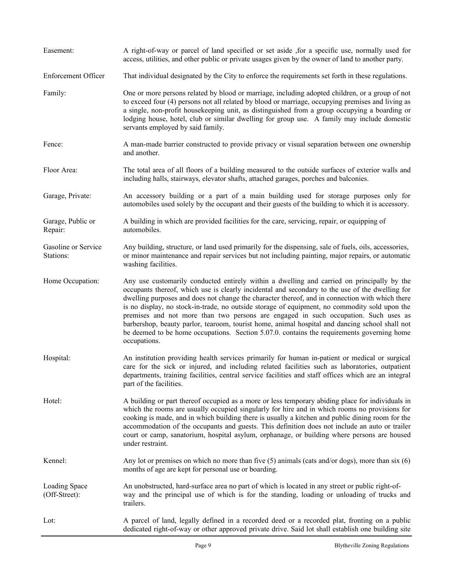| Easement:                        | A right-of-way or parcel of land specified or set aside , for a specific use, normally used for<br>access, utilities, and other public or private usages given by the owner of land to another party.                                                                                                                                                                                                                                                                                                                                                                                                                                                                                                    |
|----------------------------------|----------------------------------------------------------------------------------------------------------------------------------------------------------------------------------------------------------------------------------------------------------------------------------------------------------------------------------------------------------------------------------------------------------------------------------------------------------------------------------------------------------------------------------------------------------------------------------------------------------------------------------------------------------------------------------------------------------|
| <b>Enforcement Officer</b>       | That individual designated by the City to enforce the requirements set forth in these regulations.                                                                                                                                                                                                                                                                                                                                                                                                                                                                                                                                                                                                       |
| Family:                          | One or more persons related by blood or marriage, including adopted children, or a group of not<br>to exceed four (4) persons not all related by blood or marriage, occupying premises and living as<br>a single, non-profit housekeeping unit, as distinguished from a group occupying a boarding or<br>lodging house, hotel, club or similar dwelling for group use. A family may include domestic<br>servants employed by said family.                                                                                                                                                                                                                                                                |
| Fence:                           | A man-made barrier constructed to provide privacy or visual separation between one ownership<br>and another.                                                                                                                                                                                                                                                                                                                                                                                                                                                                                                                                                                                             |
| Floor Area:                      | The total area of all floors of a building measured to the outside surfaces of exterior walls and<br>including halls, stairways, elevator shafts, attached garages, porches and balconies.                                                                                                                                                                                                                                                                                                                                                                                                                                                                                                               |
| Garage, Private:                 | An accessory building or a part of a main building used for storage purposes only for<br>automobiles used solely by the occupant and their guests of the building to which it is accessory.                                                                                                                                                                                                                                                                                                                                                                                                                                                                                                              |
| Garage, Public or<br>Repair:     | A building in which are provided facilities for the care, servicing, repair, or equipping of<br>automobiles.                                                                                                                                                                                                                                                                                                                                                                                                                                                                                                                                                                                             |
| Gasoline or Service<br>Stations: | Any building, structure, or land used primarily for the dispensing, sale of fuels, oils, accessories,<br>or minor maintenance and repair services but not including painting, major repairs, or automatic<br>washing facilities.                                                                                                                                                                                                                                                                                                                                                                                                                                                                         |
| Home Occupation:                 | Any use customarily conducted entirely within a dwelling and carried on principally by the<br>occupants thereof, which use is clearly incidental and secondary to the use of the dwelling for<br>dwelling purposes and does not change the character thereof, and in connection with which there<br>is no display, no stock-in-trade, no outside storage of equipment, no commodity sold upon the<br>premises and not more than two persons are engaged in such occupation. Such uses as<br>barbershop, beauty parlor, tearoom, tourist home, animal hospital and dancing school shall not<br>be deemed to be home occupations. Section 5.07.0. contains the requirements governing home<br>occupations. |
| Hospital:                        | An institution providing health services primarily for human in-patient or medical or surgical<br>care for the sick or injured, and including related facilities such as laboratories, outpatient<br>departments, training facilities, central service facilities and staff offices which are an integral<br>part of the facilities.                                                                                                                                                                                                                                                                                                                                                                     |
| Hotel:                           | A building or part thereof occupied as a more or less temporary abiding place for individuals in<br>which the rooms are usually occupied singularly for hire and in which rooms no provisions for<br>cooking is made, and in which building there is usually a kitchen and public dining room for the<br>accommodation of the occupants and guests. This definition does not include an auto or trailer<br>court or camp, sanatorium, hospital asylum, orphanage, or building where persons are housed<br>under restraint.                                                                                                                                                                               |
| Kennel:                          | Any lot or premises on which no more than five $(5)$ animals (cats and/or dogs), more than six $(6)$<br>months of age are kept for personal use or boarding.                                                                                                                                                                                                                                                                                                                                                                                                                                                                                                                                             |
| Loading Space<br>(Off-Street):   | An unobstructed, hard-surface area no part of which is located in any street or public right-of-<br>way and the principal use of which is for the standing, loading or unloading of trucks and<br>trailers.                                                                                                                                                                                                                                                                                                                                                                                                                                                                                              |
| Lot:                             | A parcel of land, legally defined in a recorded deed or a recorded plat, fronting on a public<br>dedicated right-of-way or other approved private drive. Said lot shall establish one building site                                                                                                                                                                                                                                                                                                                                                                                                                                                                                                      |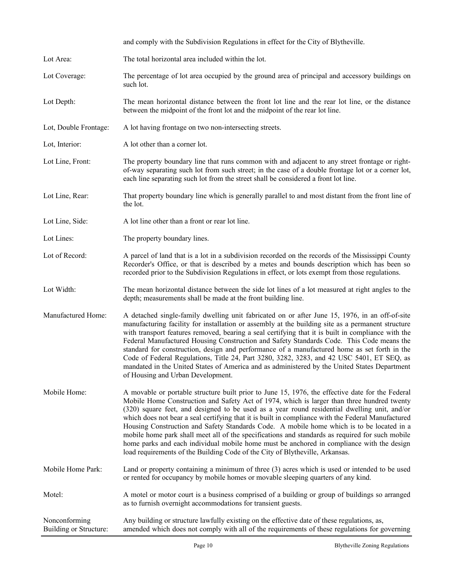|                                         | and comply with the Subdivision Regulations in effect for the City of Blytheville.                                                                                                                                                                                                                                                                                                                                                                                                                                                                                                                                                                                                                                                                                                |
|-----------------------------------------|-----------------------------------------------------------------------------------------------------------------------------------------------------------------------------------------------------------------------------------------------------------------------------------------------------------------------------------------------------------------------------------------------------------------------------------------------------------------------------------------------------------------------------------------------------------------------------------------------------------------------------------------------------------------------------------------------------------------------------------------------------------------------------------|
| Lot Area:                               | The total horizontal area included within the lot.                                                                                                                                                                                                                                                                                                                                                                                                                                                                                                                                                                                                                                                                                                                                |
| Lot Coverage:                           | The percentage of lot area occupied by the ground area of principal and accessory buildings on<br>such lot.                                                                                                                                                                                                                                                                                                                                                                                                                                                                                                                                                                                                                                                                       |
| Lot Depth:                              | The mean horizontal distance between the front lot line and the rear lot line, or the distance<br>between the midpoint of the front lot and the midpoint of the rear lot line.                                                                                                                                                                                                                                                                                                                                                                                                                                                                                                                                                                                                    |
| Lot, Double Frontage:                   | A lot having frontage on two non-intersecting streets.                                                                                                                                                                                                                                                                                                                                                                                                                                                                                                                                                                                                                                                                                                                            |
| Lot, Interior:                          | A lot other than a corner lot.                                                                                                                                                                                                                                                                                                                                                                                                                                                                                                                                                                                                                                                                                                                                                    |
| Lot Line, Front:                        | The property boundary line that runs common with and adjacent to any street frontage or right-<br>of-way separating such lot from such street; in the case of a double frontage lot or a corner lot,<br>each line separating such lot from the street shall be considered a front lot line.                                                                                                                                                                                                                                                                                                                                                                                                                                                                                       |
| Lot Line, Rear:                         | That property boundary line which is generally parallel to and most distant from the front line of<br>the lot.                                                                                                                                                                                                                                                                                                                                                                                                                                                                                                                                                                                                                                                                    |
| Lot Line, Side:                         | A lot line other than a front or rear lot line.                                                                                                                                                                                                                                                                                                                                                                                                                                                                                                                                                                                                                                                                                                                                   |
| Lot Lines:                              | The property boundary lines.                                                                                                                                                                                                                                                                                                                                                                                                                                                                                                                                                                                                                                                                                                                                                      |
| Lot of Record:                          | A parcel of land that is a lot in a subdivision recorded on the records of the Mississippi County<br>Recorder's Office, or that is described by a metes and bounds description which has been so<br>recorded prior to the Subdivision Regulations in effect, or lots exempt from those regulations.                                                                                                                                                                                                                                                                                                                                                                                                                                                                               |
| Lot Width:                              | The mean horizontal distance between the side lot lines of a lot measured at right angles to the<br>depth; measurements shall be made at the front building line.                                                                                                                                                                                                                                                                                                                                                                                                                                                                                                                                                                                                                 |
| Manufactured Home:                      | A detached single-family dwelling unit fabricated on or after June 15, 1976, in an off-of-site<br>manufacturing facility for installation or assembly at the building site as a permanent structure<br>with transport features removed, bearing a seal certifying that it is built in compliance with the<br>Federal Manufactured Housing Construction and Safety Standards Code. This Code means the<br>standard for construction, design and performance of a manufactured home as set forth in the<br>Code of Federal Regulations, Title 24, Part 3280, 3282, 3283, and 42 USC 5401, ET SEQ, as<br>mandated in the United States of America and as administered by the United States Department<br>of Housing and Urban Development.                                           |
| Mobile Home:                            | A movable or portable structure built prior to June 15, 1976, the effective date for the Federal<br>Mobile Home Construction and Safety Act of 1974, which is larger than three hundred twenty<br>(320) square feet, and designed to be used as a year round residential dwelling unit, and/or<br>which does not bear a seal certifying that it is built in compliance with the Federal Manufactured<br>Housing Construction and Safety Standards Code. A mobile home which is to be located in a<br>mobile home park shall meet all of the specifications and standards as required for such mobile<br>home parks and each individual mobile home must be anchored in compliance with the design<br>load requirements of the Building Code of the City of Blytheville, Arkansas. |
| Mobile Home Park:                       | Land or property containing a minimum of three (3) acres which is used or intended to be used<br>or rented for occupancy by mobile homes or movable sleeping quarters of any kind.                                                                                                                                                                                                                                                                                                                                                                                                                                                                                                                                                                                                |
| Motel:                                  | A motel or motor court is a business comprised of a building or group of buildings so arranged<br>as to furnish overnight accommodations for transient guests.                                                                                                                                                                                                                                                                                                                                                                                                                                                                                                                                                                                                                    |
| Nonconforming<br>Building or Structure: | Any building or structure lawfully existing on the effective date of these regulations, as,<br>amended which does not comply with all of the requirements of these regulations for governing                                                                                                                                                                                                                                                                                                                                                                                                                                                                                                                                                                                      |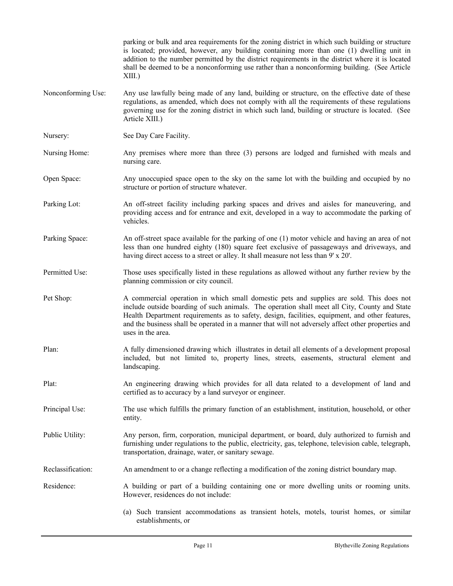|                    | parking or bulk and area requirements for the zoning district in which such building or structure<br>is located; provided, however, any building containing more than one (1) dwelling unit in<br>addition to the number permitted by the district requirements in the district where it is located<br>shall be deemed to be a nonconforming use rather than a nonconforming building. (See Article<br>$XIII$ .)        |
|--------------------|-------------------------------------------------------------------------------------------------------------------------------------------------------------------------------------------------------------------------------------------------------------------------------------------------------------------------------------------------------------------------------------------------------------------------|
| Nonconforming Use: | Any use lawfully being made of any land, building or structure, on the effective date of these<br>regulations, as amended, which does not comply with all the requirements of these regulations<br>governing use for the zoning district in which such land, building or structure is located. (See<br>Article XIII.)                                                                                                   |
| Nursery:           | See Day Care Facility.                                                                                                                                                                                                                                                                                                                                                                                                  |
| Nursing Home:      | Any premises where more than three (3) persons are lodged and furnished with meals and<br>nursing care.                                                                                                                                                                                                                                                                                                                 |
| Open Space:        | Any unoccupied space open to the sky on the same lot with the building and occupied by no<br>structure or portion of structure whatever.                                                                                                                                                                                                                                                                                |
| Parking Lot:       | An off-street facility including parking spaces and drives and aisles for maneuvering, and<br>providing access and for entrance and exit, developed in a way to accommodate the parking of<br>vehicles.                                                                                                                                                                                                                 |
| Parking Space:     | An off-street space available for the parking of one (1) motor vehicle and having an area of not<br>less than one hundred eighty (180) square feet exclusive of passageways and driveways, and<br>having direct access to a street or alley. It shall measure not less than 9' x 20'.                                                                                                                                   |
| Permitted Use:     | Those uses specifically listed in these regulations as allowed without any further review by the<br>planning commission or city council.                                                                                                                                                                                                                                                                                |
| Pet Shop:          | A commercial operation in which small domestic pets and supplies are sold. This does not<br>include outside boarding of such animals. The operation shall meet all City, County and State<br>Health Department requirements as to safety, design, facilities, equipment, and other features,<br>and the business shall be operated in a manner that will not adversely affect other properties and<br>uses in the area. |
| Plan:              | A fully dimensioned drawing which illustrates in detail all elements of a development proposal<br>included, but not limited to, property lines, streets, easements, structural element and<br>landscaping.                                                                                                                                                                                                              |
| Plat:              | An engineering drawing which provides for all data related to a development of land and<br>certified as to accuracy by a land surveyor or engineer.                                                                                                                                                                                                                                                                     |
| Principal Use:     | The use which fulfills the primary function of an establishment, institution, household, or other<br>entity.                                                                                                                                                                                                                                                                                                            |
| Public Utility:    | Any person, firm, corporation, municipal department, or board, duly authorized to furnish and<br>furnishing under regulations to the public, electricity, gas, telephone, television cable, telegraph,<br>transportation, drainage, water, or sanitary sewage.                                                                                                                                                          |
| Reclassification:  | An amendment to or a change reflecting a modification of the zoning district boundary map.                                                                                                                                                                                                                                                                                                                              |
| Residence:         | A building or part of a building containing one or more dwelling units or rooming units.<br>However, residences do not include:                                                                                                                                                                                                                                                                                         |
|                    | (a) Such transient accommodations as transient hotels, motels, tourist homes, or similar<br>establishments, or                                                                                                                                                                                                                                                                                                          |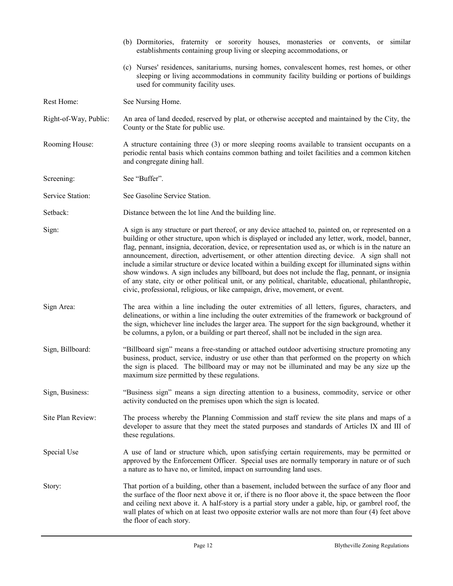|                       | (b) Dormitories, fraternity or sorority houses, monasteries or convents, or similar<br>establishments containing group living or sleeping accommodations, or                                                                                                                                                                                                                                                                                                                                                                                                                                                                                                                                                                                                                                                          |  |  |  |  |  |  |  |  |  |
|-----------------------|-----------------------------------------------------------------------------------------------------------------------------------------------------------------------------------------------------------------------------------------------------------------------------------------------------------------------------------------------------------------------------------------------------------------------------------------------------------------------------------------------------------------------------------------------------------------------------------------------------------------------------------------------------------------------------------------------------------------------------------------------------------------------------------------------------------------------|--|--|--|--|--|--|--|--|--|
|                       | (c) Nurses' residences, sanitariums, nursing homes, convalescent homes, rest homes, or other<br>sleeping or living accommodations in community facility building or portions of buildings<br>used for community facility uses.                                                                                                                                                                                                                                                                                                                                                                                                                                                                                                                                                                                        |  |  |  |  |  |  |  |  |  |
| Rest Home:            | See Nursing Home.                                                                                                                                                                                                                                                                                                                                                                                                                                                                                                                                                                                                                                                                                                                                                                                                     |  |  |  |  |  |  |  |  |  |
| Right-of-Way, Public: | An area of land deeded, reserved by plat, or otherwise accepted and maintained by the City, the<br>County or the State for public use.                                                                                                                                                                                                                                                                                                                                                                                                                                                                                                                                                                                                                                                                                |  |  |  |  |  |  |  |  |  |
| Rooming House:        | A structure containing three (3) or more sleeping rooms available to transient occupants on a<br>periodic rental basis which contains common bathing and toilet facilities and a common kitchen<br>and congregate dining hall.                                                                                                                                                                                                                                                                                                                                                                                                                                                                                                                                                                                        |  |  |  |  |  |  |  |  |  |
| Screening:            | See "Buffer".                                                                                                                                                                                                                                                                                                                                                                                                                                                                                                                                                                                                                                                                                                                                                                                                         |  |  |  |  |  |  |  |  |  |
| Service Station:      | See Gasoline Service Station.                                                                                                                                                                                                                                                                                                                                                                                                                                                                                                                                                                                                                                                                                                                                                                                         |  |  |  |  |  |  |  |  |  |
| Setback:              | Distance between the lot line And the building line.                                                                                                                                                                                                                                                                                                                                                                                                                                                                                                                                                                                                                                                                                                                                                                  |  |  |  |  |  |  |  |  |  |
| Sign:                 | A sign is any structure or part thereof, or any device attached to, painted on, or represented on a<br>building or other structure, upon which is displayed or included any letter, work, model, banner,<br>flag, pennant, insignia, decoration, device, or representation used as, or which is in the nature an<br>announcement, direction, advertisement, or other attention directing device. A sign shall not<br>include a similar structure or device located within a building except for illuminated signs within<br>show windows. A sign includes any billboard, but does not include the flag, pennant, or insignia<br>of any state, city or other political unit, or any political, charitable, educational, philanthropic,<br>civic, professional, religious, or like campaign, drive, movement, or event. |  |  |  |  |  |  |  |  |  |
| Sign Area:            | The area within a line including the outer extremities of all letters, figures, characters, and<br>delineations, or within a line including the outer extremities of the framework or background of<br>the sign, whichever line includes the larger area. The support for the sign background, whether it<br>be columns, a pylon, or a building or part thereof, shall not be included in the sign area.                                                                                                                                                                                                                                                                                                                                                                                                              |  |  |  |  |  |  |  |  |  |
| Sign, Billboard:      | "Billboard sign" means a free-standing or attached outdoor advertising structure promoting any<br>business, product, service, industry or use other than that performed on the property on which<br>the sign is placed. The billboard may or may not be illuminated and may be any size up the<br>maximum size permitted by these regulations.                                                                                                                                                                                                                                                                                                                                                                                                                                                                        |  |  |  |  |  |  |  |  |  |
| Sign, Business:       | "Business sign" means a sign directing attention to a business, commodity, service or other<br>activity conducted on the premises upon which the sign is located.                                                                                                                                                                                                                                                                                                                                                                                                                                                                                                                                                                                                                                                     |  |  |  |  |  |  |  |  |  |
| Site Plan Review:     | The process whereby the Planning Commission and staff review the site plans and maps of a<br>developer to assure that they meet the stated purposes and standards of Articles IX and III of<br>these regulations.                                                                                                                                                                                                                                                                                                                                                                                                                                                                                                                                                                                                     |  |  |  |  |  |  |  |  |  |
| Special Use           | A use of land or structure which, upon satisfying certain requirements, may be permitted or<br>approved by the Enforcement Officer. Special uses are normally temporary in nature or of such<br>a nature as to have no, or limited, impact on surrounding land uses.                                                                                                                                                                                                                                                                                                                                                                                                                                                                                                                                                  |  |  |  |  |  |  |  |  |  |
| Story:                | That portion of a building, other than a basement, included between the surface of any floor and<br>the surface of the floor next above it or, if there is no floor above it, the space between the floor<br>and ceiling next above it. A half-story is a partial story under a gable, hip, or gambrel roof, the<br>wall plates of which on at least two opposite exterior walls are not more than four (4) feet above<br>the floor of each story.                                                                                                                                                                                                                                                                                                                                                                    |  |  |  |  |  |  |  |  |  |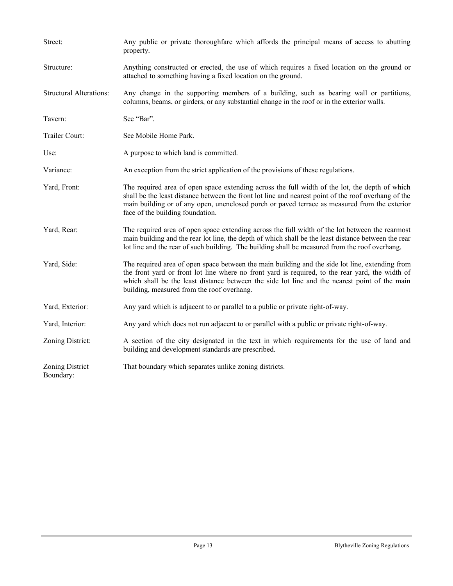| Street:                        | Any public or private thoroughfare which affords the principal means of access to abutting<br>property.                                                                                                                                                                                                                                            |  |  |  |  |  |  |  |
|--------------------------------|----------------------------------------------------------------------------------------------------------------------------------------------------------------------------------------------------------------------------------------------------------------------------------------------------------------------------------------------------|--|--|--|--|--|--|--|
| Structure:                     | Anything constructed or erected, the use of which requires a fixed location on the ground or<br>attached to something having a fixed location on the ground.                                                                                                                                                                                       |  |  |  |  |  |  |  |
| <b>Structural Alterations:</b> | Any change in the supporting members of a building, such as bearing wall or partitions,<br>columns, beams, or girders, or any substantial change in the roof or in the exterior walls.                                                                                                                                                             |  |  |  |  |  |  |  |
| Tavern:                        | See "Bar".                                                                                                                                                                                                                                                                                                                                         |  |  |  |  |  |  |  |
| Trailer Court:                 | See Mobile Home Park.                                                                                                                                                                                                                                                                                                                              |  |  |  |  |  |  |  |
| Use:                           | A purpose to which land is committed.                                                                                                                                                                                                                                                                                                              |  |  |  |  |  |  |  |
| Variance:                      | An exception from the strict application of the provisions of these regulations.                                                                                                                                                                                                                                                                   |  |  |  |  |  |  |  |
| Yard, Front:                   | The required area of open space extending across the full width of the lot, the depth of which<br>shall be the least distance between the front lot line and nearest point of the roof overhang of the<br>main building or of any open, unenclosed porch or paved terrace as measured from the exterior<br>face of the building foundation.        |  |  |  |  |  |  |  |
| Yard, Rear:                    | The required area of open space extending across the full width of the lot between the rearmost<br>main building and the rear lot line, the depth of which shall be the least distance between the rear<br>lot line and the rear of such building. The building shall be measured from the roof overhang.                                          |  |  |  |  |  |  |  |
| Yard, Side:                    | The required area of open space between the main building and the side lot line, extending from<br>the front yard or front lot line where no front yard is required, to the rear yard, the width of<br>which shall be the least distance between the side lot line and the nearest point of the main<br>building, measured from the roof overhang. |  |  |  |  |  |  |  |
| Yard, Exterior:                | Any yard which is adjacent to or parallel to a public or private right-of-way.                                                                                                                                                                                                                                                                     |  |  |  |  |  |  |  |
| Yard, Interior:                | Any yard which does not run adjacent to or parallel with a public or private right-of-way.                                                                                                                                                                                                                                                         |  |  |  |  |  |  |  |
| Zoning District:               | A section of the city designated in the text in which requirements for the use of land and<br>building and development standards are prescribed.                                                                                                                                                                                                   |  |  |  |  |  |  |  |
| Zoning District<br>Boundary:   | That boundary which separates unlike zoning districts.                                                                                                                                                                                                                                                                                             |  |  |  |  |  |  |  |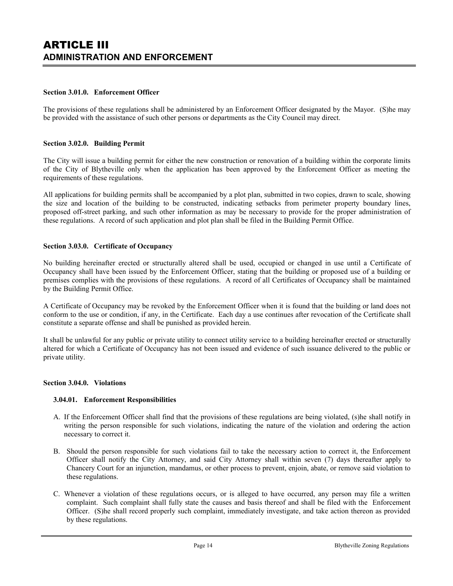#### **Section 3.01.0. Enforcement Officer**

The provisions of these regulations shall be administered by an Enforcement Officer designated by the Mayor. (S)he may be provided with the assistance of such other persons or departments as the City Council may direct.

#### **Section 3.02.0. Building Permit**

The City will issue a building permit for either the new construction or renovation of a building within the corporate limits of the City of Blytheville only when the application has been approved by the Enforcement Officer as meeting the requirements of these regulations.

All applications for building permits shall be accompanied by a plot plan, submitted in two copies, drawn to scale, showing the size and location of the building to be constructed, indicating setbacks from perimeter property boundary lines, proposed off-street parking, and such other information as may be necessary to provide for the proper administration of these regulations. A record of such application and plot plan shall be filed in the Building Permit Office.

#### **Section 3.03.0. Certificate of Occupancy**

No building hereinafter erected or structurally altered shall be used, occupied or changed in use until a Certificate of Occupancy shall have been issued by the Enforcement Officer, stating that the building or proposed use of a building or premises complies with the provisions of these regulations. A record of all Certificates of Occupancy shall be maintained by the Building Permit Office.

A Certificate of Occupancy may be revoked by the Enforcement Officer when it is found that the building or land does not conform to the use or condition, if any, in the Certificate. Each day a use continues after revocation of the Certificate shall constitute a separate offense and shall be punished as provided herein.

It shall be unlawful for any public or private utility to connect utility service to a building hereinafter erected or structurally altered for which a Certificate of Occupancy has not been issued and evidence of such issuance delivered to the public or private utility.

#### **Section 3.04.0. Violations**

#### **3.04.01. Enforcement Responsibilities**

- A. If the Enforcement Officer shall find that the provisions of these regulations are being violated, (s)he shall notify in writing the person responsible for such violations, indicating the nature of the violation and ordering the action necessary to correct it.
- B. Should the person responsible for such violations fail to take the necessary action to correct it, the Enforcement Officer shall notify the City Attorney, and said City Attorney shall within seven (7) days thereafter apply to Chancery Court for an injunction, mandamus, or other process to prevent, enjoin, abate, or remove said violation to these regulations.
- C. Whenever a violation of these regulations occurs, or is alleged to have occurred, any person may file a written complaint. Such complaint shall fully state the causes and basis thereof and shall be filed with the Enforcement Officer. (S)he shall record properly such complaint, immediately investigate, and take action thereon as provided by these regulations.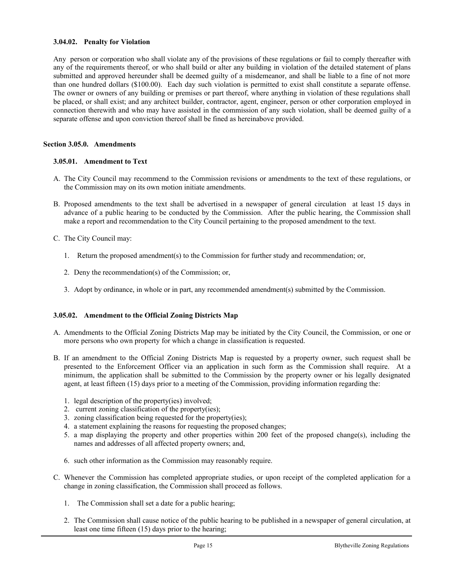#### **3.04.02. Penalty for Violation**

Any person or corporation who shall violate any of the provisions of these regulations or fail to comply thereafter with any of the requirements thereof, or who shall build or alter any building in violation of the detailed statement of plans submitted and approved hereunder shall be deemed guilty of a misdemeanor, and shall be liable to a fine of not more than one hundred dollars (\$100.00). Each day such violation is permitted to exist shall constitute a separate offense. The owner or owners of any building or premises or part thereof, where anything in violation of these regulations shall be placed, or shall exist; and any architect builder, contractor, agent, engineer, person or other corporation employed in connection therewith and who may have assisted in the commission of any such violation, shall be deemed guilty of a separate offense and upon conviction thereof shall be fined as hereinabove provided.

#### **Section 3.05.0. Amendments**

#### **3.05.01. Amendment to Text**

- A. The City Council may recommend to the Commission revisions or amendments to the text of these regulations, or the Commission may on its own motion initiate amendments.
- B. Proposed amendments to the text shall be advertised in a newspaper of general circulation at least 15 days in advance of a public hearing to be conducted by the Commission. After the public hearing, the Commission shall make a report and recommendation to the City Council pertaining to the proposed amendment to the text.
- C. The City Council may:
	- 1. Return the proposed amendment(s) to the Commission for further study and recommendation; or,
	- 2. Deny the recommendation(s) of the Commission; or,
	- 3. Adopt by ordinance, in whole or in part, any recommended amendment(s) submitted by the Commission.

#### **3.05.02. Amendment to the Official Zoning Districts Map**

- A. Amendments to the Official Zoning Districts Map may be initiated by the City Council, the Commission, or one or more persons who own property for which a change in classification is requested.
- B. If an amendment to the Official Zoning Districts Map is requested by a property owner, such request shall be presented to the Enforcement Officer via an application in such form as the Commission shall require. At a minimum, the application shall be submitted to the Commission by the property owner or his legally designated agent, at least fifteen (15) days prior to a meeting of the Commission, providing information regarding the:
	- 1. legal description of the property(ies) involved;
	- 2. current zoning classification of the property(ies);
	- 3. zoning classification being requested for the property(ies);
	- 4. a statement explaining the reasons for requesting the proposed changes;
	- 5. a map displaying the property and other properties within 200 feet of the proposed change(s), including the names and addresses of all affected property owners; and,
	- 6. such other information as the Commission may reasonably require.
- C. Whenever the Commission has completed appropriate studies, or upon receipt of the completed application for a change in zoning classification, the Commission shall proceed as follows.
	- 1. The Commission shall set a date for a public hearing;
	- 2. The Commission shall cause notice of the public hearing to be published in a newspaper of general circulation, at least one time fifteen (15) days prior to the hearing;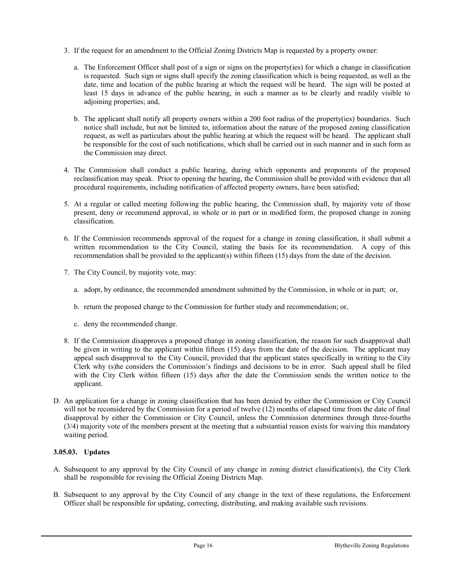- 3. If the request for an amendment to the Official Zoning Districts Map is requested by a property owner:
	- a. The Enforcement Officer shall post of a sign or signs on the property(ies) for which a change in classification is requested. Such sign or signs shall specify the zoning classification which is being requested, as well as the date, time and location of the public hearing at which the request will be heard. The sign will be posted at least 15 days in advance of the public hearing, in such a manner as to be clearly and readily visible to adjoining properties; and,
	- b. The applicant shall notify all property owners within a 200 foot radius of the property(ies) boundaries. Such notice shall include, but not be limited to, information about the nature of the proposed zoning classification request, as well as particulars about the public hearing at which the request will be heard. The applicant shall be responsible for the cost of such notifications, which shall be carried out in such manner and in such form as the Commission may direct.
- 4. The Commission shall conduct a public hearing, during which opponents and proponents of the proposed reclassification may speak. Prior to opening the hearing, the Commission shall be provided with evidence that all procedural requirements, including notification of affected property owners, have been satisfied;
- 5. At a regular or called meeting following the public hearing, the Commission shall, by majority vote of those present, deny or recommend approval, in whole or in part or in modified form, the proposed change in zoning classification.
- 6. If the Commission recommends approval of the request for a change in zoning classification, it shall submit a written recommendation to the City Council, stating the basis for its recommendation. A copy of this recommendation shall be provided to the applicant(s) within fifteen (15) days from the date of the decision.
- 7. The City Council, by majority vote, may:
	- a. adopt, by ordinance, the recommended amendment submitted by the Commission, in whole or in part; or,
	- b. return the proposed change to the Commission for further study and recommendation; or,
	- c. deny the recommended change.
- 8. If the Commission disapproves a proposed change in zoning classification, the reason for such disapproval shall be given in writing to the applicant within fifteen (15) days from the date of the decision. The applicant may appeal such disapproval to the City Council, provided that the applicant states specifically in writing to the City Clerk why (s)he considers the Commission's findings and decisions to be in error. Such appeal shall be filed with the City Clerk within fifteen (15) days after the date the Commission sends the written notice to the applicant.
- D. An application for a change in zoning classification that has been denied by either the Commission or City Council will not be reconsidered by the Commission for a period of twelve (12) months of elapsed time from the date of final disapproval by either the Commission or City Council, unless the Commission determines through three-fourths (3/4) majority vote of the members present at the meeting that a substantial reason exists for waiving this mandatory waiting period.

#### **3.05.03. Updates**

- A. Subsequent to any approval by the City Council of any change in zoning district classification(s), the City Clerk shall be responsible for revising the Official Zoning Districts Map.
- B. Subsequent to any approval by the City Council of any change in the text of these regulations, the Enforcement Officer shall be responsible for updating, correcting, distributing, and making available such revisions.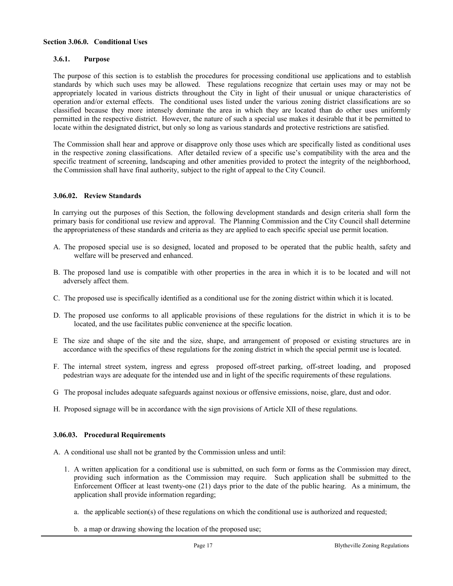#### **Section 3.06.0. Conditional Uses**

#### **3.6.1. Purpose**

The purpose of this section is to establish the procedures for processing conditional use applications and to establish standards by which such uses may be allowed. These regulations recognize that certain uses may or may not be appropriately located in various districts throughout the City in light of their unusual or unique characteristics of operation and/or external effects. The conditional uses listed under the various zoning district classifications are so classified because they more intensely dominate the area in which they are located than do other uses uniformly permitted in the respective district. However, the nature of such a special use makes it desirable that it be permitted to locate within the designated district, but only so long as various standards and protective restrictions are satisfied.

The Commission shall hear and approve or disapprove only those uses which are specifically listed as conditional uses in the respective zoning classifications. After detailed review of a specific use's compatibility with the area and the specific treatment of screening, landscaping and other amenities provided to protect the integrity of the neighborhood, the Commission shall have final authority, subject to the right of appeal to the City Council.

#### **3.06.02. Review Standards**

In carrying out the purposes of this Section, the following development standards and design criteria shall form the primary basis for conditional use review and approval. The Planning Commission and the City Council shall determine the appropriateness of these standards and criteria as they are applied to each specific special use permit location.

- A. The proposed special use is so designed, located and proposed to be operated that the public health, safety and welfare will be preserved and enhanced.
- B. The proposed land use is compatible with other properties in the area in which it is to be located and will not adversely affect them.
- C. The proposed use is specifically identified as a conditional use for the zoning district within which it is located.
- D. The proposed use conforms to all applicable provisions of these regulations for the district in which it is to be located, and the use facilitates public convenience at the specific location.
- E The size and shape of the site and the size, shape, and arrangement of proposed or existing structures are in accordance with the specifics of these regulations for the zoning district in which the special permit use is located.
- F. The internal street system, ingress and egress proposed off-street parking, off-street loading, and proposed pedestrian ways are adequate for the intended use and in light of the specific requirements of these regulations.
- G The proposal includes adequate safeguards against noxious or offensive emissions, noise, glare, dust and odor.
- H. Proposed signage will be in accordance with the sign provisions of Article XII of these regulations.

#### **3.06.03. Procedural Requirements**

- A. A conditional use shall not be granted by the Commission unless and until:
	- 1. A written application for a conditional use is submitted, on such form or forms as the Commission may direct, providing such information as the Commission may require. Such application shall be submitted to the Enforcement Officer at least twenty-one (21) days prior to the date of the public hearing. As a minimum, the application shall provide information regarding;
		- a. the applicable section(s) of these regulations on which the conditional use is authorized and requested;
		- b. a map or drawing showing the location of the proposed use;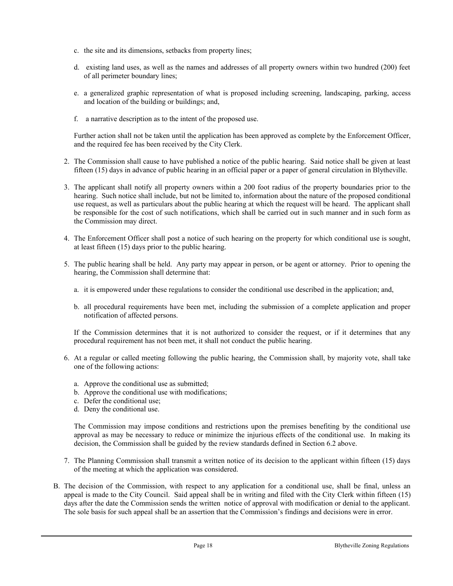- c. the site and its dimensions, setbacks from property lines;
- d. existing land uses, as well as the names and addresses of all property owners within two hundred (200) feet of all perimeter boundary lines;
- e. a generalized graphic representation of what is proposed including screening, landscaping, parking, access and location of the building or buildings; and,
- f. a narrative description as to the intent of the proposed use.

Further action shall not be taken until the application has been approved as complete by the Enforcement Officer, and the required fee has been received by the City Clerk.

- 2. The Commission shall cause to have published a notice of the public hearing. Said notice shall be given at least fifteen (15) days in advance of public hearing in an official paper or a paper of general circulation in Blytheville.
- 3. The applicant shall notify all property owners within a 200 foot radius of the property boundaries prior to the hearing. Such notice shall include, but not be limited to, information about the nature of the proposed conditional use request, as well as particulars about the public hearing at which the request will be heard. The applicant shall be responsible for the cost of such notifications, which shall be carried out in such manner and in such form as the Commission may direct.
- 4. The Enforcement Officer shall post a notice of such hearing on the property for which conditional use is sought, at least fifteen (15) days prior to the public hearing.
- 5. The public hearing shall be held. Any party may appear in person, or be agent or attorney. Prior to opening the hearing, the Commission shall determine that:
	- a. it is empowered under these regulations to consider the conditional use described in the application; and,
	- b. all procedural requirements have been met, including the submission of a complete application and proper notification of affected persons.

If the Commission determines that it is not authorized to consider the request, or if it determines that any procedural requirement has not been met, it shall not conduct the public hearing.

- 6. At a regular or called meeting following the public hearing, the Commission shall, by majority vote, shall take one of the following actions:
	- a. Approve the conditional use as submitted;
	- b. Approve the conditional use with modifications;
	- c. Defer the conditional use;
	- d. Deny the conditional use.

The Commission may impose conditions and restrictions upon the premises benefiting by the conditional use approval as may be necessary to reduce or minimize the injurious effects of the conditional use. In making its decision, the Commission shall be guided by the review standards defined in Section 6.2 above.

- 7. The Planning Commission shall transmit a written notice of its decision to the applicant within fifteen (15) days of the meeting at which the application was considered.
- B. The decision of the Commission, with respect to any application for a conditional use, shall be final, unless an appeal is made to the City Council. Said appeal shall be in writing and filed with the City Clerk within fifteen (15) days after the date the Commission sends the written notice of approval with modification or denial to the applicant. The sole basis for such appeal shall be an assertion that the Commission's findings and decisions were in error.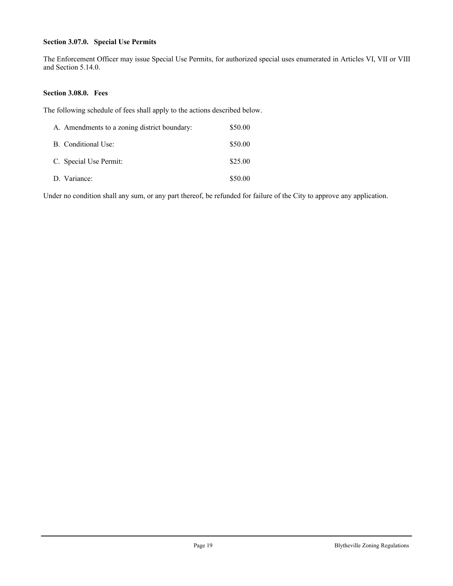#### **Section 3.07.0. Special Use Permits**

The Enforcement Officer may issue Special Use Permits, for authorized special uses enumerated in Articles VI, VII or VIII and Section 5.14.0.

#### **Section 3.08.0. Fees**

The following schedule of fees shall apply to the actions described below.

| A. Amendments to a zoning district boundary: | \$50.00 |
|----------------------------------------------|---------|
| B. Conditional Use:                          | \$50.00 |
| C. Special Use Permit:                       | \$25.00 |
| D. Variance:                                 | \$50.00 |

Under no condition shall any sum, or any part thereof, be refunded for failure of the City to approve any application.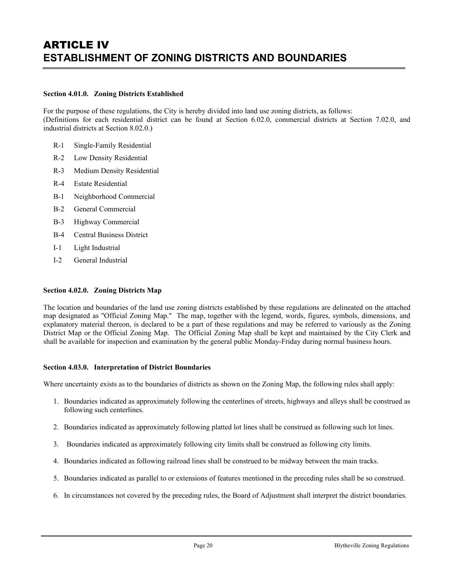# ARTICLE IV **ESTABLISHMENT OF ZONING DISTRICTS AND BOUNDARIES**

#### **Section 4.01.0. Zoning Districts Established**

For the purpose of these regulations, the City is hereby divided into land use zoning districts, as follows: (Definitions for each residential district can be found at Section 6.02.0, commercial districts at Section 7.02.0, and industrial districts at Section 8.02.0.)

- R-1 Single-Family Residential
- R-2 Low Density Residential
- R-3 Medium Density Residential
- R-4 Estate Residential
- B-1 Neighborhood Commercial
- B-2 General Commercial
- B-3 Highway Commercial
- B-4 Central Business District
- I-1 Light Industrial
- I-2 General Industrial

#### **Section 4.02.0. Zoning Districts Map**

The location and boundaries of the land use zoning districts established by these regulations are delineated on the attached map designated as "Official Zoning Map." The map, together with the legend, words, figures, symbols, dimensions, and explanatory material thereon, is declared to be a part of these regulations and may be referred to variously as the Zoning District Map or the Official Zoning Map. The Official Zoning Map shall be kept and maintained by the City Clerk and shall be available for inspection and examination by the general public Monday-Friday during normal business hours.

#### **Section 4.03.0. Interpretation of District Boundaries**

Where uncertainty exists as to the boundaries of districts as shown on the Zoning Map, the following rules shall apply:

- 1. Boundaries indicated as approximately following the centerlines of streets, highways and alleys shall be construed as following such centerlines.
- 2. Boundaries indicated as approximately following platted lot lines shall be construed as following such lot lines.
- 3. Boundaries indicated as approximately following city limits shall be construed as following city limits.
- 4. Boundaries indicated as following railroad lines shall be construed to be midway between the main tracks.
- 5. Boundaries indicated as parallel to or extensions of features mentioned in the preceding rules shall be so construed.
- 6. In circumstances not covered by the preceding rules, the Board of Adjustment shall interpret the district boundaries.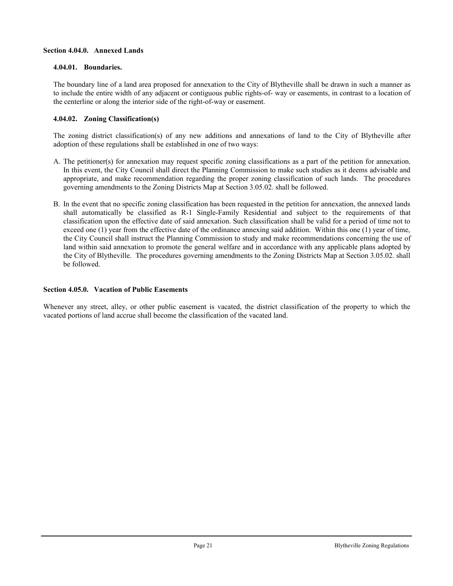#### **Section 4.04.0. Annexed Lands**

#### **4.04.01. Boundaries.**

The boundary line of a land area proposed for annexation to the City of Blytheville shall be drawn in such a manner as to include the entire width of any adjacent or contiguous public rights-of- way or easements, in contrast to a location of the centerline or along the interior side of the right-of-way or easement.

#### **4.04.02. Zoning Classification(s)**

The zoning district classification(s) of any new additions and annexations of land to the City of Blytheville after adoption of these regulations shall be established in one of two ways:

- A. The petitioner(s) for annexation may request specific zoning classifications as a part of the petition for annexation. In this event, the City Council shall direct the Planning Commission to make such studies as it deems advisable and appropriate, and make recommendation regarding the proper zoning classification of such lands. The procedures governing amendments to the Zoning Districts Map at Section 3.05.02. shall be followed.
- B. In the event that no specific zoning classification has been requested in the petition for annexation, the annexed lands shall automatically be classified as R-1 Single-Family Residential and subject to the requirements of that classification upon the effective date of said annexation. Such classification shall be valid for a period of time not to exceed one (1) year from the effective date of the ordinance annexing said addition. Within this one (1) year of time, the City Council shall instruct the Planning Commission to study and make recommendations concerning the use of land within said annexation to promote the general welfare and in accordance with any applicable plans adopted by the City of Blytheville. The procedures governing amendments to the Zoning Districts Map at Section 3.05.02. shall be followed.

#### **Section 4.05.0. Vacation of Public Easements**

Whenever any street, alley, or other public easement is vacated, the district classification of the property to which the vacated portions of land accrue shall become the classification of the vacated land.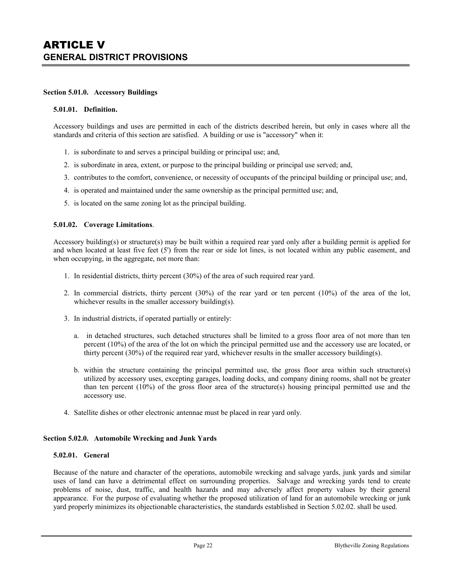#### **Section 5.01.0. Accessory Buildings**

#### **5.01.01. Definition.**

Accessory buildings and uses are permitted in each of the districts described herein, but only in cases where all the standards and criteria of this section are satisfied. A building or use is "accessory" when it:

- 1. is subordinate to and serves a principal building or principal use; and,
- 2. is subordinate in area, extent, or purpose to the principal building or principal use served; and,
- 3. contributes to the comfort, convenience, or necessity of occupants of the principal building or principal use; and,
- 4. is operated and maintained under the same ownership as the principal permitted use; and,
- 5. is located on the same zoning lot as the principal building.

#### **5.01.02. Coverage Limitations**.

Accessory building(s) or structure(s) may be built within a required rear yard only after a building permit is applied for and when located at least five feet (5') from the rear or side lot lines, is not located within any public easement, and when occupying, in the aggregate, not more than:

- 1. In residential districts, thirty percent (30%) of the area of such required rear yard.
- 2. In commercial districts, thirty percent (30%) of the rear yard or ten percent (10%) of the area of the lot, whichever results in the smaller accessory building(s).
- 3. In industrial districts, if operated partially or entirely:
	- a. in detached structures, such detached structures shall be limited to a gross floor area of not more than ten percent (10%) of the area of the lot on which the principal permitted use and the accessory use are located, or thirty percent (30%) of the required rear yard, whichever results in the smaller accessory building(s).
	- b. within the structure containing the principal permitted use, the gross floor area within such structure(s) utilized by accessory uses, excepting garages, loading docks, and company dining rooms, shall not be greater than ten percent  $(10\%)$  of the gross floor area of the structure(s) housing principal permitted use and the accessory use.
- 4. Satellite dishes or other electronic antennae must be placed in rear yard only.

#### **Section 5.02.0. Automobile Wrecking and Junk Yards**

#### **5.02.01. General**

Because of the nature and character of the operations, automobile wrecking and salvage yards, junk yards and similar uses of land can have a detrimental effect on surrounding properties. Salvage and wrecking yards tend to create problems of noise, dust, traffic, and health hazards and may adversely affect property values by their general appearance. For the purpose of evaluating whether the proposed utilization of land for an automobile wrecking or junk yard properly minimizes its objectionable characteristics, the standards established in Section 5.02.02. shall be used.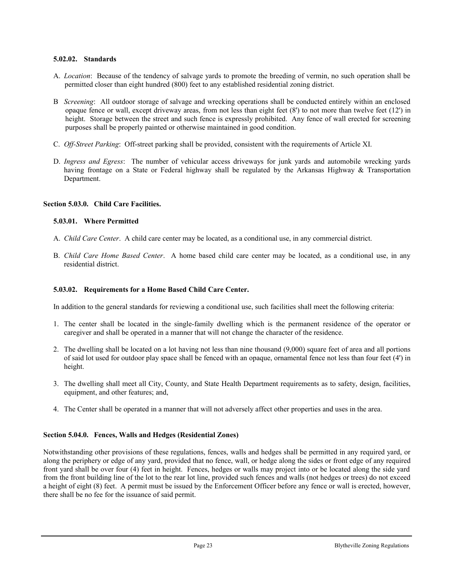#### **5.02.02. Standards**

- A. *Location*: Because of the tendency of salvage yards to promote the breeding of vermin, no such operation shall be permitted closer than eight hundred (800) feet to any established residential zoning district.
- B *Screening*: All outdoor storage of salvage and wrecking operations shall be conducted entirely within an enclosed opaque fence or wall, except driveway areas, from not less than eight feet (8') to not more than twelve feet (12') in height. Storage between the street and such fence is expressly prohibited. Any fence of wall erected for screening purposes shall be properly painted or otherwise maintained in good condition.
- C. *Off-Street Parking*: Off-street parking shall be provided, consistent with the requirements of Article XI.
- D. *Ingress and Egress*: The number of vehicular access driveways for junk yards and automobile wrecking yards having frontage on a State or Federal highway shall be regulated by the Arkansas Highway & Transportation Department.

#### **Section 5.03.0. Child Care Facilities.**

#### **5.03.01. Where Permitted**

- A. *Child Care Center*. A child care center may be located, as a conditional use, in any commercial district.
- B. *Child Care Home Based Center*. A home based child care center may be located, as a conditional use, in any residential district.

#### **5.03.02. Requirements for a Home Based Child Care Center.**

In addition to the general standards for reviewing a conditional use, such facilities shall meet the following criteria:

- 1. The center shall be located in the single-family dwelling which is the permanent residence of the operator or caregiver and shall be operated in a manner that will not change the character of the residence.
- 2. The dwelling shall be located on a lot having not less than nine thousand (9,000) square feet of area and all portions of said lot used for outdoor play space shall be fenced with an opaque, ornamental fence not less than four feet (4') in height.
- 3. The dwelling shall meet all City, County, and State Health Department requirements as to safety, design, facilities, equipment, and other features; and,
- 4. The Center shall be operated in a manner that will not adversely affect other properties and uses in the area.

#### **Section 5.04.0. Fences, Walls and Hedges (Residential Zones)**

Notwithstanding other provisions of these regulations, fences, walls and hedges shall be permitted in any required yard, or along the periphery or edge of any yard, provided that no fence, wall, or hedge along the sides or front edge of any required front yard shall be over four (4) feet in height. Fences, hedges or walls may project into or be located along the side yard from the front building line of the lot to the rear lot line, provided such fences and walls (not hedges or trees) do not exceed a height of eight (8) feet. A permit must be issued by the Enforcement Officer before any fence or wall is erected, however, there shall be no fee for the issuance of said permit.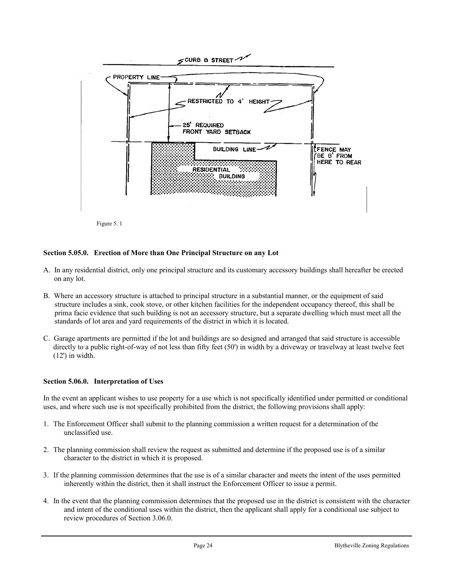

Figure 5. 1

#### **Section 5.05.0. Erection of More than One Principal Structure on any Lot**

- A. In any residential district, only one principal structure and its customary accessory buildings shall hereafter be erected on any lot.
- B. Where an accessory structure is attached to principal structure in a substantial manner, or the equipment of said structure includes a sink, cook stove, or other kitchen facilities for the independent occupancy thereof, this shall be prima facie evidence that such building is not an accessory structure, but a separate dwelling which must meet all the standards of lot area and yard requirements of the district in which it is located.
- C. Garage apartments are permitted if the lot and buildings are so designed and arranged that said structure is accessible directly to a public right-of-way of not less than fifty feet (50') in width by a driveway or travelway at least twelve feet (12') in width.

#### **Section 5.06.0. Interpretation of Uses**

In the event an applicant wishes to use property for a use which is not specifically identified under permitted or conditional uses, and where such use is not specifically prohibited from the district, the following provisions shall apply:

- 1. The Enforcement Officer shall submit to the planning commission a written request for a determination of the unclassified use.
- 2. The planning commission shall review the request as submitted and determine if the proposed use is of a similar character to the district in which it is proposed.
- 3. If the planning commission determines that the use is of a similar character and meets the intent of the uses permitted inherently within the district, then it shall instruct the Enforcement Officer to issue a permit.
- 4. In the event that the planning commission determines that the proposed use in the district is consistent with the character and intent of the conditional uses within the district, then the applicant shall apply for a conditional use subject to review procedures of Section 3.06.0.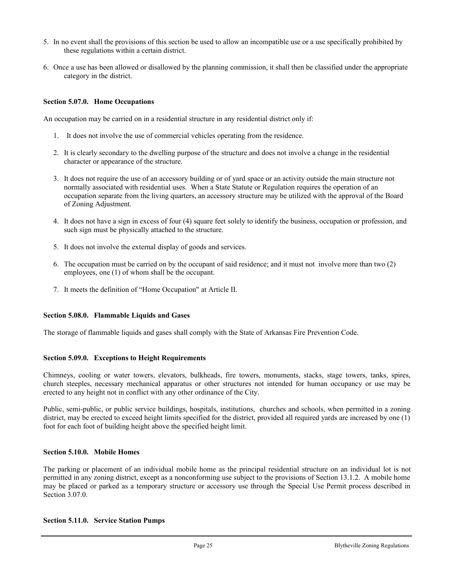- 5. In no event shall the provisions of this section be used to allow an incompatible use or a use specifically prohibited by these regulations within a certain district.
- 6. Once a use has been allowed or disallowed by the planning commission, it shall then be classified under the appropriate category in the district.

#### **Section 5.07.0. Home Occupations**

An occupation may be carried on in a residential structure in any residential district only if:

- 1. It does not involve the use of commercial vehicles operating from the residence.
- 2. It is clearly secondary to the dwelling purpose of the structure and does not involve a change in the residential character or appearance of the structure.
- 3. It does not require the use of an accessory building or of yard space or an activity outside the main structure not normally associated with residential uses. When a State Statute or Regulation requires the operation of an occupation separate from the living quarters, an accessory structure may be utilized with the approval of the Board of Zoning Adjustment.
- 4. It does not have a sign in excess of four (4) square feet solely to identify the business, occupation or profession, and such sign must be physically attached to the structure.
- 5. It does not involve the external display of goods and services.
- 6. The occupation must be carried on by the occupant of said residence; and it must not involve more than two (2) employees, one (1) of whom shall be the occupant.
- 7. It meets the definition of "Home Occupation" at Article II.

#### **Section 5.08.0. Flammable Liquids and Gases**

The storage of flammable liquids and gases shall comply with the State of Arkansas Fire Prevention Code.

#### **Section 5.09.0. Exceptions to Height Requirements**

Chimneys, cooling or water towers, elevators, bulkheads, fire towers, monuments, stacks, stage towers, tanks, spires, church steeples, necessary mechanical apparatus or other structures not intended for human occupancy or use may be erected to any height not in conflict with any other ordinance of the City.

Public, semi-public, or public service buildings, hospitals, institutions, churches and schools, when permitted in a zoning district, may be erected to exceed height limits specified for the district, provided all required yards are increased by one (1) foot for each foot of building height above the specified height limit.

#### **Section 5.10.0. Mobile Homes**

The parking or placement of an individual mobile home as the principal residential structure on an individual lot is not permitted in any zoning district, except as a nonconforming use subject to the provisions of Section 13.1.2. A mobile home may be placed or parked as a temporary structure or accessory use through the Special Use Permit process described in Section 3.07.0.

#### **Section 5.11.0. Service Station Pumps**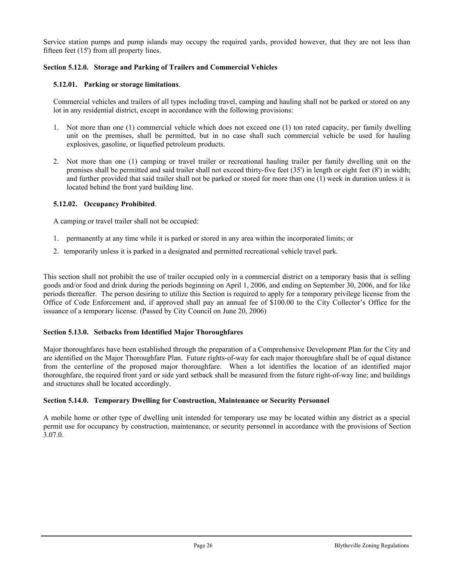Service station pumps and pump islands may occupy the required yards, provided however, that they are not less than fifteen feet (15') from all property lines.

#### **Section 5.12.0. Storage and Parking of Trailers and Commercial Vehicles**

#### **5.12.01. Parking or storage limitations**.

Commercial vehicles and trailers of all types including travel, camping and hauling shall not be parked or stored on any lot in any residential district, except in accordance with the following provisions:

- 1. Not more than one (1) commercial vehicle which does not exceed one (1) ton rated capacity, per family dwelling unit on the premises, shall be permitted, but in no case shall such commercial vehicle be used for hauling explosives, gasoline, or liquefied petroleum products.
- 2. Not more than one (1) camping or travel trailer or recreational hauling trailer per family dwelling unit on the premises shall be permitted and said trailer shall not exceed thirty-five feet (35') in length or eight feet (8') in width; and further provided that said trailer shall not be parked or stored for more than one (1) week in duration unless it is located behind the front yard building line.

#### **5.12.02. Occupancy Prohibited**.

A camping or travel trailer shall not be occupied:

- 1. permanently at any time while it is parked or stored in any area within the incorporated limits; or
- 2. temporarily unless it is parked in a designated and permitted recreational vehicle travel park.

This section shall not prohibit the use of trailer occupied only in a commercial district on a temporary basis that is selling goods and/or food and drink during the periods beginning on April 1, 2006, and ending on September 30, 2006, and for like periods thereafter. The person desiring to utilize this Section is required to apply for a temporary privilege license from the Office of Code Enforcement and, if approved shall pay an annual fee of \$100.00 to the City Collector's Office for the issuance of a temporary license. (Passed by City Council on June 20, 2006)

#### **Section 5.13.0. Setbacks from Identified Major Thoroughfares**

Major thoroughfares have been established through the preparation of a Comprehensive Development Plan for the City and are identified on the Major Thoroughfare Plan. Future rights-of-way for each major thoroughfare shall be of equal distance from the centerline of the proposed major thoroughfare. When a lot identifies the location of an identified major thoroughfare, the required front yard or side yard setback shall be measured from the future right-of-way line; and buildings and structures shall be located accordingly.

#### **Section 5.14.0. Temporary Dwelling for Construction, Maintenance or Security Personnel**

A mobile home or other type of dwelling unit intended for temporary use may be located within any district as a special permit use for occupancy by construction, maintenance, or security personnel in accordance with the provisions of Section 3.07.0.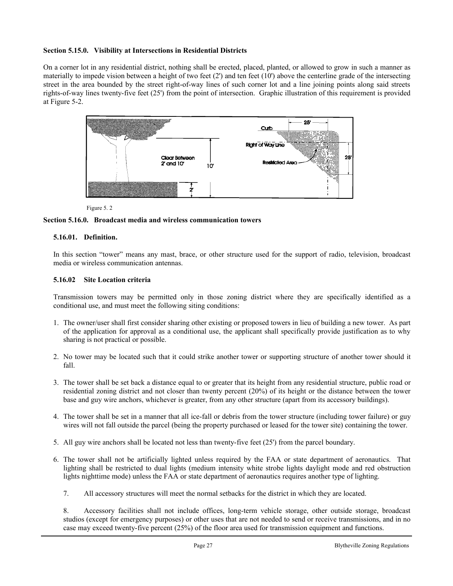#### **Section 5.15.0. Visibility at Intersections in Residential Districts**

On a corner lot in any residential district, nothing shall be erected, placed, planted, or allowed to grow in such a manner as materially to impede vision between a height of two feet (2') and ten feet (10') above the centerline grade of the intersecting street in the area bounded by the street right-of-way lines of such corner lot and a line joining points along said streets rights-of-way lines twenty-five feet (25') from the point of intersection. Graphic illustration of this requirement is provided at Figure 5-2.



Figure 5. 2

#### **Section 5.16.0. Broadcast media and wireless communication towers**

#### **5.16.01. Definition.**

In this section "tower" means any mast, brace, or other structure used for the support of radio, television, broadcast media or wireless communication antennas.

#### **5.16.02 Site Location criteria**

Transmission towers may be permitted only in those zoning district where they are specifically identified as a conditional use, and must meet the following siting conditions:

- 1. The owner/user shall first consider sharing other existing or proposed towers in lieu of building a new tower. As part of the application for approval as a conditional use, the applicant shall specifically provide justification as to why sharing is not practical or possible.
- 2. No tower may be located such that it could strike another tower or supporting structure of another tower should it fall.
- 3. The tower shall be set back a distance equal to or greater that its height from any residential structure, public road or residential zoning district and not closer than twenty percent (20%) of its height or the distance between the tower base and guy wire anchors, whichever is greater, from any other structure (apart from its accessory buildings).
- 4. The tower shall be set in a manner that all ice-fall or debris from the tower structure (including tower failure) or guy wires will not fall outside the parcel (being the property purchased or leased for the tower site) containing the tower.
- 5. All guy wire anchors shall be located not less than twenty-five feet (25') from the parcel boundary.
- 6. The tower shall not be artificially lighted unless required by the FAA or state department of aeronautics. That lighting shall be restricted to dual lights (medium intensity white strobe lights daylight mode and red obstruction lights nighttime mode) unless the FAA or state department of aeronautics requires another type of lighting.
	- 7. All accessory structures will meet the normal setbacks for the district in which they are located.

8. Accessory facilities shall not include offices, long-term vehicle storage, other outside storage, broadcast studios (except for emergency purposes) or other uses that are not needed to send or receive transmissions, and in no case may exceed twenty-five percent (25%) of the floor area used for transmission equipment and functions.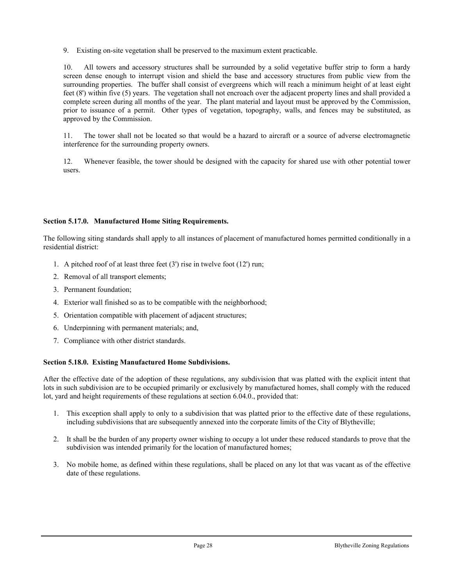9. Existing on-site vegetation shall be preserved to the maximum extent practicable.

10. All towers and accessory structures shall be surrounded by a solid vegetative buffer strip to form a hardy screen dense enough to interrupt vision and shield the base and accessory structures from public view from the surrounding properties. The buffer shall consist of evergreens which will reach a minimum height of at least eight feet (8') within five (5) years. The vegetation shall not encroach over the adjacent property lines and shall provided a complete screen during all months of the year. The plant material and layout must be approved by the Commission, prior to issuance of a permit. Other types of vegetation, topography, walls, and fences may be substituted, as approved by the Commission.

11. The tower shall not be located so that would be a hazard to aircraft or a source of adverse electromagnetic interference for the surrounding property owners.

12. Whenever feasible, the tower should be designed with the capacity for shared use with other potential tower users.

#### **Section 5.17.0. Manufactured Home Siting Requirements.**

The following siting standards shall apply to all instances of placement of manufactured homes permitted conditionally in a residential district:

- 1. A pitched roof of at least three feet (3') rise in twelve foot (12') run;
- 2. Removal of all transport elements;
- 3. Permanent foundation;
- 4. Exterior wall finished so as to be compatible with the neighborhood;
- 5. Orientation compatible with placement of adjacent structures;
- 6. Underpinning with permanent materials; and,
- 7. Compliance with other district standards.

#### **Section 5.18.0. Existing Manufactured Home Subdivisions.**

After the effective date of the adoption of these regulations, any subdivision that was platted with the explicit intent that lots in such subdivision are to be occupied primarily or exclusively by manufactured homes, shall comply with the reduced lot, yard and height requirements of these regulations at section 6.04.0., provided that:

- 1. This exception shall apply to only to a subdivision that was platted prior to the effective date of these regulations, including subdivisions that are subsequently annexed into the corporate limits of the City of Blytheville;
- 2. It shall be the burden of any property owner wishing to occupy a lot under these reduced standards to prove that the subdivision was intended primarily for the location of manufactured homes;
- 3. No mobile home, as defined within these regulations, shall be placed on any lot that was vacant as of the effective date of these regulations.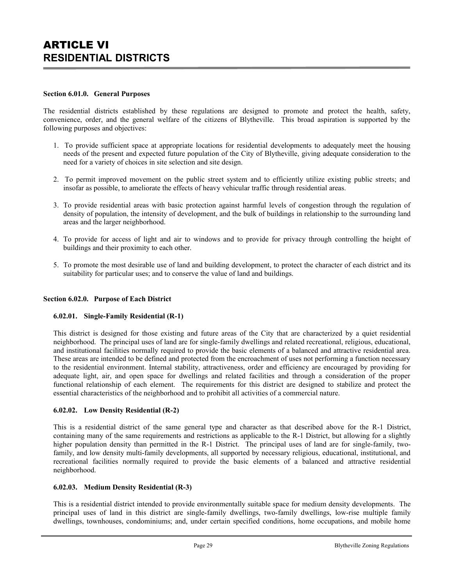# ARTICLE VI **RESIDENTIAL DISTRICTS**

#### **Section 6.01.0. General Purposes**

The residential districts established by these regulations are designed to promote and protect the health, safety, convenience, order, and the general welfare of the citizens of Blytheville. This broad aspiration is supported by the following purposes and objectives:

- 1. To provide sufficient space at appropriate locations for residential developments to adequately meet the housing needs of the present and expected future population of the City of Blytheville, giving adequate consideration to the need for a variety of choices in site selection and site design.
- 2. To permit improved movement on the public street system and to efficiently utilize existing public streets; and insofar as possible, to ameliorate the effects of heavy vehicular traffic through residential areas.
- 3. To provide residential areas with basic protection against harmful levels of congestion through the regulation of density of population, the intensity of development, and the bulk of buildings in relationship to the surrounding land areas and the larger neighborhood.
- 4. To provide for access of light and air to windows and to provide for privacy through controlling the height of buildings and their proximity to each other.
- 5. To promote the most desirable use of land and building development, to protect the character of each district and its suitability for particular uses; and to conserve the value of land and buildings.

#### **Section 6.02.0. Purpose of Each District**

#### **6.02.01. Single-Family Residential (R-1)**

This district is designed for those existing and future areas of the City that are characterized by a quiet residential neighborhood. The principal uses of land are for single-family dwellings and related recreational, religious, educational, and institutional facilities normally required to provide the basic elements of a balanced and attractive residential area. These areas are intended to be defined and protected from the encroachment of uses not performing a function necessary to the residential environment. Internal stability, attractiveness, order and efficiency are encouraged by providing for adequate light, air, and open space for dwellings and related facilities and through a consideration of the proper functional relationship of each element. The requirements for this district are designed to stabilize and protect the essential characteristics of the neighborhood and to prohibit all activities of a commercial nature.

#### **6.02.02. Low Density Residential (R-2)**

This is a residential district of the same general type and character as that described above for the R-1 District, containing many of the same requirements and restrictions as applicable to the R-1 District, but allowing for a slightly higher population density than permitted in the R-1 District. The principal uses of land are for single-family, twofamily, and low density multi-family developments, all supported by necessary religious, educational, institutional, and recreational facilities normally required to provide the basic elements of a balanced and attractive residential neighborhood.

#### **6.02.03. Medium Density Residential (R-3)**

This is a residential district intended to provide environmentally suitable space for medium density developments. The principal uses of land in this district are single-family dwellings, two-family dwellings, low-rise multiple family dwellings, townhouses, condominiums; and, under certain specified conditions, home occupations, and mobile home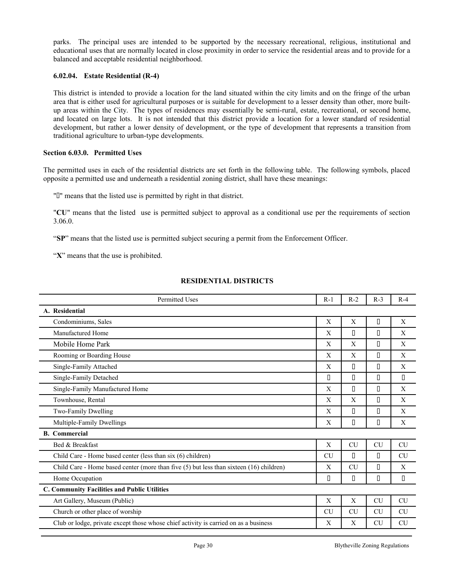parks. The principal uses are intended to be supported by the necessary recreational, religious, institutional and educational uses that are normally located in close proximity in order to service the residential areas and to provide for a balanced and acceptable residential neighborhood.

#### **6.02.04. Estate Residential (R-4)**

This district is intended to provide a location for the land situated within the city limits and on the fringe of the urban area that is either used for agricultural purposes or is suitable for development to a lesser density than other, more builtup areas within the City. The types of residences may essentially be semi-rural, estate, recreational, or second home, and located on large lots. It is not intended that this district provide a location for a lower standard of residential development, but rather a lower density of development, or the type of development that represents a transition from traditional agriculture to urban-type developments.

#### **Section 6.03.0. Permitted Uses**

The permitted uses in each of the residential districts are set forth in the following table. The following symbols, placed opposite a permitted use and underneath a residential zoning district, shall have these meanings:

""" means that the listed use is permitted by right in that district.

"**CU**" means that the listed use is permitted subject to approval as a conditional use per the requirements of section 3.06.0.

"**SP**" means that the listed use is permitted subject securing a permit from the Enforcement Officer.

"**X**" means that the use is prohibited.

#### **RESIDENTIAL DISTRICTS**

| <b>Permitted Uses</b>                                                                   | $R-1$     | $R-2$     | $R-3$                                  | $R-4$     |  |  |  |  |
|-----------------------------------------------------------------------------------------|-----------|-----------|----------------------------------------|-----------|--|--|--|--|
| A. Residential                                                                          |           |           |                                        |           |  |  |  |  |
| Condominiums, Sales                                                                     | X         | X         | $\Box$                                 | X         |  |  |  |  |
| Manufactured Home                                                                       | X         | П         | $\Box$                                 | X         |  |  |  |  |
| Mobile Home Park                                                                        | X         | X         | $\Box$                                 | X         |  |  |  |  |
| Rooming or Boarding House                                                               | X         | X         | $\Box$                                 | X         |  |  |  |  |
| Single-Family Attached                                                                  | X         | П         | $\Box$                                 | X         |  |  |  |  |
| Single-Family Detached                                                                  | П         | П         | $\Box$                                 | П         |  |  |  |  |
| Single-Family Manufactured Home                                                         | X         | П         | $\Box$                                 | X         |  |  |  |  |
| Townhouse, Rental                                                                       | X         | X         | $\Box$                                 | X         |  |  |  |  |
| Two-Family Dwelling                                                                     | X         | П         | $\Box$                                 | X         |  |  |  |  |
| Multiple-Family Dwellings                                                               | X         | П         | $\Box$                                 | X         |  |  |  |  |
| <b>B.</b> Commercial                                                                    |           |           |                                        |           |  |  |  |  |
| Bed & Breakfast                                                                         | X         | <b>CU</b> | <b>CU</b>                              | <b>CU</b> |  |  |  |  |
| Child Care - Home based center (less than six (6) children)                             | <b>CU</b> | П         | $\Box$                                 | <b>CU</b> |  |  |  |  |
| Child Care - Home based center (more than five (5) but less than sixteen (16) children) | X         | <b>CU</b> | П                                      | X         |  |  |  |  |
| Home Occupation                                                                         | О         | П         | $\begin{array}{c} \square \end{array}$ | П         |  |  |  |  |
| C. Community Facilities and Public Utilities                                            |           |           |                                        |           |  |  |  |  |
| Art Gallery, Museum (Public)                                                            | X         | X         | <b>CU</b>                              | <b>CU</b> |  |  |  |  |
| Church or other place of worship                                                        | <b>CU</b> | <b>CU</b> | <b>CU</b>                              | <b>CU</b> |  |  |  |  |
| Club or lodge, private except those whose chief activity is carried on as a business    | X         | X         | <b>CU</b>                              | <b>CU</b> |  |  |  |  |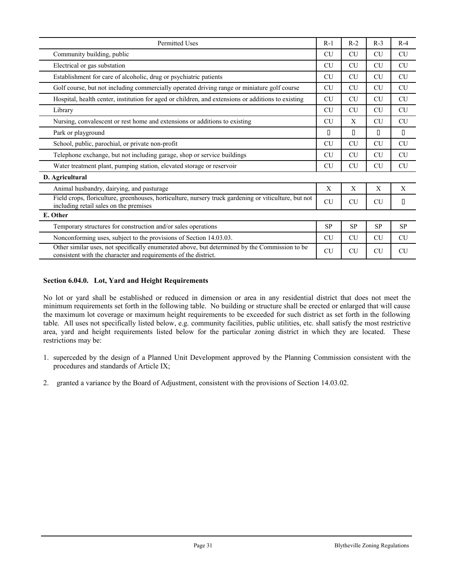| Permitted Uses                                                                                                                                                   | $R-1$     | $R-2$     | $R-3$     | $R-4$     |
|------------------------------------------------------------------------------------------------------------------------------------------------------------------|-----------|-----------|-----------|-----------|
| Community building, public                                                                                                                                       | <b>CU</b> | <b>CU</b> | <b>CU</b> | <b>CU</b> |
| Electrical or gas substation                                                                                                                                     | <b>CU</b> | <b>CU</b> | <b>CU</b> | <b>CU</b> |
| Establishment for care of alcoholic, drug or psychiatric patients                                                                                                | <b>CU</b> | <b>CU</b> | <b>CU</b> | <b>CU</b> |
| Golf course, but not including commercially operated driving range or miniature golf course                                                                      | CU        | <b>CU</b> | <b>CU</b> | <b>CU</b> |
| Hospital, health center, institution for aged or children, and extensions or additions to existing                                                               | <b>CU</b> | <b>CU</b> | CU        | <b>CU</b> |
| Library                                                                                                                                                          | <b>CU</b> | <b>CU</b> | <b>CU</b> | <b>CU</b> |
| Nursing, convalescent or rest home and extensions or additions to existing                                                                                       | <b>CU</b> | X         | <b>CU</b> | <b>CU</b> |
| Park or playground                                                                                                                                               | П         | П         | П         | П         |
| School, public, parochial, or private non-profit                                                                                                                 | CU        | <b>CU</b> | CU        | CU        |
| Telephone exchange, but not including garage, shop or service buildings                                                                                          | <b>CU</b> | <b>CU</b> | <b>CU</b> | <b>CU</b> |
| Water treatment plant, pumping station, elevated storage or reservoir                                                                                            | <b>CU</b> | <b>CU</b> | <b>CU</b> | <b>CU</b> |
| D. Agricultural                                                                                                                                                  |           |           |           |           |
| Animal husbandry, dairying, and pasturage                                                                                                                        | X         | X         | X         | X         |
| Field crops, floriculture, greenhouses, horticulture, nursery truck gardening or viticulture, but not<br>including retail sales on the premises                  | CU        | CU        | <b>CU</b> | П         |
| E. Other                                                                                                                                                         |           |           |           |           |
| Temporary structures for construction and/or sales operations                                                                                                    | <b>SP</b> | <b>SP</b> | <b>SP</b> | <b>SP</b> |
| Nonconforming uses, subject to the provisions of Section 14.03.03.                                                                                               | <b>CU</b> | <b>CU</b> | <b>CU</b> | <b>CU</b> |
| Other similar uses, not specifically enumerated above, but determined by the Commission to be<br>consistent with the character and requirements of the district. | <b>CU</b> | <b>CU</b> | <b>CU</b> | <b>CU</b> |

#### **Section 6.04.0. Lot, Yard and Height Requirements**

No lot or yard shall be established or reduced in dimension or area in any residential district that does not meet the minimum requirements set forth in the following table. No building or structure shall be erected or enlarged that will cause the maximum lot coverage or maximum height requirements to be exceeded for such district as set forth in the following table. All uses not specifically listed below, e.g. community facilities, public utilities, etc. shall satisfy the most restrictive area, yard and height requirements listed below for the particular zoning district in which they are located. These restrictions may be:

- 1. superceded by the design of a Planned Unit Development approved by the Planning Commission consistent with the procedures and standards of Article IX;
- 2. granted a variance by the Board of Adjustment, consistent with the provisions of Section 14.03.02.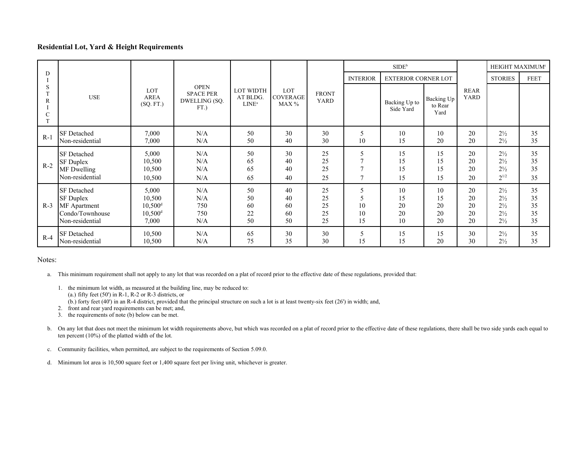#### **Residential Lot, Yard & Height Requirements**

|                                          |                    |                                 |                                                             |                                   |                                 |                             | SIDE <sup>b</sup> |                            |                               |                            | HEIGHT MAXIMUM <sup>e</sup> |             |
|------------------------------------------|--------------------|---------------------------------|-------------------------------------------------------------|-----------------------------------|---------------------------------|-----------------------------|-------------------|----------------------------|-------------------------------|----------------------------|-----------------------------|-------------|
| D                                        |                    |                                 |                                                             |                                   |                                 |                             | <b>INTERIOR</b>   | <b>EXTERIOR CORNER LOT</b> |                               |                            | <b>STORIES</b>              | <b>FEET</b> |
| S<br>R<br>$\overline{C}$<br>$\mathbf{T}$ | <b>USE</b>         | LOT<br><b>AREA</b><br>(SQ. FT.) | <b>OPEN</b><br><b>SPACE PER</b><br>DWELLING (SQ.<br>$FT.$ ) | LOT WIDTH<br>AT BLDG.<br>$LINE^a$ | LOT<br><b>COVERAGE</b><br>MAX % | <b>FRONT</b><br><b>YARD</b> |                   | Backing Up to<br>Side Yard | Backing Up<br>to Rear<br>Yard | <b>REAR</b><br><b>YARD</b> |                             |             |
| $R-1$                                    | <b>SF</b> Detached | 7,000                           | N/A                                                         | 50                                | 30                              | 30                          | 5                 | 10                         | 10                            | 20                         | $2\frac{1}{2}$              | 35          |
|                                          | Non-residential    | 7,000                           | N/A                                                         | 50                                | 40                              | 30                          | 10                | 15                         | 20                            | 20                         | $2\frac{1}{2}$              | 35          |
| $R-2$                                    | <b>SF</b> Detached | 5,000                           | N/A                                                         | 50                                | 30                              | 25                          | 5                 | 15                         | 15                            | 20                         | $2\frac{1}{2}$              | 35          |
|                                          | <b>SF Duplex</b>   | 10,500                          | N/A                                                         | 65                                | 40                              | 25                          | $\overline{7}$    | 15                         | 15                            | 20                         | $2\frac{1}{2}$              | 35          |
|                                          | MF Dwelling        | 10,500                          | N/A                                                         | 65                                | 40                              | 25                          | $\tau$            | 15                         | 15                            | 20                         | $2\frac{1}{2}$              | 35          |
|                                          | Non-residential    | 10,500                          | N/A                                                         | 65                                | 40                              | 25                          | $\overline{7}$    | 15                         | 15                            | 20                         | $2^{1/2}$                   | 35          |
| $R-3$                                    | <b>SF</b> Detached | 5,000                           | N/A                                                         | 50                                | 40                              | 25                          | 5                 | 10                         | 10                            | 20                         | $2\frac{1}{2}$              | 35          |
|                                          | <b>SF</b> Duplex   | 10,500                          | N/A                                                         | 50                                | 40                              | 25                          | 5                 | 15                         | 15                            | 20                         | $2\frac{1}{2}$              | 35          |
|                                          | MF Apartment       | $10,500$ <sup>d</sup>           | 750                                                         | 60                                | 60                              | 25                          | 10                | 20                         | 20                            | 20                         | $2\frac{1}{2}$              | 35          |
|                                          | Condo/Townhouse    | $10,500$ <sup>d</sup>           | 750                                                         | 22                                | 60                              | 25                          | 10                | 20                         | 20                            | 20                         | $2\frac{1}{2}$              | 35          |
|                                          | Non-residential    | 7,000                           | N/A                                                         | 50                                | 50                              | 25                          | 15                | 10                         | 20                            | 20                         | $2\frac{1}{2}$              | 35          |
| $R-4$                                    | <b>SF</b> Detached | 10,500                          | N/A                                                         | 65                                | 30                              | 30                          | 5                 | 15                         | 15                            | 30                         | $2\frac{1}{2}$              | 35          |
|                                          | Non-residential    | 10,500                          | N/A                                                         | 75                                | 35                              | 30                          | 15                | 15                         | 20                            | 30                         | $2\frac{1}{2}$              | 35          |

#### Notes:

a. This minimum requirement shall not apply to any lot that was recorded on a plat of record prior to the effective date of these regulations, provided that:

- 1. the minimum lot width, as measured at the building line, may be reduced to: (a.) fifty feet (50') in R-1, R-2 or R-3 districts, or (b.) forty feet (40') in an R-4 district, provided that the principal structure on such a lot is at least twenty-six feet (26') in width; and,
	-
- 2. front and rear yard requirements can be met; and,
- 3. the requirements of note (b) below can be met.
- b. On any lot that does not meet the minimum lot width requirements above, but which was recorded on a plat of record prior to the effective date of these regulations, there shall be two side yards each equal to ten percent (10%) of the platted width of the lot.
- c. Community facilities, when permitted, are subject to the requirements of Section 5.09.0.
- d. Minimum lot area is 10,500 square feet or 1,400 square feet per living unit, whichever is greater.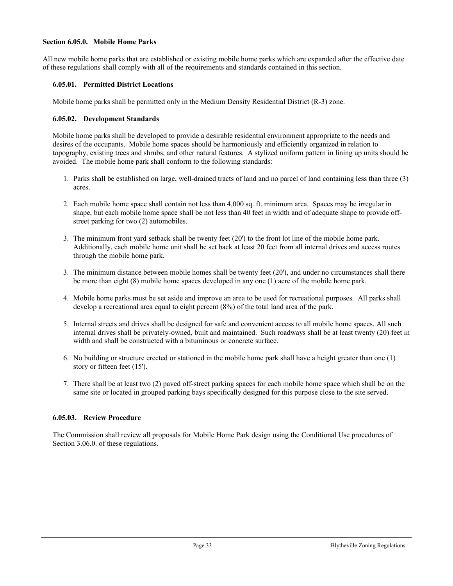#### **Section 6.05.0. Mobile Home Parks**

All new mobile home parks that are established or existing mobile home parks which are expanded after the effective date of these regulations shall comply with all of the requirements and standards contained in this section.

#### **6.05.01. Permitted District Locations**

Mobile home parks shall be permitted only in the Medium Density Residential District (R-3) zone.

#### **6.05.02. Development Standards**

Mobile home parks shall be developed to provide a desirable residential environment appropriate to the needs and desires of the occupants. Mobile home spaces should be harmoniously and efficiently organized in relation to topography, existing trees and shrubs, and other natural features. A stylized uniform pattern in lining up units should be avoided. The mobile home park shall conform to the following standards:

- 1. Parks shall be established on large, well-drained tracts of land and no parcel of land containing less than three (3) acres.
- 2. Each mobile home space shall contain not less than 4,000 sq. ft. minimum area. Spaces may be irregular in shape, but each mobile home space shall be not less than 40 feet in width and of adequate shape to provide offstreet parking for two (2) automobiles.
- 3. The minimum front yard setback shall be twenty feet (20') to the front lot line of the mobile home park. Additionally, each mobile home unit shall be set back at least 20 feet from all internal drives and access routes through the mobile home park.
- 3. The minimum distance between mobile homes shall be twenty feet (20'), and under no circumstances shall there be more than eight (8) mobile home spaces developed in any one (1) acre of the mobile home park.
- 4. Mobile home parks must be set aside and improve an area to be used for recreational purposes. All parks shall develop a recreational area equal to eight percent (8%) of the total land area of the park.
- 5. Internal streets and drives shall be designed for safe and convenient access to all mobile home spaces. All such internal drives shall be privately-owned, built and maintained. Such roadways shall be at least twenty (20) feet in width and shall be constructed with a bituminous or concrete surface.
- 6. No building or structure erected or stationed in the mobile home park shall have a height greater than one (1) story or fifteen feet (15').
- 7. There shall be at least two (2) paved off-street parking spaces for each mobile home space which shall be on the same site or located in grouped parking bays specifically designed for this purpose close to the site served.

#### **6.05.03. Review Procedure**

The Commission shall review all proposals for Mobile Home Park design using the Conditional Use procedures of Section 3.06.0. of these regulations.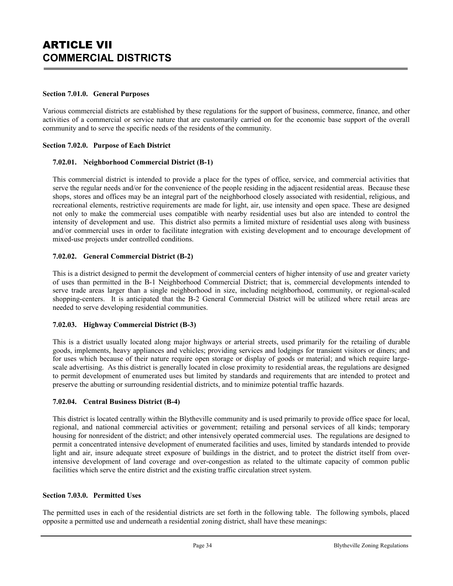## ARTICLE VII **COMMERCIAL DISTRICTS**

#### **Section 7.01.0. General Purposes**

Various commercial districts are established by these regulations for the support of business, commerce, finance, and other activities of a commercial or service nature that are customarily carried on for the economic base support of the overall community and to serve the specific needs of the residents of the community.

#### **Section 7.02.0. Purpose of Each District**

#### **7.02.01. Neighborhood Commercial District (B-1)**

This commercial district is intended to provide a place for the types of office, service, and commercial activities that serve the regular needs and/or for the convenience of the people residing in the adjacent residential areas. Because these shops, stores and offices may be an integral part of the neighborhood closely associated with residential, religious, and recreational elements, restrictive requirements are made for light, air, use intensity and open space. These are designed not only to make the commercial uses compatible with nearby residential uses but also are intended to control the intensity of development and use. This district also permits a limited mixture of residential uses along with business and/or commercial uses in order to facilitate integration with existing development and to encourage development of mixed-use projects under controlled conditions.

#### **7.02.02. General Commercial District (B-2)**

This is a district designed to permit the development of commercial centers of higher intensity of use and greater variety of uses than permitted in the B-1 Neighborhood Commercial District; that is, commercial developments intended to serve trade areas larger than a single neighborhood in size, including neighborhood, community, or regional-scaled shopping-centers. It is anticipated that the B-2 General Commercial District will be utilized where retail areas are needed to serve developing residential communities.

#### **7.02.03. Highway Commercial District (B-3)**

This is a district usually located along major highways or arterial streets, used primarily for the retailing of durable goods, implements, heavy appliances and vehicles; providing services and lodgings for transient visitors or diners; and for uses which because of their nature require open storage or display of goods or material; and which require largescale advertising. As this district is generally located in close proximity to residential areas, the regulations are designed to permit development of enumerated uses but limited by standards and requirements that are intended to protect and preserve the abutting or surrounding residential districts, and to minimize potential traffic hazards.

#### **7.02.04. Central Business District (B-4)**

This district is located centrally within the Blytheville community and is used primarily to provide office space for local, regional, and national commercial activities or government; retailing and personal services of all kinds; temporary housing for nonresident of the district; and other intensively operated commercial uses. The regulations are designed to permit a concentrated intensive development of enumerated facilities and uses, limited by standards intended to provide light and air, insure adequate street exposure of buildings in the district, and to protect the district itself from overintensive development of land coverage and over-congestion as related to the ultimate capacity of common public facilities which serve the entire district and the existing traffic circulation street system.

#### **Section 7.03.0. Permitted Uses**

The permitted uses in each of the residential districts are set forth in the following table. The following symbols, placed opposite a permitted use and underneath a residential zoning district, shall have these meanings: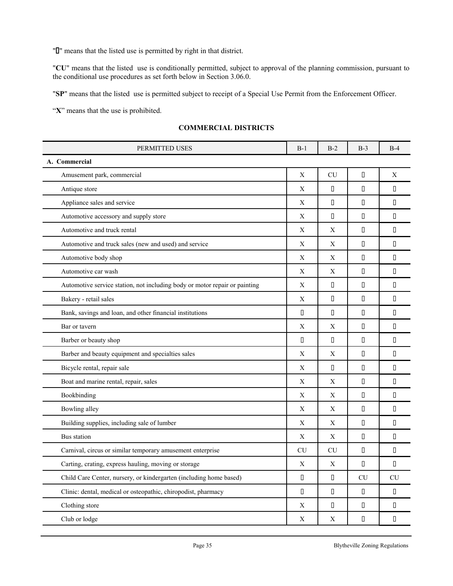" $\mathbb{I}$ " means that the listed use is permitted by right in that district.

"**CU**" means that the listed use is conditionally permitted, subject to approval of the planning commission, pursuant to the conditional use procedures as set forth below in Section 3.06.0.

"**SP**" means that the listed use is permitted subject to receipt of a Special Use Permit from the Enforcement Officer.

"**X**" means that the use is prohibited.

| <b>COMMERCIAL DISTRICTS</b> |  |
|-----------------------------|--|
|-----------------------------|--|

| PERMITTED USES                                                             | $B-1$          | $B-2$     | $B-3$                                   | $B-4$                                  |  |
|----------------------------------------------------------------------------|----------------|-----------|-----------------------------------------|----------------------------------------|--|
| A. Commercial                                                              |                |           |                                         |                                        |  |
| Amusement park, commercial                                                 | $\mathbf X$    | CU        | П                                       | X                                      |  |
| Antique store                                                              | X              | П         | $\begin{array}{ccc} \hline \end{array}$ | $\Box$                                 |  |
| Appliance sales and service                                                | X              | П         | $\Box$                                  | $\Box$                                 |  |
| Automotive accessory and supply store                                      | X              | П         | $\begin{array}{ccc} \hline \end{array}$ | $\begin{array}{c} \square \end{array}$ |  |
| Automotive and truck rental                                                | X              | X         | $\Box$                                  | $\begin{array}{c} \square \end{array}$ |  |
| Automotive and truck sales (new and used) and service                      | X              | X         | $\Box$                                  | $\Box$                                 |  |
| Automotive body shop                                                       | X              | X         | $\begin{array}{c} \square \end{array}$  | П                                      |  |
| Automotive car wash                                                        | X              | X         | $\begin{array}{ccc} \hline \end{array}$ | $\begin{array}{c} \square \end{array}$ |  |
| Automotive service station, not including body or motor repair or painting | X              | П         | $\Box$                                  | $\Box$                                 |  |
| Bakery - retail sales                                                      | X              | П         | $\mathsf{\Pi}$                          | $\begin{array}{c} \square \end{array}$ |  |
| Bank, savings and loan, and other financial institutions                   | $\Box$         | П         | $\begin{array}{ccc} \hline \end{array}$ | $\begin{array}{c} \square \end{array}$ |  |
| Bar or tavern                                                              | X              | X         | $\begin{array}{c} \square \end{array}$  | П                                      |  |
| Barber or beauty shop                                                      | $\mathsf{\Pi}$ | Π         | $\begin{array}{c} \square \end{array}$  | $\begin{array}{c} \square \end{array}$ |  |
| Barber and beauty equipment and specialties sales                          | X              | X         | $\begin{array}{ccc} \hline \end{array}$ | П                                      |  |
| Bicycle rental, repair sale                                                | X              | П         | П                                       | $\Box$                                 |  |
| Boat and marine rental, repair, sales                                      | X              | X         | $\Box$                                  | $\Box$                                 |  |
| Bookbinding                                                                | X              | X         | $\Box$                                  | $\Box$                                 |  |
| Bowling alley                                                              | X              | X         | П                                       | $\Box$                                 |  |
| Building supplies, including sale of lumber                                | X              | X         | $\Box$                                  | $\Box$                                 |  |
| Bus station                                                                | X              | X         | П                                       | $\Box$                                 |  |
| Carnival, circus or similar temporary amusement enterprise                 | <b>CU</b>      | <b>CU</b> | $\begin{array}{ccc} \hline \end{array}$ | П                                      |  |
| Carting, crating, express hauling, moving or storage                       | X              | X         | $\begin{array}{c} \square \end{array}$  | П                                      |  |
| Child Care Center, nursery, or kindergarten (including home based)         | $\Box$         | П         | <b>CU</b>                               | CU                                     |  |
| Clinic: dental, medical or osteopathic, chiropodist, pharmacy              | $\Box$         | П         | $\Box$                                  | $\Box$                                 |  |
| Clothing store                                                             | X              | П         | $\begin{array}{c} \square \end{array}$  | П                                      |  |
| Club or lodge                                                              | X              | X         | П                                       | $\Box$                                 |  |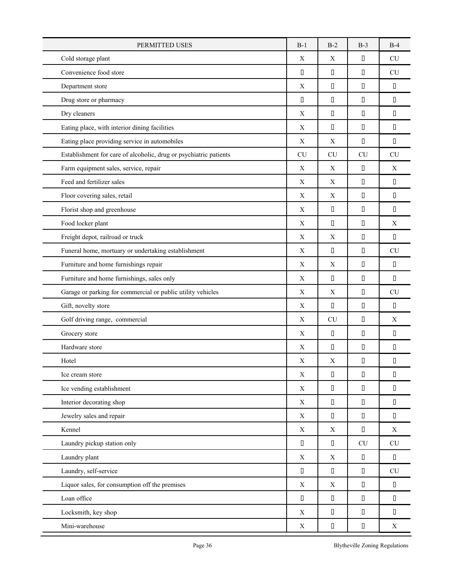| PERMITTED USES                                                    | $B-1$       | $B-2$       | $B-3$                                  | $B-4$                                  |
|-------------------------------------------------------------------|-------------|-------------|----------------------------------------|----------------------------------------|
| Cold storage plant                                                | X           | X           | $\begin{array}{c} \square \end{array}$ | <b>CU</b>                              |
| Convenience food store                                            | $\Box$      | $\Box$      | $\begin{array}{c} \square \end{array}$ | CU                                     |
| Department store                                                  | X           | П           | $\hfill\Box$                           | П                                      |
| Drug store or pharmacy                                            | $\Box$      | П           | П                                      | П                                      |
| Dry cleaners                                                      | X           | $\Box$      | П                                      | П                                      |
| Eating place, with interior dining facilities                     | X           | П           | П                                      | П                                      |
| Eating place providing service in automobiles                     | X           | $\mathbf X$ | $\Box$                                 | П                                      |
| Establishment for care of alcoholic, drug or psychiatric patients | CU          | CU          | <b>CU</b>                              | CU                                     |
| Farm equipment sales, service, repair                             | X           | X           | $\Box$                                 | X                                      |
| Feed and fertilizer sales                                         | X           | $\mathbf X$ | П                                      | П                                      |
| Floor covering sales, retail                                      | X           | X           | П                                      | П                                      |
| Florist shop and greenhouse                                       | X           | $\Box$      | $\begin{array}{c} \square \end{array}$ | П                                      |
| Food locker plant                                                 | X           | $\Box$      | $\hfill\Box$                           | $\mathbf X$                            |
| Freight depot, railroad or truck                                  | X           | X           | $\hfill\Box$                           | П                                      |
| Funeral home, mortuary or undertaking establishment               | X           | П           | П                                      | <b>CU</b>                              |
| Furniture and home furnishings repair                             | X           | X           | П                                      | П                                      |
| Furniture and home furnishings, sales only                        | X           | П           | П                                      | П                                      |
| Garage or parking for commercial or public utility vehicles       | X           | X           | $\Box$                                 | CU                                     |
| Gift, novelty store                                               | $\mathbf X$ | П           | $\hfill\Box$                           | $\Box$                                 |
| Golf driving range, commercial                                    | X           | CU          | П                                      | $\mathbf X$                            |
| Grocery store                                                     | X           | П           | П                                      | П                                      |
| Hardware store                                                    | X           | $\Box$      | $\hfill\Box$                           | П                                      |
| Hotel                                                             | X           | $\mathbf X$ | П                                      | П                                      |
| Ice cream store                                                   | $\mathbf X$ | П           | $\hfill\Box$                           | $\Box$                                 |
| Ice vending establishment                                         | $\mathbf X$ | П           | П                                      | П                                      |
| Interior decorating shop                                          | X           | П           | П                                      | П                                      |
| Jewelry sales and repair                                          | $\mathbf X$ | $\Box$      | $\hfill\Box$                           | П                                      |
| Kennel                                                            | $\mathbf X$ | $\mathbf X$ | $\Box$                                 | $\mathbf X$                            |
| Laundry pickup station only                                       | $\Box$      | $\Box$      | ${\rm CU}$                             | ${\rm CU}$                             |
| Laundry plant                                                     | $\mathbf X$ | X           | $\Box$                                 | П                                      |
| Laundry, self-service                                             | $\Box$      | $\Box$      | $\hfill\Box$                           | CU                                     |
| Liquor sales, for consumption off the premises                    | $\mathbf X$ | X           | $\Box$                                 | П                                      |
| Loan office                                                       | $\Box$      | П           | $\Box$                                 | $\Box$                                 |
| Locksmith, key shop                                               | $\mathbf X$ | $\Box$      | $\Box$                                 | $\begin{array}{c} \square \end{array}$ |
| Mini-warehouse                                                    | $\mathbf X$ | П           | $\Box$                                 | X                                      |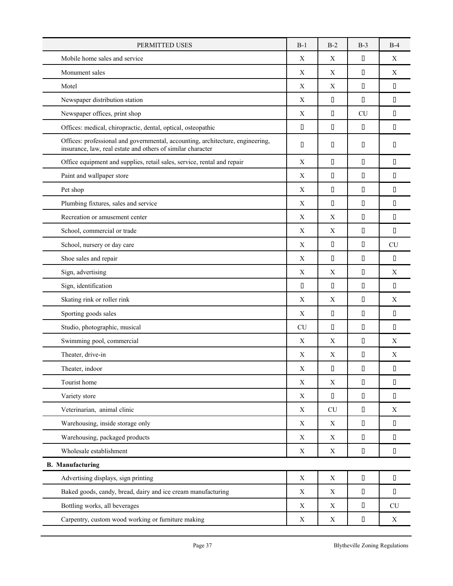| PERMITTED USES                                                                                                                                | $B-1$       | $B-2$                                   | $B-3$        | $B-4$                                  |
|-----------------------------------------------------------------------------------------------------------------------------------------------|-------------|-----------------------------------------|--------------|----------------------------------------|
| Mobile home sales and service                                                                                                                 | X           | X                                       | П            | X                                      |
| Monument sales                                                                                                                                | $\mathbf X$ | X                                       | $\Box$       | $\mathbf X$                            |
| Motel                                                                                                                                         | X           | X                                       | П            | $\Box$                                 |
| Newspaper distribution station                                                                                                                | X           | $\Box$                                  | П            | П                                      |
| Newspaper offices, print shop                                                                                                                 | X           | П                                       | <b>CU</b>    | П                                      |
| Offices: medical, chiropractic, dental, optical, osteopathic                                                                                  | П           | П                                       | П            | П                                      |
| Offices: professional and governmental, accounting, architecture, engineering,<br>insurance, law, real estate and others of similar character | П           | П                                       | П            | П                                      |
| Office equipment and supplies, retail sales, service, rental and repair                                                                       | X           | $\Box$                                  | $\Box$       | П                                      |
| Paint and wallpaper store                                                                                                                     | X           | П                                       | П            | П                                      |
| Pet shop                                                                                                                                      | X           | П                                       | П            | $\Box$                                 |
| Plumbing fixtures, sales and service                                                                                                          | X           | П                                       | П            | П                                      |
| Recreation or amusement center                                                                                                                | X           | X                                       | П            | $\Box$                                 |
| School, commercial or trade                                                                                                                   | X           | X                                       | П            | П                                      |
| School, nursery or day care                                                                                                                   | X           | $\begin{array}{ccc} \hline \end{array}$ | П            | CU                                     |
| Shoe sales and repair                                                                                                                         | X           | $\Box$                                  | П            | $\mathsf{\Pi}$                         |
| Sign, advertising                                                                                                                             | $\mathbf X$ | X                                       | $\Box$       | X                                      |
| Sign, identification                                                                                                                          | П           | $\begin{array}{c} \square \end{array}$  | П            | $\begin{array}{c} \square \end{array}$ |
| Skating rink or roller rink                                                                                                                   | X           | X                                       | П            | X                                      |
| Sporting goods sales                                                                                                                          | X           | $\begin{array}{ccc} \hline \end{array}$ | П            | $\Box$                                 |
| Studio, photographic, musical                                                                                                                 | <b>CU</b>   | П                                       | П            | П                                      |
| Swimming pool, commercial                                                                                                                     | X           | X                                       | П            | X                                      |
| Theater, drive-in                                                                                                                             | X           | X                                       | П            | X                                      |
| Theater, indoor                                                                                                                               | X           | $\Box$                                  | $\hfill\Box$ | О                                      |
| Tourist home                                                                                                                                  | $\mathbf X$ | X                                       | П            | $\Box$                                 |
| Variety store                                                                                                                                 | $\mathbf X$ | $\begin{array}{c} \square \end{array}$  | $\Box$       | $\Box$                                 |
| Veterinarian, animal clinic                                                                                                                   | $\mathbf X$ | CU                                      | $\hfill\Box$ | $\mathbf X$                            |
| Warehousing, inside storage only                                                                                                              | X           | $\mathbf X$                             | $\hfill\Box$ | $\Box$                                 |
| Warehousing, packaged products                                                                                                                | X           | X                                       | П            | П                                      |
| Wholesale establishment                                                                                                                       | $\mathbf X$ | $\mathbf X$                             | П            | $\Box$                                 |
| <b>B.</b> Manufacturing                                                                                                                       |             |                                         |              |                                        |
| Advertising displays, sign printing                                                                                                           | $\mathbf X$ | X                                       | П            | $\Box$                                 |
| Baked goods, candy, bread, dairy and ice cream manufacturing                                                                                  | $\mathbf X$ | X                                       | П            | П                                      |
| Bottling works, all beverages                                                                                                                 | $\mathbf X$ | $\mathbf X$                             | $\hfill\Box$ | ${\rm CU}$                             |
| Carpentry, custom wood working or furniture making                                                                                            | $\mathbf X$ | $\mathbf X$                             | $\hfill\Box$ | $\mathbf X$                            |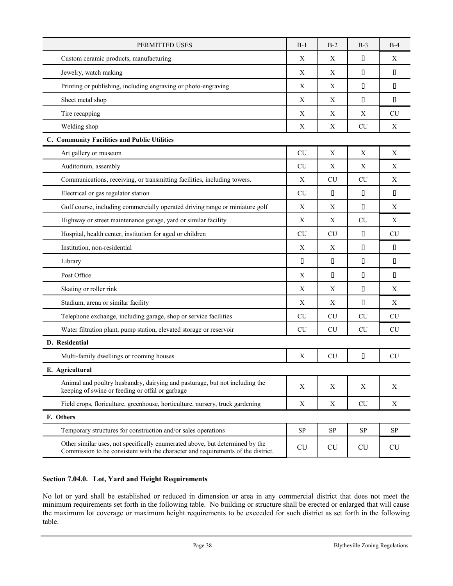| PERMITTED USES                                                                                                                                                   |             | $B-2$       | $B-3$     | $B-4$       |
|------------------------------------------------------------------------------------------------------------------------------------------------------------------|-------------|-------------|-----------|-------------|
| Custom ceramic products, manufacturing                                                                                                                           |             | X           | П         | $\mathbf X$ |
| Jewelry, watch making                                                                                                                                            |             | X           | П         | $\Box$      |
| Printing or publishing, including engraving or photo-engraving                                                                                                   | X           | X           | П         | $\Box$      |
| Sheet metal shop                                                                                                                                                 | X           | X           | П         | П           |
| Tire recapping                                                                                                                                                   | Х           | Х           | Χ         | <b>CU</b>   |
| Welding shop                                                                                                                                                     | X           | X           | <b>CU</b> | X           |
| C. Community Facilities and Public Utilities                                                                                                                     |             |             |           |             |
| Art gallery or museum                                                                                                                                            | <b>CU</b>   | X           | X         | $\mathbf X$ |
| Auditorium, assembly                                                                                                                                             | <b>CU</b>   | X           | X         | Χ           |
| Communications, receiving, or transmitting facilities, including towers.                                                                                         | Х           | <b>CU</b>   | <b>CU</b> | $\mathbf X$ |
| Electrical or gas regulator station                                                                                                                              | <b>CU</b>   | П           | П         | П           |
| Golf course, including commercially operated driving range or miniature golf                                                                                     | X           | X           | П         | $\mathbf X$ |
| Highway or street maintenance garage, yard or similar facility                                                                                                   | Х           | X           | <b>CU</b> | $\mathbf X$ |
| Hospital, health center, institution for aged or children                                                                                                        | <b>CU</b>   | <b>CU</b>   | П         | <b>CU</b>   |
| Institution, non-residential                                                                                                                                     | X           | X           | П         | П           |
| Library                                                                                                                                                          |             | $\Box$      | П         | $\Box$      |
| Post Office                                                                                                                                                      | X           | П           | П         | $\Box$      |
| Skating or roller rink                                                                                                                                           | X           | X           | П         | X           |
| Stadium, arena or similar facility                                                                                                                               | X           | $\mathbf X$ | П         | $\mathbf X$ |
| Telephone exchange, including garage, shop or service facilities                                                                                                 | CU          | <b>CU</b>   | <b>CU</b> | CU          |
| Water filtration plant, pump station, elevated storage or reservoir                                                                                              | <b>CU</b>   | <b>CU</b>   | CU        | CU          |
| D. Residential                                                                                                                                                   |             |             |           |             |
| Multi-family dwellings or rooming houses                                                                                                                         | X           | <b>CU</b>   | П         | CU          |
| E. Agricultural                                                                                                                                                  |             |             |           |             |
| Animal and poultry husbandry, dairying and pasturage, but not including the<br>keeping of swine or feeding or offal or garbage                                   | X           | $\mathbf X$ | X         | X           |
| Field crops, floriculture, greenhouse, horticulture, nursery, truck gardening                                                                                    | $\mathbf X$ | $\mathbf X$ | <b>CU</b> | X           |
| F. Others                                                                                                                                                        |             |             |           |             |
| Temporary structures for construction and/or sales operations                                                                                                    | <b>SP</b>   | <b>SP</b>   | SP        | <b>SP</b>   |
| Other similar uses, not specifically enumerated above, but determined by the<br>Commission to be consistent with the character and requirements of the district. | <b>CU</b>   | <b>CU</b>   | <b>CU</b> | <b>CU</b>   |

## **Section 7.04.0. Lot, Yard and Height Requirements**

No lot or yard shall be established or reduced in dimension or area in any commercial district that does not meet the minimum requirements set forth in the following table. No building or structure shall be erected or enlarged that will cause the maximum lot coverage or maximum height requirements to be exceeded for such district as set forth in the following table.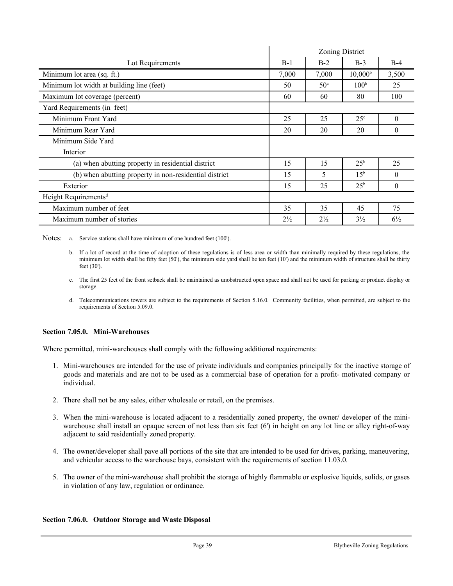|                                                        | Zoning District |                 |                  |                |  |
|--------------------------------------------------------|-----------------|-----------------|------------------|----------------|--|
| Lot Requirements                                       | $B-1$           | $B-2$           | $B-3$            | $B-4$          |  |
| Minimum lot area (sq. ft.)                             | 7,000           | 7,000           | $10,000^{\rm b}$ | 3,500          |  |
| Minimum lot width at building line (feet)              | 50              | 50 <sup>a</sup> | 100 <sup>b</sup> | 25             |  |
| Maximum lot coverage (percent)                         | 60<br>80<br>60  |                 |                  |                |  |
| Yard Requirements (in feet)                            |                 |                 |                  |                |  |
| Minimum Front Yard                                     | 25              | 25              | $25^{\circ}$     | $\theta$       |  |
| Minimum Rear Yard                                      | 20<br>20        |                 |                  |                |  |
| Minimum Side Yard                                      |                 |                 |                  |                |  |
| Interior                                               |                 |                 |                  |                |  |
| (a) when abutting property in residential district     | 15              | 15              | $25^{\rm b}$     | 25             |  |
| (b) when abutting property in non-residential district | 15              | 5               | 15 <sup>b</sup>  | $\theta$       |  |
| Exterior                                               | 15              | 25              | $25^{\rm b}$     | $\Omega$       |  |
| Height Requirements <sup>d</sup>                       |                 |                 |                  |                |  |
| Maximum number of feet                                 | 35              | 35              | 45               | 75             |  |
| Maximum number of stories                              | $2\frac{1}{2}$  | $2\frac{1}{2}$  | $3\frac{1}{2}$   | $6\frac{1}{2}$ |  |

Notes: a. Service stations shall have minimum of one hundred feet (100').

- b. If a lot of record at the time of adoption of these regulations is of less area or width than minimally required by these regulations, the minimum lot width shall be fifty feet (50'), the minimum side yard shall be ten feet (10') and the minimum width of structure shall be thirty feet (30').
- c. The first 25 feet of the front setback shall be maintained as unobstructed open space and shall not be used for parking or product display or storage.
- d. Telecommunications towers are subject to the requirements of Section 5.16.0. Community facilities, when permitted, are subject to the requirements of Section 5.09.0.

## **Section 7.05.0. Mini-Warehouses**

Where permitted, mini-warehouses shall comply with the following additional requirements:

- 1. Mini-warehouses are intended for the use of private individuals and companies principally for the inactive storage of goods and materials and are not to be used as a commercial base of operation for a profit- motivated company or individual.
- 2. There shall not be any sales, either wholesale or retail, on the premises.
- 3. When the mini-warehouse is located adjacent to a residentially zoned property, the owner/ developer of the miniwarehouse shall install an opaque screen of not less than six feet (6') in height on any lot line or alley right-of-way adjacent to said residentially zoned property.
- 4. The owner/developer shall pave all portions of the site that are intended to be used for drives, parking, maneuvering, and vehicular access to the warehouse bays, consistent with the requirements of section 11.03.0.
- 5. The owner of the mini-warehouse shall prohibit the storage of highly flammable or explosive liquids, solids, or gases in violation of any law, regulation or ordinance.

## **Section 7.06.0. Outdoor Storage and Waste Disposal**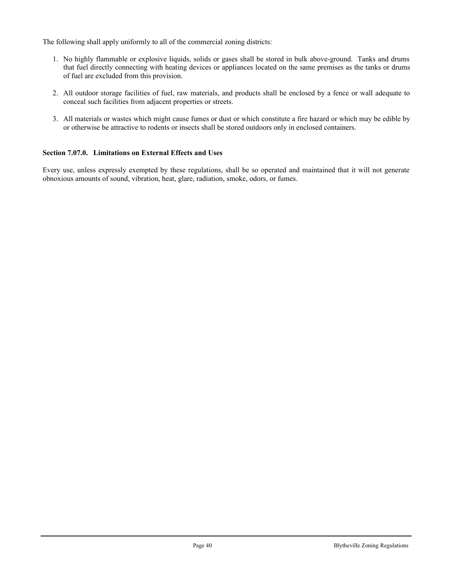The following shall apply uniformly to all of the commercial zoning districts:

- 1. No highly flammable or explosive liquids, solids or gases shall be stored in bulk above-ground. Tanks and drums that fuel directly connecting with heating devices or appliances located on the same premises as the tanks or drums of fuel are excluded from this provision.
- 2. All outdoor storage facilities of fuel, raw materials, and products shall be enclosed by a fence or wall adequate to conceal such facilities from adjacent properties or streets.
- 3. All materials or wastes which might cause fumes or dust or which constitute a fire hazard or which may be edible by or otherwise be attractive to rodents or insects shall be stored outdoors only in enclosed containers.

# **Section 7.07.0. Limitations on External Effects and Uses**

Every use, unless expressly exempted by these regulations, shall be so operated and maintained that it will not generate obnoxious amounts of sound, vibration, heat, glare, radiation, smoke, odors, or fumes.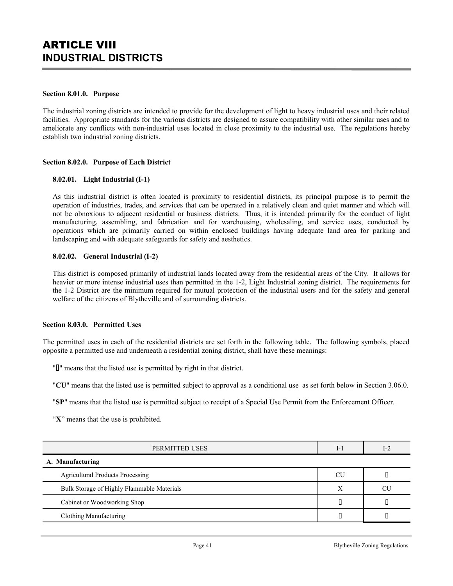## **Section 8.01.0. Purpose**

The industrial zoning districts are intended to provide for the development of light to heavy industrial uses and their related facilities. Appropriate standards for the various districts are designed to assure compatibility with other similar uses and to ameliorate any conflicts with non-industrial uses located in close proximity to the industrial use. The regulations hereby establish two industrial zoning districts.

## **Section 8.02.0. Purpose of Each District**

### **8.02.01. Light Industrial (I-1)**

As this industrial district is often located is proximity to residential districts, its principal purpose is to permit the operation of industries, trades, and services that can be operated in a relatively clean and quiet manner and which will not be obnoxious to adjacent residential or business districts. Thus, it is intended primarily for the conduct of light manufacturing, assembling, and fabrication and for warehousing, wholesaling, and service uses, conducted by operations which are primarily carried on within enclosed buildings having adequate land area for parking and landscaping and with adequate safeguards for safety and aesthetics.

### **8.02.02. General Industrial (I-2)**

This district is composed primarily of industrial lands located away from the residential areas of the City. It allows for heavier or more intense industrial uses than permitted in the 1-2, Light Industrial zoning district. The requirements for the 1-2 District are the minimum required for mutual protection of the industrial users and for the safety and general welfare of the citizens of Blytheville and of surrounding districts.

#### **Section 8.03.0. Permitted Uses**

The permitted uses in each of the residential districts are set forth in the following table. The following symbols, placed opposite a permitted use and underneath a residential zoning district, shall have these meanings:

" $\mathbb{I}$ " means that the listed use is permitted by right in that district.

"**CU**" means that the listed use is permitted subject to approval as a conditional use as set forth below in Section 3.06.0.

"**SP**" means that the listed use is permitted subject to receipt of a Special Use Permit from the Enforcement Officer.

"**X**" means that the use is prohibited.

| PERMITTED USES                             |    | $I-2$ |
|--------------------------------------------|----|-------|
| A. Manufacturing                           |    |       |
| <b>Agricultural Products Processing</b>    | CU |       |
| Bulk Storage of Highly Flammable Materials |    | CU    |
| Cabinet or Woodworking Shop                |    |       |
| Clothing Manufacturing                     |    |       |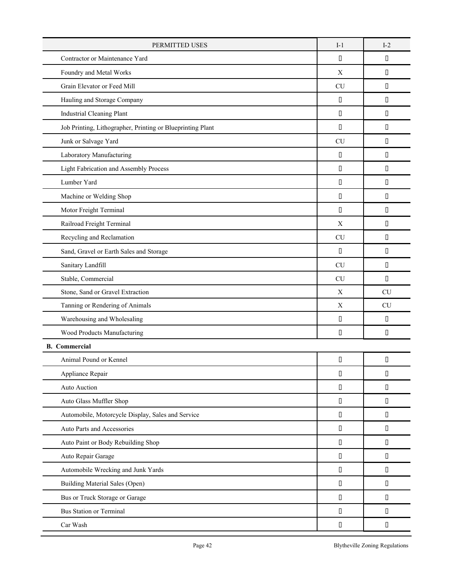| PERMITTED USES                                             |           | $I-2$     |
|------------------------------------------------------------|-----------|-----------|
| Contractor or Maintenance Yard                             | П         | П         |
| Foundry and Metal Works                                    |           | П         |
| Grain Elevator or Feed Mill                                | <b>CU</b> | П         |
| Hauling and Storage Company                                | D         | П         |
| <b>Industrial Cleaning Plant</b>                           | П         | П         |
| Job Printing, Lithographer, Printing or Blueprinting Plant | П         | П         |
| Junk or Salvage Yard                                       | <b>CU</b> | П         |
| Laboratory Manufacturing                                   | П         | П         |
| Light Fabrication and Assembly Process                     | П         | П         |
| Lumber Yard                                                | П         | П         |
| Machine or Welding Shop                                    | П         | П         |
| Motor Freight Terminal                                     | П         | П         |
| Railroad Freight Terminal                                  | X         | П         |
| Recycling and Reclamation                                  | <b>CU</b> | $\Box$    |
| Sand, Gravel or Earth Sales and Storage                    | П         | П         |
| Sanitary Landfill                                          | <b>CU</b> | П         |
| Stable, Commercial                                         | <b>CU</b> | П         |
| Stone, Sand or Gravel Extraction                           | X         | <b>CU</b> |
| Tanning or Rendering of Animals                            | X         | <b>CU</b> |
| Warehousing and Wholesaling                                | П         | П         |
| Wood Products Manufacturing                                | П         | П         |
| <b>B.</b> Commercial                                       |           |           |
| Animal Pound or Kennel                                     | П         | П         |
| Appliance Repair                                           | П         | О         |
|                                                            |           |           |
| Auto Auction                                               | П         | П         |
| Auto Glass Muffler Shop                                    | П         | П         |
| Automobile, Motorcycle Display, Sales and Service          | О         | П         |
| Auto Parts and Accessories                                 | П         | П         |
| Auto Paint or Body Rebuilding Shop                         | О         | П         |
| Auto Repair Garage                                         | П         | П         |
| Automobile Wrecking and Junk Yards                         | П         | П         |
| Building Material Sales (Open)                             | П         | П         |
| Bus or Truck Storage or Garage                             | П         | П         |
| <b>Bus Station or Terminal</b>                             | П         | П         |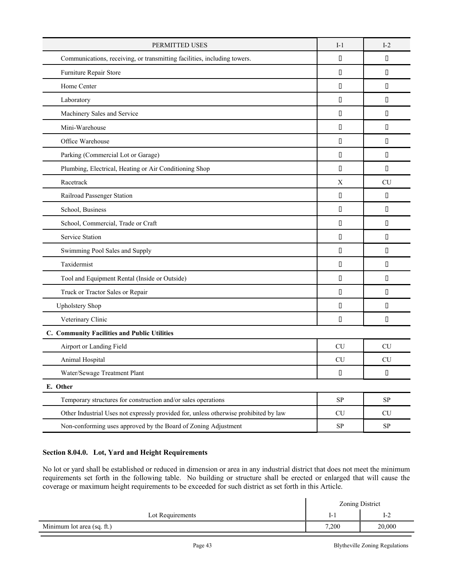| PERMITTED USES                                                                       |            | $I-2$      |
|--------------------------------------------------------------------------------------|------------|------------|
| Communications, receiving, or transmitting facilities, including towers.             |            | П          |
| Furniture Repair Store                                                               | П          | П          |
| Home Center                                                                          | П          | П          |
| Laboratory                                                                           | П          | П          |
| Machinery Sales and Service                                                          | П          | П          |
| Mini-Warehouse                                                                       | П          | П          |
| Office Warehouse                                                                     | П          | П          |
| Parking (Commercial Lot or Garage)                                                   | П          | $\Box$     |
| Plumbing, Electrical, Heating or Air Conditioning Shop                               | П          | П          |
| Racetrack                                                                            | X          | <b>CU</b>  |
| Railroad Passenger Station                                                           | П          | $\Box$     |
| School, Business                                                                     | П          | П          |
| School, Commercial, Trade or Craft                                                   | П          | П          |
| <b>Service Station</b>                                                               | П          | $\Box$     |
| Swimming Pool Sales and Supply                                                       | П          | П          |
| Taxidermist                                                                          | П          | П          |
| Tool and Equipment Rental (Inside or Outside)                                        | П          | П          |
| Truck or Tractor Sales or Repair                                                     | П          | П          |
| <b>Upholstery Shop</b>                                                               | П          | П          |
| Veterinary Clinic                                                                    | П          | П          |
| C. Community Facilities and Public Utilities                                         |            |            |
| Airport or Landing Field                                                             | <b>CU</b>  | <b>CU</b>  |
| Animal Hospital                                                                      | <b>CU</b>  | <b>CU</b>  |
| Water/Sewage Treatment Plant                                                         | $\Box$     | $\Box$     |
| E. Other                                                                             |            |            |
| Temporary structures for construction and/or sales operations                        | ${\rm SP}$ | ${\rm SP}$ |
| Other Industrial Uses not expressly provided for, unless otherwise prohibited by law | CU         | CU         |
| Non-conforming uses approved by the Board of Zoning Adjustment                       | <b>SP</b>  | ${\rm SP}$ |

# **Section 8.04.0. Lot, Yard and Height Requirements**

No lot or yard shall be established or reduced in dimension or area in any industrial district that does not meet the minimum requirements set forth in the following table. No building or structure shall be erected or enlarged that will cause the coverage or maximum height requirements to be exceeded for such district as set forth in this Article.

|                            | Zoning District |        |
|----------------------------|-----------------|--------|
| Lot Requirements           | $I-1$           | $I-2$  |
| Minimum lot area (sq. ft.) | 7,200           | 20,000 |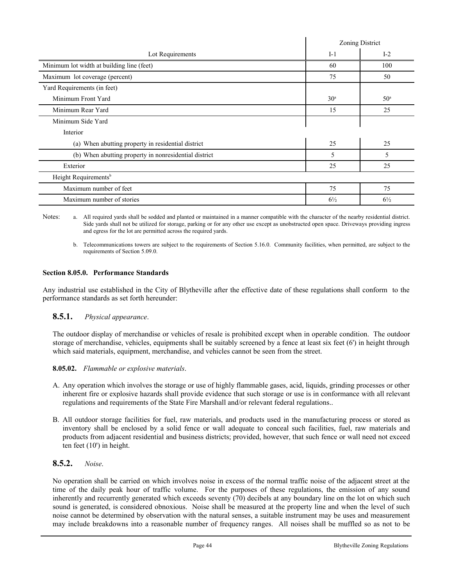|                                                       |                 | Zoning District |
|-------------------------------------------------------|-----------------|-----------------|
| Lot Requirements                                      | $I-1$           | $I-2$           |
| Minimum lot width at building line (feet)             | 60              | 100             |
| Maximum lot coverage (percent)                        | 75              | 50              |
| Yard Requirements (in feet)                           |                 |                 |
| Minimum Front Yard                                    | 30 <sup>a</sup> | 50 <sup>a</sup> |
| Minimum Rear Yard                                     | 15              | 25              |
| Minimum Side Yard                                     |                 |                 |
| Interior                                              |                 |                 |
| (a) When abutting property in residential district    | 25              | 25              |
| (b) When abutting property in nonresidential district | 5               | 5               |
| Exterior                                              | 25              | 25              |
| Height Requirements <sup>b</sup>                      |                 |                 |
| Maximum number of feet                                | 75              | 75              |
| Maximum number of stories                             | $6\frac{1}{2}$  | $6\frac{1}{2}$  |

Notes: a. All required yards shall be sodded and planted or maintained in a manner compatible with the character of the nearby residential district. Side yards shall not be utilized for storage, parking or for any other use except as unobstructed open space. Driveways providing ingress and egress for the lot are permitted across the required yards.

b. Telecommunications towers are subject to the requirements of Section 5.16.0. Community facilities, when permitted, are subject to the requirements of Section 5.09.0.

# **Section 8.05.0. Performance Standards**

Any industrial use established in the City of Blytheville after the effective date of these regulations shall conform to the performance standards as set forth hereunder:

## **8.5.1.** *Physical appearance*.

The outdoor display of merchandise or vehicles of resale is prohibited except when in operable condition. The outdoor storage of merchandise, vehicles, equipments shall be suitably screened by a fence at least six feet (6') in height through which said materials, equipment, merchandise, and vehicles cannot be seen from the street.

## **8.05.02.** *Flammable or explosive materials*.

- A. Any operation which involves the storage or use of highly flammable gases, acid, liquids, grinding processes or other inherent fire or explosive hazards shall provide evidence that such storage or use is in conformance with all relevant regulations and requirements of the State Fire Marshall and/or relevant federal regulations..
- B. All outdoor storage facilities for fuel, raw materials, and products used in the manufacturing process or stored as inventory shall be enclosed by a solid fence or wall adequate to conceal such facilities, fuel, raw materials and products from adjacent residential and business districts; provided, however, that such fence or wall need not exceed ten feet (10') in height.

# **8.5.2.** *Noise*.

No operation shall be carried on which involves noise in excess of the normal traffic noise of the adjacent street at the time of the daily peak hour of traffic volume. For the purposes of these regulations, the emission of any sound inherently and recurrently generated which exceeds seventy (70) decibels at any boundary line on the lot on which such sound is generated, is considered obnoxious. Noise shall be measured at the property line and when the level of such noise cannot be determined by observation with the natural senses, a suitable instrument may be uses and measurement may include breakdowns into a reasonable number of frequency ranges. All noises shall be muffled so as not to be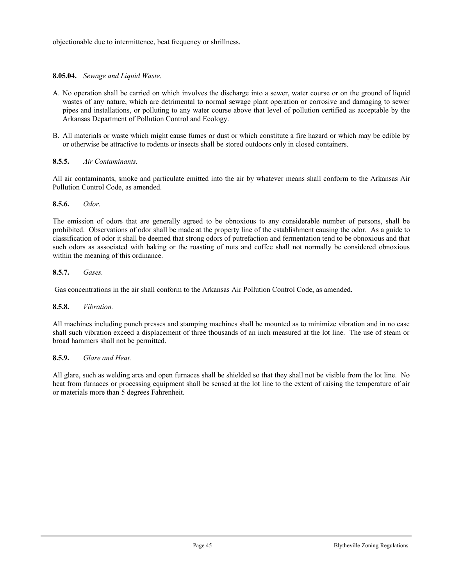objectionable due to intermittence, beat frequency or shrillness.

# **8.05.04.** *Sewage and Liquid Waste*.

- A. No operation shall be carried on which involves the discharge into a sewer, water course or on the ground of liquid wastes of any nature, which are detrimental to normal sewage plant operation or corrosive and damaging to sewer pipes and installations, or polluting to any water course above that level of pollution certified as acceptable by the Arkansas Department of Pollution Control and Ecology.
- B. All materials or waste which might cause fumes or dust or which constitute a fire hazard or which may be edible by or otherwise be attractive to rodents or insects shall be stored outdoors only in closed containers.

## **8.5.5.** *Air Contaminants.*

All air contaminants, smoke and particulate emitted into the air by whatever means shall conform to the Arkansas Air Pollution Control Code, as amended.

## **8.5.6.** *Odor.*

The emission of odors that are generally agreed to be obnoxious to any considerable number of persons, shall be prohibited. Observations of odor shall be made at the property line of the establishment causing the odor. As a guide to classification of odor it shall be deemed that strong odors of putrefaction and fermentation tend to be obnoxious and that such odors as associated with baking or the roasting of nuts and coffee shall not normally be considered obnoxious within the meaning of this ordinance.

## **8.5.7.** *Gases.*

Gas concentrations in the air shall conform to the Arkansas Air Pollution Control Code, as amended.

## **8.5.8.** *Vibration.*

All machines including punch presses and stamping machines shall be mounted as to minimize vibration and in no case shall such vibration exceed a displacement of three thousands of an inch measured at the lot line. The use of steam or broad hammers shall not be permitted.

## **8.5.9.** *Glare and Heat.*

All glare, such as welding arcs and open furnaces shall be shielded so that they shall not be visible from the lot line. No heat from furnaces or processing equipment shall be sensed at the lot line to the extent of raising the temperature of air or materials more than 5 degrees Fahrenheit.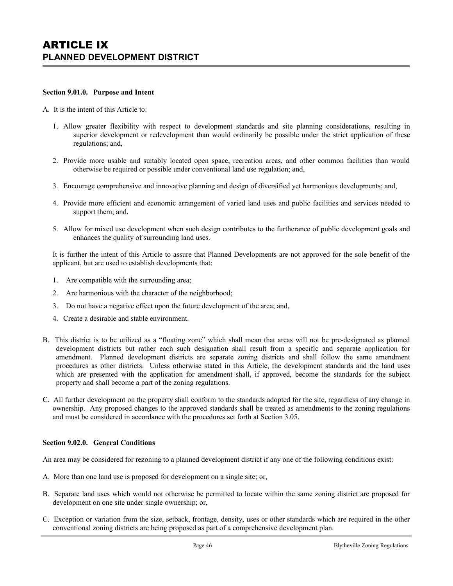#### **Section 9.01.0. Purpose and Intent**

#### A. It is the intent of this Article to:

- 1. Allow greater flexibility with respect to development standards and site planning considerations, resulting in superior development or redevelopment than would ordinarily be possible under the strict application of these regulations; and,
- 2. Provide more usable and suitably located open space, recreation areas, and other common facilities than would otherwise be required or possible under conventional land use regulation; and,
- 3. Encourage comprehensive and innovative planning and design of diversified yet harmonious developments; and,
- 4. Provide more efficient and economic arrangement of varied land uses and public facilities and services needed to support them; and,
- 5. Allow for mixed use development when such design contributes to the furtherance of public development goals and enhances the quality of surrounding land uses.

It is further the intent of this Article to assure that Planned Developments are not approved for the sole benefit of the applicant, but are used to establish developments that:

- 1. Are compatible with the surrounding area;
- 2. Are harmonious with the character of the neighborhood;
- 3. Do not have a negative effect upon the future development of the area; and,
- 4. Create a desirable and stable environment.
- B. This district is to be utilized as a "floating zone" which shall mean that areas will not be pre-designated as planned development districts but rather each such designation shall result from a specific and separate application for amendment. Planned development districts are separate zoning districts and shall follow the same amendment procedures as other districts. Unless otherwise stated in this Article, the development standards and the land uses which are presented with the application for amendment shall, if approved, become the standards for the subject property and shall become a part of the zoning regulations.
- C. All further development on the property shall conform to the standards adopted for the site, regardless of any change in ownership. Any proposed changes to the approved standards shall be treated as amendments to the zoning regulations and must be considered in accordance with the procedures set forth at Section 3.05.

#### **Section 9.02.0. General Conditions**

An area may be considered for rezoning to a planned development district if any one of the following conditions exist:

- A. More than one land use is proposed for development on a single site; or,
- B. Separate land uses which would not otherwise be permitted to locate within the same zoning district are proposed for development on one site under single ownership; or,
- C. Exception or variation from the size, setback, frontage, density, uses or other standards which are required in the other conventional zoning districts are being proposed as part of a comprehensive development plan.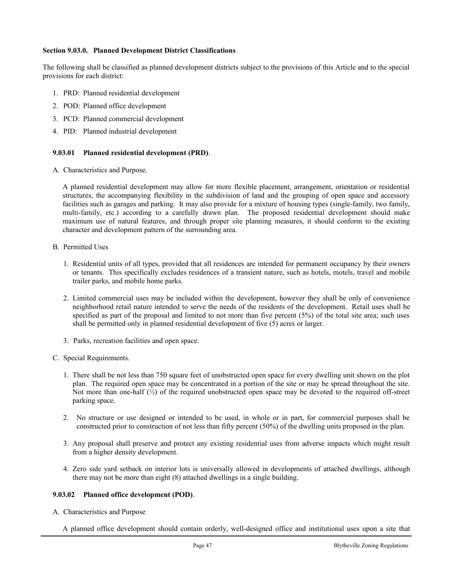### **Section 9.03.0. Planned Development District Classifications**

The following shall be classified as planned development districts subject to the provisions of this Article and to the special provisions for each district:

- 1. PRD: Planned residential development
- 2. POD: Planned office development
- 3. PCD: Planned commercial development
- 4. PID: Planned industrial development

## **9.03.01 Planned residential development (PRD)**.

A. Characteristics and Purpose.

A planned residential development may allow for more flexible placement, arrangement, orientation or residential structures, the accompanying flexibility in the subdivision of land and the grouping of open space and accessory facilities such as garages and parking. It may also provide for a mixture of housing types (single-family, two family, multi-family, etc.) according to a carefully drawn plan. The proposed residential development should make maximum use of natural features, and through proper site planning measures, it should conform to the existing character and development pattern of the surrounding area.

- B. Permitted Uses
	- 1. Residential units of all types, provided that all residences are intended for permanent occupancy by their owners or tenants. This specifically excludes residences of a transient nature, such as hotels, motels, travel and mobile trailer parks, and mobile home parks.
	- 2. Limited commercial uses may be included within the development, however they shall be only of convenience neighborhood retail nature intended to serve the needs of the residents of the development. Retail uses shall be specified as part of the proposal and limited to not more than five percent (5%) of the total site area; such uses shall be permitted only in planned residential development of five (5) acres or larger.
	- 3. Parks, recreation facilities and open space.
- C. Special Requirements.
	- 1. There shall be not less than 750 square feet of unobstructed open space for every dwelling unit shown on the plot plan. The required open space may be concentrated in a portion of the site or may be spread throughout the site. Not more than one-half  $\binom{1}{2}$  of the required unobstructed open space may be devoted to the required off-street parking space.
	- 2. No structure or use designed or intended to be used, in whole or in part, for commercial purposes shall be constructed prior to construction of not less than fifty percent (50%) of the dwelling units proposed in the plan.
	- 3. Any proposal shall preserve and protect any existing residential uses from adverse impacts which might result from a higher density development.
	- 4. Zero side yard setback on interior lots is universally allowed in developments of attached dwellings, although there may not be more than eight (8) attached dwellings in a single building.

## **9.03.02 Planned office development (POD)**.

A. Characteristics and Purpose

A planned office development should contain orderly, well-designed office and institutional uses upon a site that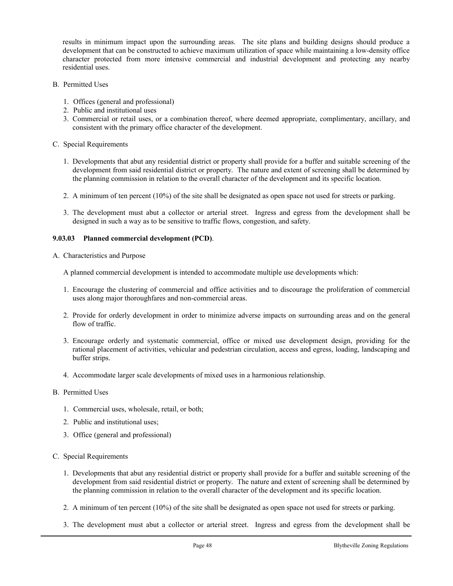results in minimum impact upon the surrounding areas. The site plans and building designs should produce a development that can be constructed to achieve maximum utilization of space while maintaining a low-density office character protected from more intensive commercial and industrial development and protecting any nearby residential uses.

- B. Permitted Uses
	- 1. Offices (general and professional)
	- 2. Public and institutional uses
	- 3. Commercial or retail uses, or a combination thereof, where deemed appropriate, complimentary, ancillary, and consistent with the primary office character of the development.
- C. Special Requirements
	- 1. Developments that abut any residential district or property shall provide for a buffer and suitable screening of the development from said residential district or property. The nature and extent of screening shall be determined by the planning commission in relation to the overall character of the development and its specific location.
	- 2. A minimum of ten percent (10%) of the site shall be designated as open space not used for streets or parking.
	- 3. The development must abut a collector or arterial street. Ingress and egress from the development shall be designed in such a way as to be sensitive to traffic flows, congestion, and safety.

### **9.03.03 Planned commercial development (PCD)**.

A. Characteristics and Purpose

A planned commercial development is intended to accommodate multiple use developments which:

- 1. Encourage the clustering of commercial and office activities and to discourage the proliferation of commercial uses along major thoroughfares and non-commercial areas.
- 2. Provide for orderly development in order to minimize adverse impacts on surrounding areas and on the general flow of traffic.
- 3. Encourage orderly and systematic commercial, office or mixed use development design, providing for the rational placement of activities, vehicular and pedestrian circulation, access and egress, loading, landscaping and buffer strips.
- 4. Accommodate larger scale developments of mixed uses in a harmonious relationship.

## B. Permitted Uses

- 1. Commercial uses, wholesale, retail, or both;
- 2. Public and institutional uses;
- 3. Office (general and professional)

## C. Special Requirements

- 1. Developments that abut any residential district or property shall provide for a buffer and suitable screening of the development from said residential district or property. The nature and extent of screening shall be determined by the planning commission in relation to the overall character of the development and its specific location.
- 2. A minimum of ten percent (10%) of the site shall be designated as open space not used for streets or parking.
- 3. The development must abut a collector or arterial street. Ingress and egress from the development shall be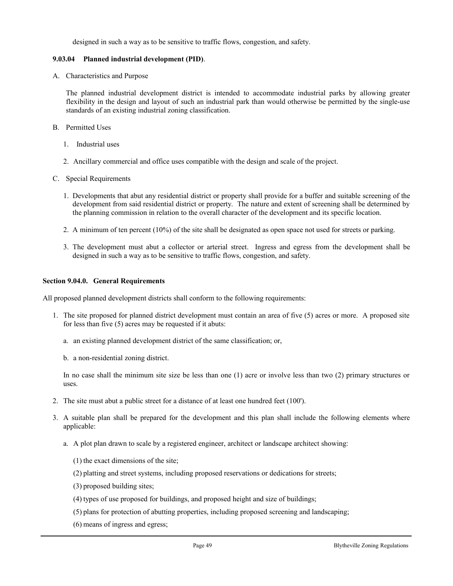designed in such a way as to be sensitive to traffic flows, congestion, and safety.

# **9.03.04 Planned industrial development (PID)**.

A. Characteristics and Purpose

The planned industrial development district is intended to accommodate industrial parks by allowing greater flexibility in the design and layout of such an industrial park than would otherwise be permitted by the single-use standards of an existing industrial zoning classification.

- B. Permitted Uses
	- 1. Industrial uses
	- 2. Ancillary commercial and office uses compatible with the design and scale of the project.
- C. Special Requirements
	- 1. Developments that abut any residential district or property shall provide for a buffer and suitable screening of the development from said residential district or property. The nature and extent of screening shall be determined by the planning commission in relation to the overall character of the development and its specific location.
	- 2. A minimum of ten percent (10%) of the site shall be designated as open space not used for streets or parking.
	- 3. The development must abut a collector or arterial street. Ingress and egress from the development shall be designed in such a way as to be sensitive to traffic flows, congestion, and safety.

## **Section 9.04.0. General Requirements**

All proposed planned development districts shall conform to the following requirements:

- 1. The site proposed for planned district development must contain an area of five (5) acres or more. A proposed site for less than five (5) acres may be requested if it abuts:
	- a. an existing planned development district of the same classification; or,
	- b. a non-residential zoning district.

In no case shall the minimum site size be less than one (1) acre or involve less than two (2) primary structures or uses.

- 2. The site must abut a public street for a distance of at least one hundred feet (100').
- 3. A suitable plan shall be prepared for the development and this plan shall include the following elements where applicable:
	- a. A plot plan drawn to scale by a registered engineer, architect or landscape architect showing:
		- (1) the exact dimensions of the site;
		- (2) platting and street systems, including proposed reservations or dedications for streets;
		- (3) proposed building sites;
		- (4) types of use proposed for buildings, and proposed height and size of buildings;
		- (5) plans for protection of abutting properties, including proposed screening and landscaping;
		- (6) means of ingress and egress;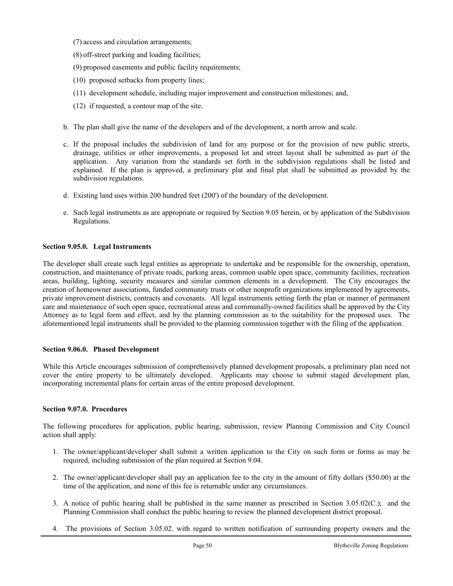(7) access and circulation arrangements;

- (8) off-street parking and loading facilities;
- (9) proposed easements and public facility requirements;
- (10) proposed setbacks from property lines;
- (11) development schedule, including major improvement and construction milestones; and,
- (12) if requested, a contour map of the site.
- b. The plan shall give the name of the developers and of the development, a north arrow and scale.
- c. If the proposal includes the subdivision of land for any purpose or for the provision of new public streets, drainage, utilities or other improvements, a proposed lot and street layout shall be submitted as part of the application. Any variation from the standards set forth in the subdivision regulations shall be listed and explained. If the plan is approved, a preliminary plat and final plat shall be submitted as provided by the subdivision regulations.
- d. Existing land uses within 200 hundred feet (200') of the boundary of the development.
- e. Such legal instruments as are appropriate or required by Section 9.05 herein, or by application of the Subdivision Regulations.

### **Section 9.05.0. Legal Instruments**

The developer shall create such legal entities as appropriate to undertake and be responsible for the ownership, operation, construction, and maintenance of private roads, parking areas, common usable open space, community facilities, recreation areas, building, lighting, security measures and similar common elements in a development. The City encourages the creation of homeowner associations, funded community trusts or other nonprofit organizations implemented by agreements, private improvement districts, contracts and covenants. All legal instruments setting forth the plan or manner of permanent care and maintenance of such open space, recreational areas and communally-owned facilities shall be approved by the City Attorney as to legal form and effect, and by the planning commission as to the suitability for the proposed uses. The aforementioned legal instruments shall be provided to the planning commission together with the filing of the application.

#### **Section 9.06.0. Phased Development**

While this Article encourages submission of comprehensively planned development proposals, a preliminary plan need not cover the entire property to be ultimately developed. Applicants may choose to submit staged development plan, incorporating incremental plans for certain areas of the entire proposed development.

### **Section 9.07.0. Procedures**

The following procedures for application, public hearing, submission, review Planning Commission and City Council action shall apply:

- 1. The owner/applicant/developer shall submit a written application to the City on such form or forms as may be required, including submission of the plan required at Section 9.04.
- 2. The owner/applicant/developer shall pay an application fee to the city in the amount of fifty dollars (\$50.00) at the time of the application, and none of this fee is returnable under any circumstances.
- 3. A notice of public hearing shall be published in the same manner as prescribed in Section 3.05.02(C.); and the Planning Commission shall conduct the public hearing to review the planned development district proposal.
- 4. The provisions of Section 3.05.02. with regard to written notification of surrounding property owners and the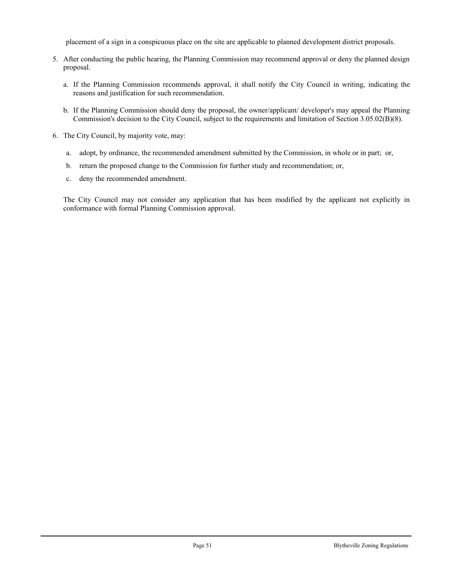placement of a sign in a conspicuous place on the site are applicable to planned development district proposals.

- 5. After conducting the public hearing, the Planning Commission may recommend approval or deny the planned design proposal.
	- a. If the Planning Commission recommends approval, it shall notify the City Council in writing, indicating the reasons and justification for such recommendation.
	- b. If the Planning Commission should deny the proposal, the owner/applicant/ developer's may appeal the Planning Commission's decision to the City Council, subject to the requirements and limitation of Section 3.05.02(B)(8).
- 6. The City Council, by majority vote, may:
	- a. adopt, by ordinance, the recommended amendment submitted by the Commission, in whole or in part; or,
	- b. return the proposed change to the Commission for further study and recommendation; or,
	- c. deny the recommended amendment.

The City Council may not consider any application that has been modified by the applicant not explicitly in conformance with formal Planning Commission approval.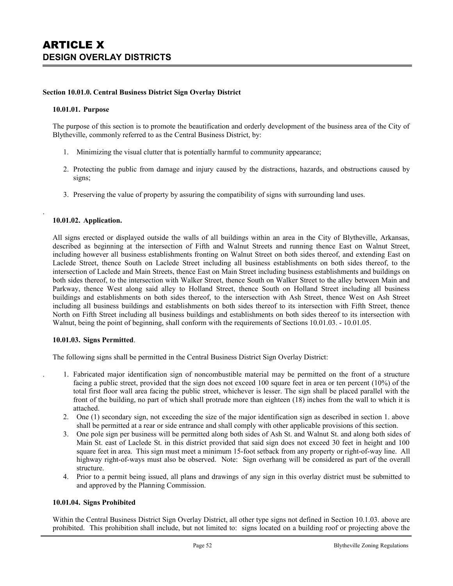### **Section 10.01.0. Central Business District Sign Overlay District**

#### **10.01.01. Purpose**

The purpose of this section is to promote the beautification and orderly development of the business area of the City of Blytheville, commonly referred to as the Central Business District, by:

- 1. Minimizing the visual clutter that is potentially harmful to community appearance;
- 2. Protecting the public from damage and injury caused by the distractions, hazards, and obstructions caused by signs;
- 3. Preserving the value of property by assuring the compatibility of signs with surrounding land uses.

### **10.01.02. Application.**

.

All signs erected or displayed outside the walls of all buildings within an area in the City of Blytheville, Arkansas, described as beginning at the intersection of Fifth and Walnut Streets and running thence East on Walnut Street, including however all business establishments fronting on Walnut Street on both sides thereof, and extending East on Laclede Street, thence South on Laclede Street including all business establishments on both sides thereof, to the intersection of Laclede and Main Streets, thence East on Main Street including business establishments and buildings on both sides thereof, to the intersection with Walker Street, thence South on Walker Street to the alley between Main and Parkway, thence West along said alley to Holland Street, thence South on Holland Street including all business buildings and establishments on both sides thereof, to the intersection with Ash Street, thence West on Ash Street including all business buildings and establishments on both sides thereof to its intersection with Fifth Street, thence North on Fifth Street including all business buildings and establishments on both sides thereof to its intersection with Walnut, being the point of beginning, shall conform with the requirements of Sections 10.01.03. - 10.01.05.

#### **10.01.03. Signs Permitted**.

The following signs shall be permitted in the Central Business District Sign Overlay District:

- . 1. Fabricated major identification sign of noncombustible material may be permitted on the front of a structure facing a public street, provided that the sign does not exceed 100 square feet in area or ten percent (10%) of the total first floor wall area facing the public street, whichever is lesser. The sign shall be placed parallel with the front of the building, no part of which shall protrude more than eighteen (18) inches from the wall to which it is attached.
- 2. One (1) secondary sign, not exceeding the size of the major identification sign as described in section 1. above shall be permitted at a rear or side entrance and shall comply with other applicable provisions of this section.
- 3. One pole sign per business will be permitted along both sides of Ash St. and Walnut St. and along both sides of Main St. east of Laclede St. in this district provided that said sign does not exceed 30 feet in height and 100 square feet in area. This sign must meet a minimum 15-foot setback from any property or right-of-way line. All highway right-of-ways must also be observed. Note: Sign overhang will be considered as part of the overall structure.
- 4. Prior to a permit being issued, all plans and drawings of any sign in this overlay district must be submitted to and approved by the Planning Commission.

### **10.01.04. Signs Prohibited**

Within the Central Business District Sign Overlay District, all other type signs not defined in Section 10.1.03. above are prohibited. This prohibition shall include, but not limited to: signs located on a building roof or projecting above the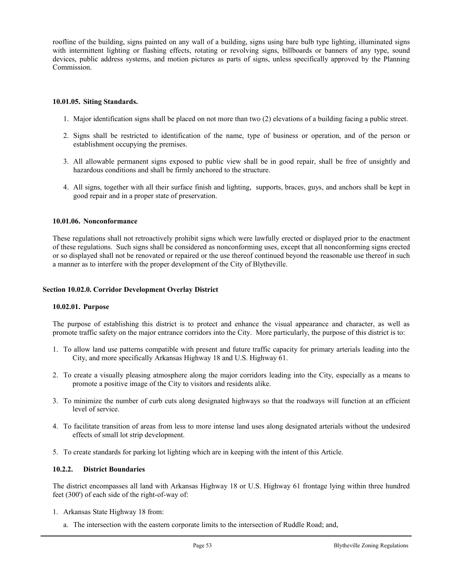roofline of the building, signs painted on any wall of a building, signs using bare bulb type lighting, illuminated signs with intermittent lighting or flashing effects, rotating or revolving signs, billboards or banners of any type, sound devices, public address systems, and motion pictures as parts of signs, unless specifically approved by the Planning Commission.

## **10.01.05. Siting Standards.**

- 1. Major identification signs shall be placed on not more than two (2) elevations of a building facing a public street.
- 2. Signs shall be restricted to identification of the name, type of business or operation, and of the person or establishment occupying the premises.
- 3. All allowable permanent signs exposed to public view shall be in good repair, shall be free of unsightly and hazardous conditions and shall be firmly anchored to the structure.
- 4. All signs, together with all their surface finish and lighting, supports, braces, guys, and anchors shall be kept in good repair and in a proper state of preservation.

## **10.01.06. Nonconformance**

These regulations shall not retroactively prohibit signs which were lawfully erected or displayed prior to the enactment of these regulations. Such signs shall be considered as nonconforming uses, except that all nonconforming signs erected or so displayed shall not be renovated or repaired or the use thereof continued beyond the reasonable use thereof in such a manner as to interfere with the proper development of the City of Blytheville.

### **Section 10.02.0. Corridor Development Overlay District**

#### **10.02.01. Purpose**

The purpose of establishing this district is to protect and enhance the visual appearance and character, as well as promote traffic safety on the major entrance corridors into the City. More particularly, the purpose of this district is to:

- 1. To allow land use patterns compatible with present and future traffic capacity for primary arterials leading into the City, and more specifically Arkansas Highway 18 and U.S. Highway 61.
- 2. To create a visually pleasing atmosphere along the major corridors leading into the City, especially as a means to promote a positive image of the City to visitors and residents alike.
- 3. To minimize the number of curb cuts along designated highways so that the roadways will function at an efficient level of service.
- 4. To facilitate transition of areas from less to more intense land uses along designated arterials without the undesired effects of small lot strip development.
- 5. To create standards for parking lot lighting which are in keeping with the intent of this Article.

## **10.2.2. District Boundaries**

The district encompasses all land with Arkansas Highway 18 or U.S. Highway 61 frontage lying within three hundred feet (300') of each side of the right-of-way of:

- 1. Arkansas State Highway 18 from:
	- a. The intersection with the eastern corporate limits to the intersection of Ruddle Road; and,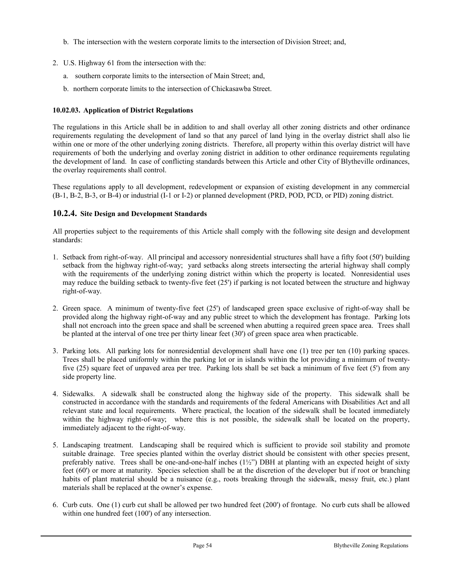- b. The intersection with the western corporate limits to the intersection of Division Street; and,
- 2. U.S. Highway 61 from the intersection with the:
	- a. southern corporate limits to the intersection of Main Street; and,
	- b. northern corporate limits to the intersection of Chickasawba Street.

# **10.02.03. Application of District Regulations**

The regulations in this Article shall be in addition to and shall overlay all other zoning districts and other ordinance requirements regulating the development of land so that any parcel of land lying in the overlay district shall also lie within one or more of the other underlying zoning districts. Therefore, all property within this overlay district will have requirements of both the underlying and overlay zoning district in addition to other ordinance requirements regulating the development of land. In case of conflicting standards between this Article and other City of Blytheville ordinances, the overlay requirements shall control.

These regulations apply to all development, redevelopment or expansion of existing development in any commercial (B-1, B-2, B-3, or B-4) or industrial (I-1 or I-2) or planned development (PRD, POD, PCD, or PID) zoning district.

# **10.2.4. Site Design and Development Standards**

All properties subject to the requirements of this Article shall comply with the following site design and development standards:

- 1. Setback from right-of-way. All principal and accessory nonresidential structures shall have a fifty foot (50') building setback from the highway right-of-way; yard setbacks along streets intersecting the arterial highway shall comply with the requirements of the underlying zoning district within which the property is located. Nonresidential uses may reduce the building setback to twenty-five feet (25') if parking is not located between the structure and highway right-of-way.
- 2. Green space. A minimum of twenty-five feet (25') of landscaped green space exclusive of right-of-way shall be provided along the highway right-of-way and any public street to which the development has frontage. Parking lots shall not encroach into the green space and shall be screened when abutting a required green space area. Trees shall be planted at the interval of one tree per thirty linear feet (30') of green space area when practicable.
- 3. Parking lots. All parking lots for nonresidential development shall have one (1) tree per ten (10) parking spaces. Trees shall be placed uniformly within the parking lot or in islands within the lot providing a minimum of twentyfive (25) square feet of unpaved area per tree. Parking lots shall be set back a minimum of five feet (5') from any side property line.
- 4. Sidewalks. A sidewalk shall be constructed along the highway side of the property. This sidewalk shall be constructed in accordance with the standards and requirements of the federal Americans with Disabilities Act and all relevant state and local requirements. Where practical, the location of the sidewalk shall be located immediately within the highway right-of-way; where this is not possible, the sidewalk shall be located on the property, immediately adjacent to the right-of-way.
- 5. Landscaping treatment. Landscaping shall be required which is sufficient to provide soil stability and promote suitable drainage. Tree species planted within the overlay district should be consistent with other species present, preferably native. Trees shall be one-and-one-half inches  $(1\frac{1}{2})$  DBH at planting with an expected height of sixty feet (60') or more at maturity. Species selection shall be at the discretion of the developer but if root or branching habits of plant material should be a nuisance (e.g., roots breaking through the sidewalk, messy fruit, etc.) plant materials shall be replaced at the owner's expense.
- 6. Curb cuts. One (1) curb cut shall be allowed per two hundred feet (200') of frontage. No curb cuts shall be allowed within one hundred feet (100') of any intersection.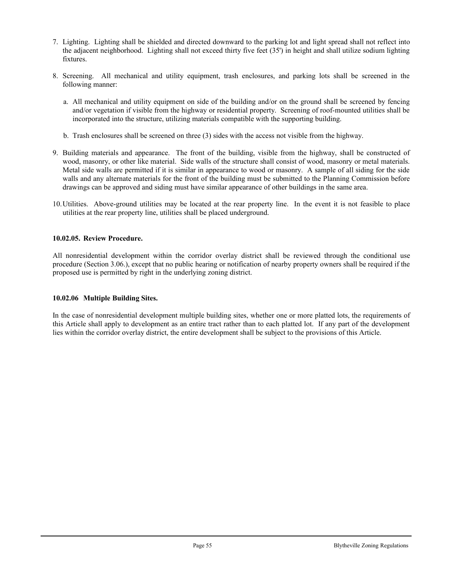- 7. Lighting. Lighting shall be shielded and directed downward to the parking lot and light spread shall not reflect into the adjacent neighborhood. Lighting shall not exceed thirty five feet (35') in height and shall utilize sodium lighting fixtures.
- 8. Screening. All mechanical and utility equipment, trash enclosures, and parking lots shall be screened in the following manner:
	- a. All mechanical and utility equipment on side of the building and/or on the ground shall be screened by fencing and/or vegetation if visible from the highway or residential property. Screening of roof-mounted utilities shall be incorporated into the structure, utilizing materials compatible with the supporting building.
	- b. Trash enclosures shall be screened on three (3) sides with the access not visible from the highway.
- 9. Building materials and appearance. The front of the building, visible from the highway, shall be constructed of wood, masonry, or other like material. Side walls of the structure shall consist of wood, masonry or metal materials. Metal side walls are permitted if it is similar in appearance to wood or masonry. A sample of all siding for the side walls and any alternate materials for the front of the building must be submitted to the Planning Commission before drawings can be approved and siding must have similar appearance of other buildings in the same area.
- 10.Utilities. Above-ground utilities may be located at the rear property line. In the event it is not feasible to place utilities at the rear property line, utilities shall be placed underground.

# **10.02.05. Review Procedure.**

All nonresidential development within the corridor overlay district shall be reviewed through the conditional use procedure (Section 3.06.), except that no public hearing or notification of nearby property owners shall be required if the proposed use is permitted by right in the underlying zoning district.

## **10.02.06 Multiple Building Sites.**

In the case of nonresidential development multiple building sites, whether one or more platted lots, the requirements of this Article shall apply to development as an entire tract rather than to each platted lot. If any part of the development lies within the corridor overlay district, the entire development shall be subject to the provisions of this Article.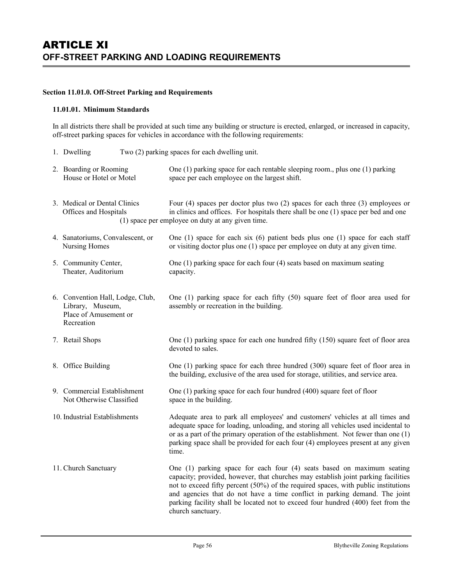### **Section 11.01.0. Off-Street Parking and Requirements**

### **11.01.01. Minimum Standards**

Recreation

In all districts there shall be provided at such time any building or structure is erected, enlarged, or increased in capacity, off-street parking spaces for vehicles in accordance with the following requirements:

- 1. Dwelling Two (2) parking spaces for each dwelling unit.
- 2. Boarding or Rooming One (1) parking space for each rentable sleeping room., plus one (1) parking House or Hotel or Motel space per each employee on the largest shift.
- 3. Medical or Dental Clinics Four (4) spaces per doctor plus two (2) spaces for each three (3) employees or Offices and Hospitals in clinics and offices. For hospitals there shall be one (1) space per bed and one (1) space per employee on duty at any given time.
- 4. Sanatoriums, Convalescent, or One (1) space for each six (6) patient beds plus one (1) space for each staff Nursing Homes or visiting doctor plus one (1) space per employee on duty at any given time.
- 5. Community Center, One (1) parking space for each four (4) seats based on maximum seating Theater, Auditorium capacity.
- 6. Convention Hall, Lodge, Club, One (1) parking space for each fifty (50) square feet of floor area used for Library, Museum, assembly or recreation in the building. Place of Amusement or
- 7. Retail Shops One (1) parking space for each one hundred fifty (150) square feet of floor area devoted to sales.
- 8. Office Building One (1) parking space for each three hundred (300) square feet of floor area in the building, exclusive of the area used for storage, utilities, and service area.
- 9. Commercial Establishment One (1) parking space for each four hundred (400) square feet of floor Not Otherwise Classified space in the building.
- 10. Industrial Establishments Adequate area to park all employees' and customers' vehicles at all times and adequate space for loading, unloading, and storing all vehicles used incidental to or as a part of the primary operation of the establishment. Not fewer than one (1) parking space shall be provided for each four (4) employees present at any given time.
- 11. Church Sanctuary One (1) parking space for each four (4) seats based on maximum seating capacity; provided, however, that churches may establish joint parking facilities not to exceed fifty percent (50%) of the required spaces, with public institutions and agencies that do not have a time conflict in parking demand. The joint parking facility shall be located not to exceed four hundred (400) feet from the church sanctuary.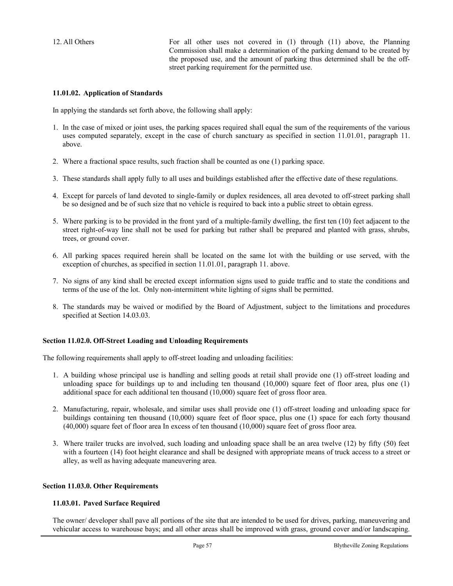12. All Others For all other uses not covered in (1) through (11) above, the Planning Commission shall make a determination of the parking demand to be created by the proposed use, and the amount of parking thus determined shall be the offstreet parking requirement for the permitted use.

### **11.01.02. Application of Standards**

In applying the standards set forth above, the following shall apply:

- 1. In the case of mixed or joint uses, the parking spaces required shall equal the sum of the requirements of the various uses computed separately, except in the case of church sanctuary as specified in section 11.01.01, paragraph 11. above.
- 2. Where a fractional space results, such fraction shall be counted as one (1) parking space.
- 3. These standards shall apply fully to all uses and buildings established after the effective date of these regulations.
- 4. Except for parcels of land devoted to single-family or duplex residences, all area devoted to off-street parking shall be so designed and be of such size that no vehicle is required to back into a public street to obtain egress.
- 5. Where parking is to be provided in the front yard of a multiple-family dwelling, the first ten (10) feet adjacent to the street right-of-way line shall not be used for parking but rather shall be prepared and planted with grass, shrubs, trees, or ground cover.
- 6. All parking spaces required herein shall be located on the same lot with the building or use served, with the exception of churches, as specified in section 11.01.01, paragraph 11. above.
- 7. No signs of any kind shall be erected except information signs used to guide traffic and to state the conditions and terms of the use of the lot. Only non-intermittent white lighting of signs shall be permitted.
- 8. The standards may be waived or modified by the Board of Adjustment, subject to the limitations and procedures specified at Section 14.03.03.

### **Section 11.02.0. Off-Street Loading and Unloading Requirements**

The following requirements shall apply to off-street loading and unloading facilities:

- 1. A building whose principal use is handling and selling goods at retail shall provide one (1) off-street loading and unloading space for buildings up to and including ten thousand  $(10,000)$  square feet of floor area, plus one  $(1)$ additional space for each additional ten thousand (10,000) square feet of gross floor area.
- 2. Manufacturing, repair, wholesale, and similar uses shall provide one (1) off-street loading and unloading space for buildings containing ten thousand (10,000) square feet of floor space, plus one (1) space for each forty thousand (40,000) square feet of floor area In excess of ten thousand (10,000) square feet of gross floor area.
- 3. Where trailer trucks are involved, such loading and unloading space shall be an area twelve (12) by fifty (50) feet with a fourteen (14) foot height clearance and shall be designed with appropriate means of truck access to a street or alley, as well as having adequate maneuvering area.

#### **Section 11.03.0. Other Requirements**

#### **11.03.01. Paved Surface Required**

The owner/ developer shall pave all portions of the site that are intended to be used for drives, parking, maneuvering and vehicular access to warehouse bays; and all other areas shall be improved with grass, ground cover and/or landscaping.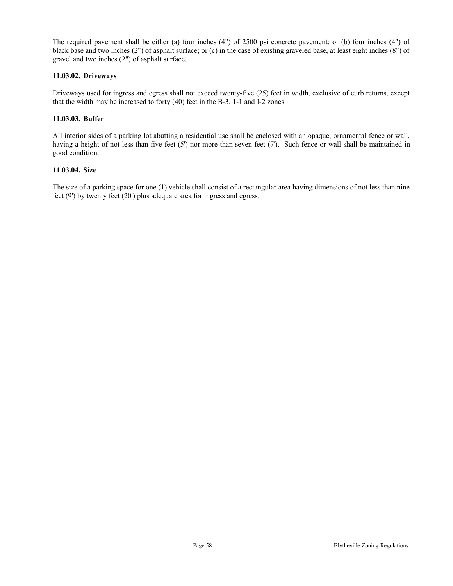The required pavement shall be either (a) four inches (4") of 2500 psi concrete pavement; or (b) four inches (4") of black base and two inches (2") of asphalt surface; or (c) in the case of existing graveled base, at least eight inches (8") of gravel and two inches (2") of asphalt surface.

# **11.03.02. Driveways**

Driveways used for ingress and egress shall not exceed twenty-five (25) feet in width, exclusive of curb returns, except that the width may be increased to forty (40) feet in the B-3, 1-1 and I-2 zones.

# **11.03.03. Buffer**

All interior sides of a parking lot abutting a residential use shall be enclosed with an opaque, ornamental fence or wall, having a height of not less than five feet (5') nor more than seven feet (7'). Such fence or wall shall be maintained in good condition.

## **11.03.04. Size**

The size of a parking space for one (1) vehicle shall consist of a rectangular area having dimensions of not less than nine feet (9') by twenty feet (20') plus adequate area for ingress and egress.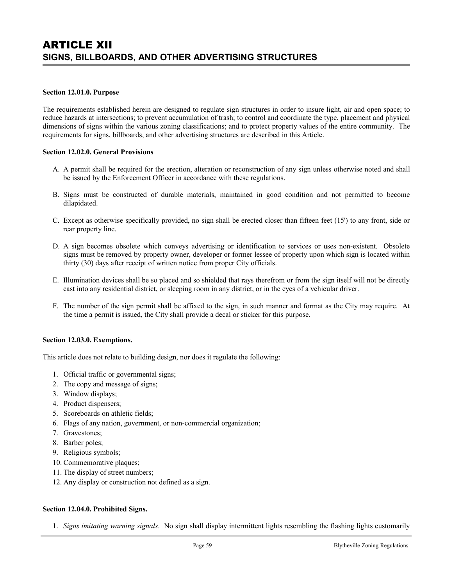### **Section 12.01.0. Purpose**

The requirements established herein are designed to regulate sign structures in order to insure light, air and open space; to reduce hazards at intersections; to prevent accumulation of trash; to control and coordinate the type, placement and physical dimensions of signs within the various zoning classifications; and to protect property values of the entire community. The requirements for signs, billboards, and other advertising structures are described in this Article.

### **Section 12.02.0. General Provisions**

- A. A permit shall be required for the erection, alteration or reconstruction of any sign unless otherwise noted and shall be issued by the Enforcement Officer in accordance with these regulations.
- B. Signs must be constructed of durable materials, maintained in good condition and not permitted to become dilapidated.
- C. Except as otherwise specifically provided, no sign shall be erected closer than fifteen feet (15') to any front, side or rear property line.
- D. A sign becomes obsolete which conveys advertising or identification to services or uses non-existent. Obsolete signs must be removed by property owner, developer or former lessee of property upon which sign is located within thirty (30) days after receipt of written notice from proper City officials.
- E. Illumination devices shall be so placed and so shielded that rays therefrom or from the sign itself will not be directly cast into any residential district, or sleeping room in any district, or in the eyes of a vehicular driver.
- F. The number of the sign permit shall be affixed to the sign, in such manner and format as the City may require. At the time a permit is issued, the City shall provide a decal or sticker for this purpose.

#### **Section 12.03.0. Exemptions.**

This article does not relate to building design, nor does it regulate the following:

- 1. Official traffic or governmental signs;
- 2. The copy and message of signs;
- 3. Window displays;
- 4. Product dispensers;
- 5. Scoreboards on athletic fields;
- 6. Flags of any nation, government, or non-commercial organization;
- 7. Gravestones;
- 8. Barber poles;
- 9. Religious symbols;
- 10. Commemorative plaques;
- 11. The display of street numbers;
- 12. Any display or construction not defined as a sign.

## **Section 12.04.0. Prohibited Signs.**

1. *Signs imitating warning signals*. No sign shall display intermittent lights resembling the flashing lights customarily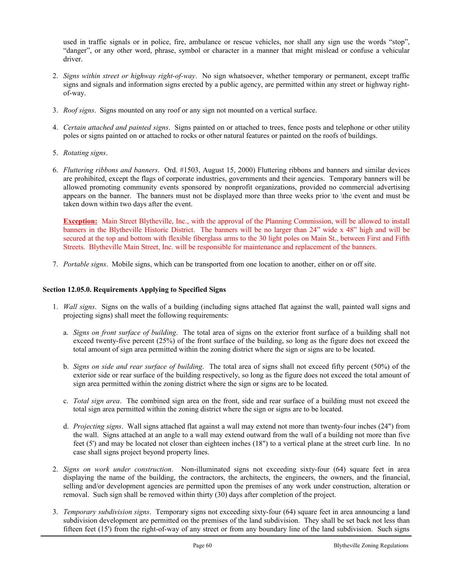used in traffic signals or in police, fire, ambulance or rescue vehicles, nor shall any sign use the words "stop", "danger", or any other word, phrase, symbol or character in a manner that might mislead or confuse a vehicular driver.

- 2. *Signs within street or highway right-of-way*. No sign whatsoever, whether temporary or permanent, except traffic signs and signals and information signs erected by a public agency, are permitted within any street or highway rightof-way.
- 3. *Roof signs*. Signs mounted on any roof or any sign not mounted on a vertical surface.
- 4. *Certain attached and painted signs*. Signs painted on or attached to trees, fence posts and telephone or other utility poles or signs painted on or attached to rocks or other natural features or painted on the roofs of buildings.
- 5. *Rotating signs*.
- 6. *Fluttering ribbons and banners*. Ord. #1503, August 15, 2000) Fluttering ribbons and banners and similar devices are prohibited, except the flags of corporate industries, governments and their agencies. Temporary banners will be allowed promoting community events sponsored by nonprofit organizations, provided no commercial advertising appears on the banner. The banners must not be displayed more than three weeks prior to \the event and must be taken down within two days after the event.

**Exception:** Main Street Blytheville, Inc., with the approval of the Planning Commission, will be allowed to install banners in the Blytheville Historic District. The banners will be no larger than 24" wide x 48" high and will be secured at the top and bottom with flexible fiberglass arms to the 30 light poles on Main St., between First and Fifth Streets. Blytheville Main Street, Inc. will be responsible for maintenance and replacement of the banners.

7. *Portable signs*. Mobile signs, which can be transported from one location to another, either on or off site.

### **Section 12.05.0. Requirements Applying to Specified Signs**

- 1. *Wall signs*. Signs on the walls of a building (including signs attached flat against the wall, painted wall signs and projecting signs) shall meet the following requirements:
	- a. *Signs on front surface of building*. The total area of signs on the exterior front surface of a building shall not exceed twenty-five percent (25%) of the front surface of the building, so long as the figure does not exceed the total amount of sign area permitted within the zoning district where the sign or signs are to be located.
	- b. *Signs on side and rear surface of building*. The total area of signs shall not exceed fifty percent (50%) of the exterior side or rear surface of the building respectively, so long as the figure does not exceed the total amount of sign area permitted within the zoning district where the sign or signs are to be located.
	- c. *Total sign area*. The combined sign area on the front, side and rear surface of a building must not exceed the total sign area permitted within the zoning district where the sign or signs are to be located.
	- d. *Projecting signs*. Wall signs attached flat against a wall may extend not more than twenty-four inches (24") from the wall. Signs attached at an angle to a wall may extend outward from the wall of a building not more than five feet (5') and may be located not closer than eighteen inches (18") to a vertical plane at the street curb line. In no case shall signs project beyond property lines.
- 2. *Signs on work under construction*. Non-illuminated signs not exceeding sixty-four (64) square feet in area displaying the name of the building, the contractors, the architects, the engineers, the owners, and the financial, selling and/or development agencies are permitted upon the premises of any work under construction, alteration or removal. Such sign shall be removed within thirty (30) days after completion of the project.
- 3. *Temporary subdivision signs*. Temporary signs not exceeding sixty-four (64) square feet in area announcing a land subdivision development are permitted on the premises of the land subdivision. They shall be set back not less than fifteen feet (15') from the right-of-way of any street or from any boundary line of the land subdivision. Such signs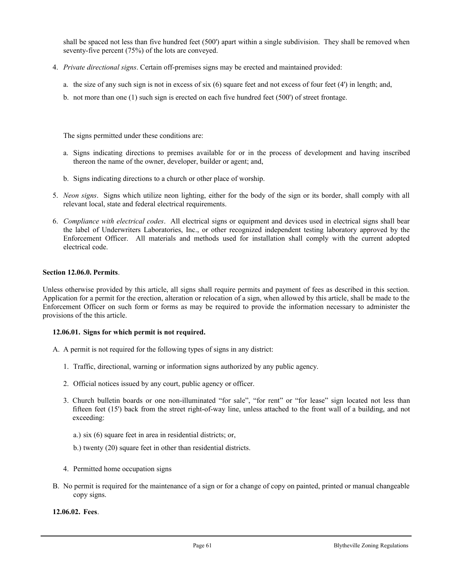shall be spaced not less than five hundred feet (500') apart within a single subdivision. They shall be removed when seventy-five percent (75%) of the lots are conveyed.

- 4. *Private directional signs*. Certain off-premises signs may be erected and maintained provided:
	- a. the size of any such sign is not in excess of six (6) square feet and not excess of four feet (4') in length; and,
	- b. not more than one (1) such sign is erected on each five hundred feet (500') of street frontage.

The signs permitted under these conditions are:

- a. Signs indicating directions to premises available for or in the process of development and having inscribed thereon the name of the owner, developer, builder or agent; and,
- b. Signs indicating directions to a church or other place of worship.
- 5. *Neon signs*. Signs which utilize neon lighting, either for the body of the sign or its border, shall comply with all relevant local, state and federal electrical requirements.
- 6. *Compliance with electrical codes*. All electrical signs or equipment and devices used in electrical signs shall bear the label of Underwriters Laboratories, Inc., or other recognized independent testing laboratory approved by the Enforcement Officer. All materials and methods used for installation shall comply with the current adopted electrical code.

## **Section 12.06.0. Permits**.

Unless otherwise provided by this article, all signs shall require permits and payment of fees as described in this section. Application for a permit for the erection, alteration or relocation of a sign, when allowed by this article, shall be made to the Enforcement Officer on such form or forms as may be required to provide the information necessary to administer the provisions of the this article.

#### **12.06.01. Signs for which permit is not required.**

- A. A permit is not required for the following types of signs in any district:
	- 1. Traffic, directional, warning or information signs authorized by any public agency.
	- 2. Official notices issued by any court, public agency or officer.
	- 3. Church bulletin boards or one non-illuminated "for sale", "for rent" or "for lease" sign located not less than fifteen feet (15') back from the street right-of-way line, unless attached to the front wall of a building, and not exceeding:
		- a.) six (6) square feet in area in residential districts; or,
		- b.) twenty (20) square feet in other than residential districts.
	- 4. Permitted home occupation signs
- B. No permit is required for the maintenance of a sign or for a change of copy on painted, printed or manual changeable copy signs.

### **12.06.02. Fees**.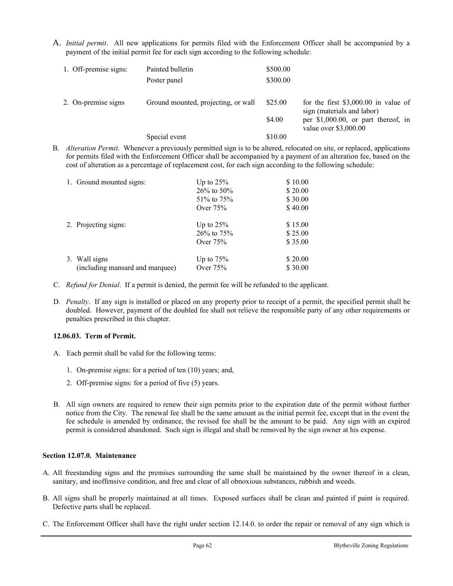A. *Initial permit*. All new applications for permits filed with the Enforcement Officer shall be accompanied by a payment of the initial permit fee for each sign according to the following schedule:

| 1. Off-premise signs: | Painted bulletin                    | \$500.00 |                                                                     |
|-----------------------|-------------------------------------|----------|---------------------------------------------------------------------|
|                       | Poster panel                        | \$300.00 |                                                                     |
| 2. On-premise signs   | Ground mounted, projecting, or wall | \$25.00  | for the first $$3,000.00$ in value of<br>sign (materials and labor) |
|                       |                                     | \$4.00   | per \$1,000.00, or part thereof, in<br>value over $$3,000.00$       |
|                       | Special event                       | \$10.00  |                                                                     |

B. *Alteration Permit*. Whenever a previously permitted sign is to be altered, relocated on site, or replaced, applications for permits filed with the Enforcement Officer shall be accompanied by a payment of an alteration fee, based on the cost of alteration as a percentage of replacement cost, for each sign according to the following schedule:

|  | 1. Ground mounted signs:        | Up to $25%$   | \$10.00 |
|--|---------------------------------|---------------|---------|
|  |                                 | $26\%$ to 50% | \$20.00 |
|  |                                 | 51\% to 75\%  | \$30.00 |
|  |                                 | Over $75%$    | \$40.00 |
|  | 2. Projecting signs:            | Up to $25%$   | \$15.00 |
|  |                                 | 26% to 75%    | \$25.00 |
|  |                                 | Over $75%$    | \$35.00 |
|  | 3. Wall signs                   | Up to $75%$   | \$20.00 |
|  | (including mansard and marquee) | Over $75%$    | \$30.00 |

- C. *Refund for Denial*. If a permit is denied, the permit fee will be refunded to the applicant.
- D. *Penalty*. If any sign is installed or placed on any property prior to receipt of a permit, the specified permit shall be doubled. However, payment of the doubled fee shall not relieve the responsible party of any other requirements or penalties prescribed in this chapter.

## **12.06.03. Term of Permit.**

- A. Each permit shall be valid for the following terms:
	- 1. On-premise signs: for a period of ten (10) years; and,
	- 2. Off-premise signs: for a period of five (5) years.
- B. All sign owners are required to renew their sign permits prior to the expiration date of the permit without further notice from the City. The renewal fee shall be the same amount as the initial permit fee, except that in the event the fee schedule is amended by ordinance, the revised fee shall be the amount to be paid. Any sign with an expired permit is considered abandoned. Such sign is illegal and shall be removed by the sign owner at his expense.

## **Section 12.07.0. Maintenance**

- A. All freestanding signs and the premises surrounding the same shall be maintained by the owner thereof in a clean, sanitary, and inoffensive condition, and free and clear of all obnoxious substances, rubbish and weeds.
- B. All signs shall be properly maintained at all times. Exposed surfaces shall be clean and painted if paint is required. Defective parts shall be replaced.
- C. The Enforcement Officer shall have the right under section 12.14.0. to order the repair or removal of any sign which is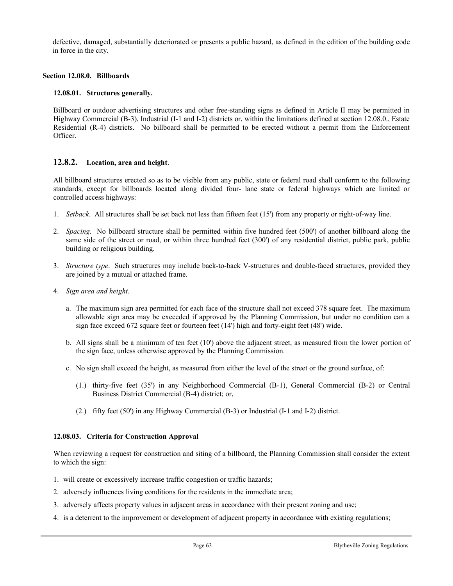defective, damaged, substantially deteriorated or presents a public hazard, as defined in the edition of the building code in force in the city.

### **Section 12.08.0. Billboards**

### **12.08.01. Structures generally.**

Billboard or outdoor advertising structures and other free-standing signs as defined in Article II may be permitted in Highway Commercial (B-3), Industrial (I-1 and I-2) districts or, within the limitations defined at section 12.08.0., Estate Residential (R-4) districts. No billboard shall be permitted to be erected without a permit from the Enforcement Officer.

# **12.8.2. Location, area and height**.

All billboard structures erected so as to be visible from any public, state or federal road shall conform to the following standards, except for billboards located along divided four- lane state or federal highways which are limited or controlled access highways:

- 1. *Setback*. All structures shall be set back not less than fifteen feet (15') from any property or right-of-way line.
- 2. *Spacing*. No billboard structure shall be permitted within five hundred feet (500') of another billboard along the same side of the street or road, or within three hundred feet (300') of any residential district, public park, public building or religious building.
- 3. *Structure type*. Such structures may include back-to-back V-structures and double-faced structures, provided they are joined by a mutual or attached frame.
- 4. *Sign area and height*.
	- a. The maximum sign area permitted for each face of the structure shall not exceed 378 square feet. The maximum allowable sign area may be exceeded if approved by the Planning Commission, but under no condition can a sign face exceed 672 square feet or fourteen feet (14') high and forty-eight feet (48') wide.
	- b. All signs shall be a minimum of ten feet (10') above the adjacent street, as measured from the lower portion of the sign face, unless otherwise approved by the Planning Commission.
	- c. No sign shall exceed the height, as measured from either the level of the street or the ground surface, of:
		- (1.) thirty-five feet (35') in any Neighborhood Commercial (B-1), General Commercial (B-2) or Central Business District Commercial (B-4) district; or,
		- (2.) fifty feet (50') in any Highway Commercial (B-3) or Industrial (I-1 and I-2) district.

## **12.08.03. Criteria for Construction Approval**

When reviewing a request for construction and siting of a billboard, the Planning Commission shall consider the extent to which the sign:

- 1. will create or excessively increase traffic congestion or traffic hazards;
- 2. adversely influences living conditions for the residents in the immediate area;
- 3. adversely affects property values in adjacent areas in accordance with their present zoning and use;
- 4. is a deterrent to the improvement or development of adjacent property in accordance with existing regulations;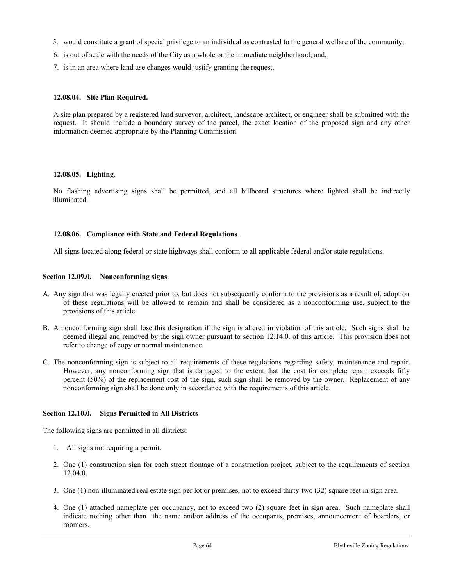- 5. would constitute a grant of special privilege to an individual as contrasted to the general welfare of the community;
- 6. is out of scale with the needs of the City as a whole or the immediate neighborhood; and,
- 7. is in an area where land use changes would justify granting the request.

## **12.08.04. Site Plan Required.**

A site plan prepared by a registered land surveyor, architect, landscape architect, or engineer shall be submitted with the request. It should include a boundary survey of the parcel, the exact location of the proposed sign and any other information deemed appropriate by the Planning Commission.

### **12.08.05. Lighting**.

No flashing advertising signs shall be permitted, and all billboard structures where lighted shall be indirectly illuminated.

### **12.08.06. Compliance with State and Federal Regulations**.

All signs located along federal or state highways shall conform to all applicable federal and/or state regulations.

### **Section 12.09.0. Nonconforming signs**.

- A. Any sign that was legally erected prior to, but does not subsequently conform to the provisions as a result of, adoption of these regulations will be allowed to remain and shall be considered as a nonconforming use, subject to the provisions of this article.
- B. A nonconforming sign shall lose this designation if the sign is altered in violation of this article. Such signs shall be deemed illegal and removed by the sign owner pursuant to section 12.14.0. of this article. This provision does not refer to change of copy or normal maintenance.
- C. The nonconforming sign is subject to all requirements of these regulations regarding safety, maintenance and repair. However, any nonconforming sign that is damaged to the extent that the cost for complete repair exceeds fifty percent (50%) of the replacement cost of the sign, such sign shall be removed by the owner. Replacement of any nonconforming sign shall be done only in accordance with the requirements of this article.

## **Section 12.10.0. Signs Permitted in All Districts**

The following signs are permitted in all districts:

- 1. All signs not requiring a permit.
- 2. One (1) construction sign for each street frontage of a construction project, subject to the requirements of section 12.04.0.
- 3. One (1) non-illuminated real estate sign per lot or premises, not to exceed thirty-two (32) square feet in sign area.
- 4. One (1) attached nameplate per occupancy, not to exceed two (2) square feet in sign area. Such nameplate shall indicate nothing other than the name and/or address of the occupants, premises, announcement of boarders, or roomers.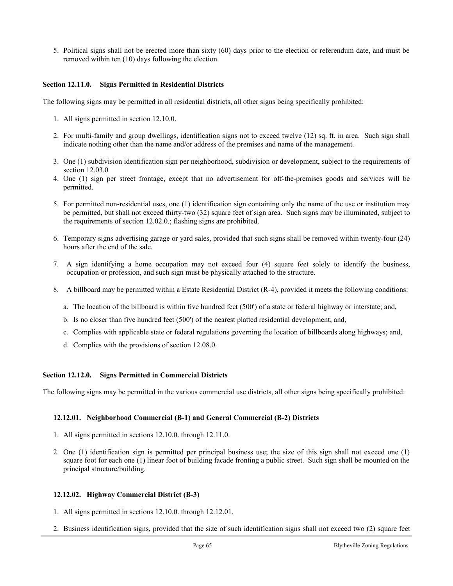5. Political signs shall not be erected more than sixty (60) days prior to the election or referendum date, and must be removed within ten (10) days following the election.

### **Section 12.11.0. Signs Permitted in Residential Districts**

The following signs may be permitted in all residential districts, all other signs being specifically prohibited:

- 1. All signs permitted in section 12.10.0.
- 2. For multi-family and group dwellings, identification signs not to exceed twelve (12) sq. ft. in area. Such sign shall indicate nothing other than the name and/or address of the premises and name of the management.
- 3. One (1) subdivision identification sign per neighborhood, subdivision or development, subject to the requirements of section 12.03.0
- 4. One (1) sign per street frontage, except that no advertisement for off-the-premises goods and services will be permitted.
- 5. For permitted non-residential uses, one (1) identification sign containing only the name of the use or institution may be permitted, but shall not exceed thirty-two (32) square feet of sign area. Such signs may be illuminated, subject to the requirements of section 12.02.0.; flashing signs are prohibited.
- 6. Temporary signs advertising garage or yard sales, provided that such signs shall be removed within twenty-four (24) hours after the end of the sale.
- 7. A sign identifying a home occupation may not exceed four (4) square feet solely to identify the business, occupation or profession, and such sign must be physically attached to the structure.
- 8. A billboard may be permitted within a Estate Residential District (R-4), provided it meets the following conditions:
	- a. The location of the billboard is within five hundred feet (500') of a state or federal highway or interstate; and,
	- b. Is no closer than five hundred feet (500') of the nearest platted residential development; and,
	- c. Complies with applicable state or federal regulations governing the location of billboards along highways; and,
	- d. Complies with the provisions of section 12.08.0.

#### **Section 12.12.0. Signs Permitted in Commercial Districts**

The following signs may be permitted in the various commercial use districts, all other signs being specifically prohibited:

#### **12.12.01. Neighborhood Commercial (B-1) and General Commercial (B-2) Districts**

- 1. All signs permitted in sections 12.10.0. through 12.11.0.
- 2. One (1) identification sign is permitted per principal business use; the size of this sign shall not exceed one (1) square foot for each one (1) linear foot of building facade fronting a public street. Such sign shall be mounted on the principal structure/building.

## **12.12.02. Highway Commercial District (B-3)**

- 1. All signs permitted in sections 12.10.0. through 12.12.01.
- 2. Business identification signs, provided that the size of such identification signs shall not exceed two (2) square feet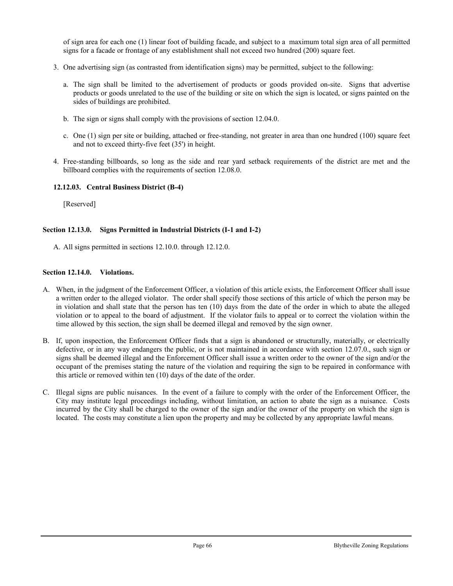of sign area for each one (1) linear foot of building facade, and subject to a maximum total sign area of all permitted signs for a facade or frontage of any establishment shall not exceed two hundred (200) square feet.

- 3. One advertising sign (as contrasted from identification signs) may be permitted, subject to the following:
	- a. The sign shall be limited to the advertisement of products or goods provided on-site. Signs that advertise products or goods unrelated to the use of the building or site on which the sign is located, or signs painted on the sides of buildings are prohibited.
	- b. The sign or signs shall comply with the provisions of section 12.04.0.
	- c. One  $(1)$  sign per site or building, attached or free-standing, not greater in area than one hundred  $(100)$  square feet and not to exceed thirty-five feet (35') in height.
- 4. Free-standing billboards, so long as the side and rear yard setback requirements of the district are met and the billboard complies with the requirements of section 12.08.0.

# **12.12.03. Central Business District (B-4)**

[Reserved]

# **Section 12.13.0. Signs Permitted in Industrial Districts (I-1 and I-2)**

A. All signs permitted in sections 12.10.0. through 12.12.0.

## **Section 12.14.0. Violations.**

- A. When, in the judgment of the Enforcement Officer, a violation of this article exists, the Enforcement Officer shall issue a written order to the alleged violator. The order shall specify those sections of this article of which the person may be in violation and shall state that the person has ten (10) days from the date of the order in which to abate the alleged violation or to appeal to the board of adjustment. If the violator fails to appeal or to correct the violation within the time allowed by this section, the sign shall be deemed illegal and removed by the sign owner.
- B. If, upon inspection, the Enforcement Officer finds that a sign is abandoned or structurally, materially, or electrically defective, or in any way endangers the public, or is not maintained in accordance with section 12.07.0., such sign or signs shall be deemed illegal and the Enforcement Officer shall issue a written order to the owner of the sign and/or the occupant of the premises stating the nature of the violation and requiring the sign to be repaired in conformance with this article or removed within ten (10) days of the date of the order.
- C. Illegal signs are public nuisances. In the event of a failure to comply with the order of the Enforcement Officer, the City may institute legal proceedings including, without limitation, an action to abate the sign as a nuisance. Costs incurred by the City shall be charged to the owner of the sign and/or the owner of the property on which the sign is located. The costs may constitute a lien upon the property and may be collected by any appropriate lawful means.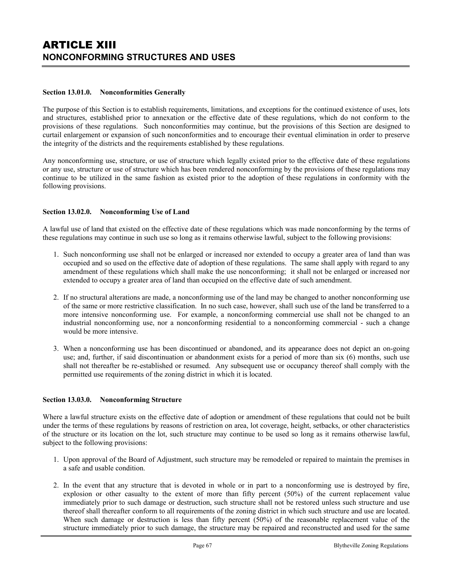### **Section 13.01.0. Nonconformities Generally**

The purpose of this Section is to establish requirements, limitations, and exceptions for the continued existence of uses, lots and structures, established prior to annexation or the effective date of these regulations, which do not conform to the provisions of these regulations. Such nonconformities may continue, but the provisions of this Section are designed to curtail enlargement or expansion of such nonconformities and to encourage their eventual elimination in order to preserve the integrity of the districts and the requirements established by these regulations.

Any nonconforming use, structure, or use of structure which legally existed prior to the effective date of these regulations or any use, structure or use of structure which has been rendered nonconforming by the provisions of these regulations may continue to be utilized in the same fashion as existed prior to the adoption of these regulations in conformity with the following provisions.

## **Section 13.02.0. Nonconforming Use of Land**

A lawful use of land that existed on the effective date of these regulations which was made nonconforming by the terms of these regulations may continue in such use so long as it remains otherwise lawful, subject to the following provisions:

- 1. Such nonconforming use shall not be enlarged or increased nor extended to occupy a greater area of land than was occupied and so used on the effective date of adoption of these regulations. The same shall apply with regard to any amendment of these regulations which shall make the use nonconforming; it shall not be enlarged or increased nor extended to occupy a greater area of land than occupied on the effective date of such amendment.
- 2. If no structural alterations are made, a nonconforming use of the land may be changed to another nonconforming use of the same or more restrictive classification. In no such case, however, shall such use of the land be transferred to a more intensive nonconforming use. For example, a nonconforming commercial use shall not be changed to an industrial nonconforming use, nor a nonconforming residential to a nonconforming commercial - such a change would be more intensive.
- 3. When a nonconforming use has been discontinued or abandoned, and its appearance does not depict an on-going use; and, further, if said discontinuation or abandonment exists for a period of more than six (6) months, such use shall not thereafter be re-established or resumed. Any subsequent use or occupancy thereof shall comply with the permitted use requirements of the zoning district in which it is located.

## **Section 13.03.0. Nonconforming Structure**

Where a lawful structure exists on the effective date of adoption or amendment of these regulations that could not be built under the terms of these regulations by reasons of restriction on area, lot coverage, height, setbacks, or other characteristics of the structure or its location on the lot, such structure may continue to be used so long as it remains otherwise lawful, subject to the following provisions:

- 1. Upon approval of the Board of Adjustment, such structure may be remodeled or repaired to maintain the premises in a safe and usable condition.
- 2. In the event that any structure that is devoted in whole or in part to a nonconforming use is destroyed by fire, explosion or other casualty to the extent of more than fifty percent (50%) of the current replacement value immediately prior to such damage or destruction, such structure shall not be restored unless such structure and use thereof shall thereafter conform to all requirements of the zoning district in which such structure and use are located. When such damage or destruction is less than fifty percent (50%) of the reasonable replacement value of the structure immediately prior to such damage, the structure may be repaired and reconstructed and used for the same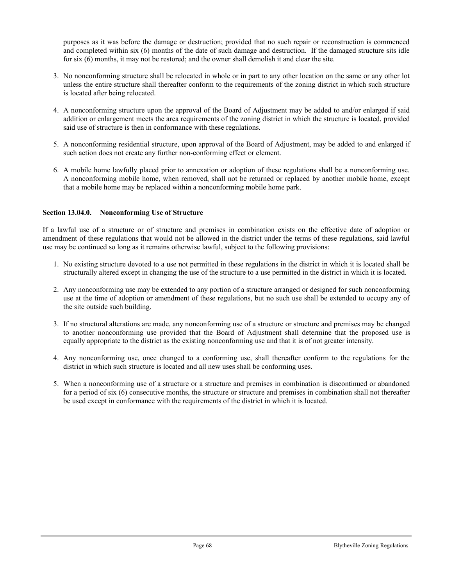purposes as it was before the damage or destruction; provided that no such repair or reconstruction is commenced and completed within six (6) months of the date of such damage and destruction. If the damaged structure sits idle for six (6) months, it may not be restored; and the owner shall demolish it and clear the site.

- 3. No nonconforming structure shall be relocated in whole or in part to any other location on the same or any other lot unless the entire structure shall thereafter conform to the requirements of the zoning district in which such structure is located after being relocated.
- 4. A nonconforming structure upon the approval of the Board of Adjustment may be added to and/or enlarged if said addition or enlargement meets the area requirements of the zoning district in which the structure is located, provided said use of structure is then in conformance with these regulations.
- 5. A nonconforming residential structure, upon approval of the Board of Adjustment, may be added to and enlarged if such action does not create any further non-conforming effect or element.
- 6. A mobile home lawfully placed prior to annexation or adoption of these regulations shall be a nonconforming use. A nonconforming mobile home, when removed, shall not be returned or replaced by another mobile home, except that a mobile home may be replaced within a nonconforming mobile home park.

## **Section 13.04.0. Nonconforming Use of Structure**

If a lawful use of a structure or of structure and premises in combination exists on the effective date of adoption or amendment of these regulations that would not be allowed in the district under the terms of these regulations, said lawful use may be continued so long as it remains otherwise lawful, subject to the following provisions:

- 1. No existing structure devoted to a use not permitted in these regulations in the district in which it is located shall be structurally altered except in changing the use of the structure to a use permitted in the district in which it is located.
- 2. Any nonconforming use may be extended to any portion of a structure arranged or designed for such nonconforming use at the time of adoption or amendment of these regulations, but no such use shall be extended to occupy any of the site outside such building.
- 3. If no structural alterations are made, any nonconforming use of a structure or structure and premises may be changed to another nonconforming use provided that the Board of Adjustment shall determine that the proposed use is equally appropriate to the district as the existing nonconforming use and that it is of not greater intensity.
- 4. Any nonconforming use, once changed to a conforming use, shall thereafter conform to the regulations for the district in which such structure is located and all new uses shall be conforming uses.
- 5. When a nonconforming use of a structure or a structure and premises in combination is discontinued or abandoned for a period of six (6) consecutive months, the structure or structure and premises in combination shall not thereafter be used except in conformance with the requirements of the district in which it is located.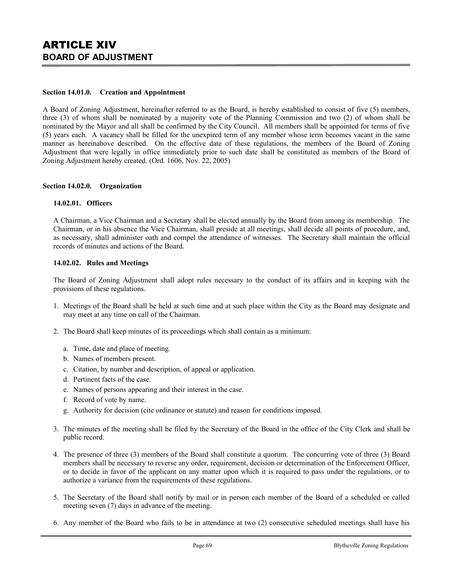#### **Section 14.01.0. Creation and Appointment**

A Board of Zoning Adjustment, hereinafter referred to as the Board, is hereby established to consist of five (5) members, three (3) of whom shall be nominated by a majority vote of the Planning Commission and two (2) of whom shall be nominated by the Mayor and all shall be confirmed by the City Council. All members shall be appointed for terms of five (5) years each. A vacancy shall be filled for the unexpired term of any member whose term becomes vacant in the same manner as hereinabove described. On the effective date of these regulations, the members of the Board of Zoning Adjustment that were legally in office immediately prior to such date shall be constituted as members of the Board of Zoning Adjustment hereby created. (Ord. 1606, Nov. 22, 2005)

### **Section 14.02.0. Organization**

### **14.02.01. Officers**

A Chairman, a Vice Chairman and a Secretary shall be elected annually by the Board from among its membership. The Chairman, or in his absence the Vice Chairman, shall preside at all meetings, shall decide all points of procedure, and, as necessary, shall administer oath and compel the attendance of witnesses. The Secretary shall maintain the official records of minutes and actions of the Board.

### **14.02.02. Rules and Meetings**

The Board of Zoning Adjustment shall adopt rules necessary to the conduct of its affairs and in keeping with the provisions of these regulations.

- 1. Meetings of the Board shall be held at such time and at such place within the City as the Board may designate and may meet at any time on call of the Chairman.
- 2. The Board shall keep minutes of its proceedings which shall contain as a minimum:
	- a. Time, date and place of meeting.
	- b. Names of members present.
	- c. Citation, by number and description, of appeal or application.
	- d. Pertinent facts of the case.
	- e. Names of persons appearing and their interest in the case.
	- f. Record of vote by name.
	- g. Authority for decision (cite ordinance or statute) and reason for conditions imposed.
- 3. The minutes of the meeting shall be filed by the Secretary of the Board in the office of the City Clerk and shall be public record.
- 4. The presence of three (3) members of the Board shall constitute a quorum. The concurring vote of three (3) Board members shall be necessary to reverse any order, requirement, decision or determination of the Enforcement Officer, or to decide in favor of the applicant on any matter upon which it is required to pass under the regulations, or to authorize a variance from the requirements of these regulations.
- 5. The Secretary of the Board shall notify by mail or in person each member of the Board of a scheduled or called meeting seven (7) days in advance of the meeting.
- 6. Any member of the Board who fails to be in attendance at two (2) consecutive scheduled meetings shall have his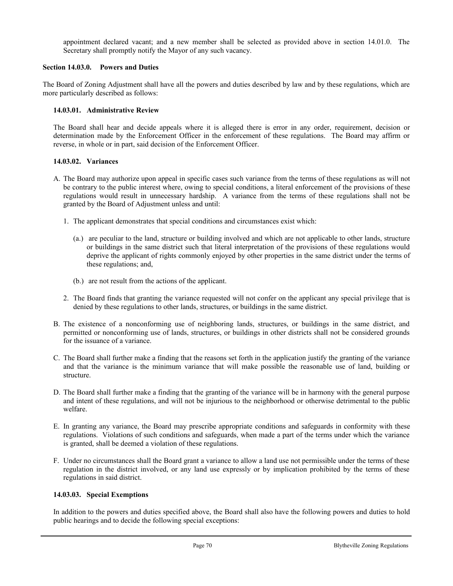appointment declared vacant; and a new member shall be selected as provided above in section 14.01.0. The Secretary shall promptly notify the Mayor of any such vacancy.

# **Section 14.03.0. Powers and Duties**

The Board of Zoning Adjustment shall have all the powers and duties described by law and by these regulations, which are more particularly described as follows:

# **14.03.01. Administrative Review**

The Board shall hear and decide appeals where it is alleged there is error in any order, requirement, decision or determination made by the Enforcement Officer in the enforcement of these regulations. The Board may affirm or reverse, in whole or in part, said decision of the Enforcement Officer.

## **14.03.02. Variances**

- A. The Board may authorize upon appeal in specific cases such variance from the terms of these regulations as will not be contrary to the public interest where, owing to special conditions, a literal enforcement of the provisions of these regulations would result in unnecessary hardship. A variance from the terms of these regulations shall not be granted by the Board of Adjustment unless and until:
	- 1. The applicant demonstrates that special conditions and circumstances exist which:
		- (a.) are peculiar to the land, structure or building involved and which are not applicable to other lands, structure or buildings in the same district such that literal interpretation of the provisions of these regulations would deprive the applicant of rights commonly enjoyed by other properties in the same district under the terms of these regulations; and,
		- (b.) are not result from the actions of the applicant.
	- 2. The Board finds that granting the variance requested will not confer on the applicant any special privilege that is denied by these regulations to other lands, structures, or buildings in the same district.
- B. The existence of a nonconforming use of neighboring lands, structures, or buildings in the same district, and permitted or nonconforming use of lands, structures, or buildings in other districts shall not be considered grounds for the issuance of a variance.
- C. The Board shall further make a finding that the reasons set forth in the application justify the granting of the variance and that the variance is the minimum variance that will make possible the reasonable use of land, building or structure.
- D. The Board shall further make a finding that the granting of the variance will be in harmony with the general purpose and intent of these regulations, and will not be injurious to the neighborhood or otherwise detrimental to the public welfare.
- E. In granting any variance, the Board may prescribe appropriate conditions and safeguards in conformity with these regulations. Violations of such conditions and safeguards, when made a part of the terms under which the variance is granted, shall be deemed a violation of these regulations.
- F. Under no circumstances shall the Board grant a variance to allow a land use not permissible under the terms of these regulation in the district involved, or any land use expressly or by implication prohibited by the terms of these regulations in said district.

## **14.03.03. Special Exemptions**

In addition to the powers and duties specified above, the Board shall also have the following powers and duties to hold public hearings and to decide the following special exceptions: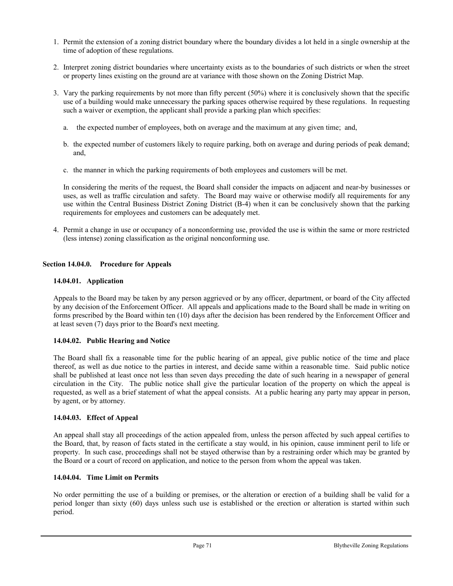- 1. Permit the extension of a zoning district boundary where the boundary divides a lot held in a single ownership at the time of adoption of these regulations.
- 2. Interpret zoning district boundaries where uncertainty exists as to the boundaries of such districts or when the street or property lines existing on the ground are at variance with those shown on the Zoning District Map.
- 3. Vary the parking requirements by not more than fifty percent (50%) where it is conclusively shown that the specific use of a building would make unnecessary the parking spaces otherwise required by these regulations. In requesting such a waiver or exemption, the applicant shall provide a parking plan which specifies:
	- a. the expected number of employees, both on average and the maximum at any given time; and,
	- b. the expected number of customers likely to require parking, both on average and during periods of peak demand; and,
	- c. the manner in which the parking requirements of both employees and customers will be met.

In considering the merits of the request, the Board shall consider the impacts on adjacent and near-by businesses or uses, as well as traffic circulation and safety. The Board may waive or otherwise modify all requirements for any use within the Central Business District Zoning District (B-4) when it can be conclusively shown that the parking requirements for employees and customers can be adequately met.

4. Permit a change in use or occupancy of a nonconforming use, provided the use is within the same or more restricted (less intense) zoning classification as the original nonconforming use.

# **Section 14.04.0. Procedure for Appeals**

# **14.04.01. Application**

Appeals to the Board may be taken by any person aggrieved or by any officer, department, or board of the City affected by any decision of the Enforcement Officer. All appeals and applications made to the Board shall be made in writing on forms prescribed by the Board within ten (10) days after the decision has been rendered by the Enforcement Officer and at least seven (7) days prior to the Board's next meeting.

## **14.04.02. Public Hearing and Notice**

The Board shall fix a reasonable time for the public hearing of an appeal, give public notice of the time and place thereof, as well as due notice to the parties in interest, and decide same within a reasonable time. Said public notice shall be published at least once not less than seven days preceding the date of such hearing in a newspaper of general circulation in the City. The public notice shall give the particular location of the property on which the appeal is requested, as well as a brief statement of what the appeal consists. At a public hearing any party may appear in person, by agent, or by attorney.

## **14.04.03. Effect of Appeal**

An appeal shall stay all proceedings of the action appealed from, unless the person affected by such appeal certifies to the Board, that, by reason of facts stated in the certificate a stay would, in his opinion, cause imminent peril to life or property. In such case, proceedings shall not be stayed otherwise than by a restraining order which may be granted by the Board or a court of record on application, and notice to the person from whom the appeal was taken.

## **14.04.04. Time Limit on Permits**

No order permitting the use of a building or premises, or the alteration or erection of a building shall be valid for a period longer than sixty (60) days unless such use is established or the erection or alteration is started within such period.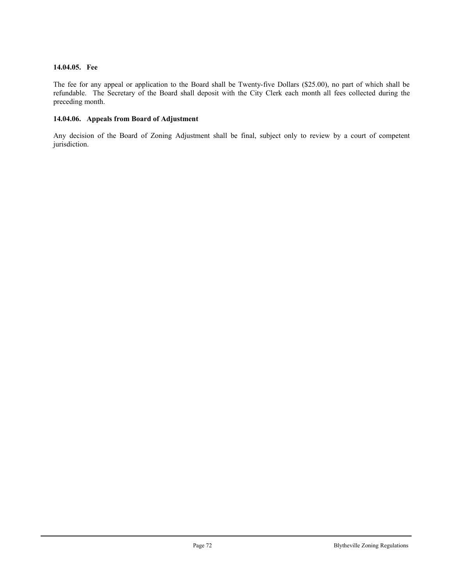# **14.04.05. Fee**

The fee for any appeal or application to the Board shall be Twenty-five Dollars (\$25.00), no part of which shall be refundable. The Secretary of the Board shall deposit with the City Clerk each month all fees collected during the preceding month.

# **14.04.06. Appeals from Board of Adjustment**

Any decision of the Board of Zoning Adjustment shall be final, subject only to review by a court of competent jurisdiction.